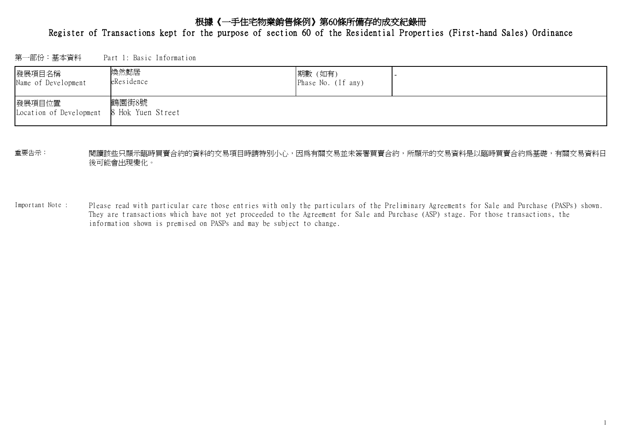# 根據《一手住宅物業銷售條例》第60條所備存的成交紀錄冊

## Register of Transactions kept for the purpose of section 60 of the Residential Properties (First-hand Sales) Ordinance

第一部份:基本資料Part 1: Basic Information

| 發展項目名稱                                              | 煥然懿居       | 期數 (如有)            |  |
|-----------------------------------------------------|------------|--------------------|--|
| Name of Development                                 | eResidence | Phase No. (If any) |  |
| 發展項目位置<br>Location of Development 8 Hok Yuen Street | 鶴園街8號      |                    |  |

重要告示:閱讀該些只顯示臨時買賣合約的資料的交易項目時請特別小心,因為有關交易並未簽署買賣合約,所顯示的交易資料是以臨時買賣合約爲基礎,有關交易資料日 後可能會出現變化。

Important Note : Please read with particular care those entries with only the particulars of the Preliminary Agreements for Sale and Purchase (PASPs) shown.They are transactions which have not yet proceeded to the Agreement for Sale and Purchase (ASP) stage. For those transactions, theinformation shown is premised on PASPs and may be subject to change.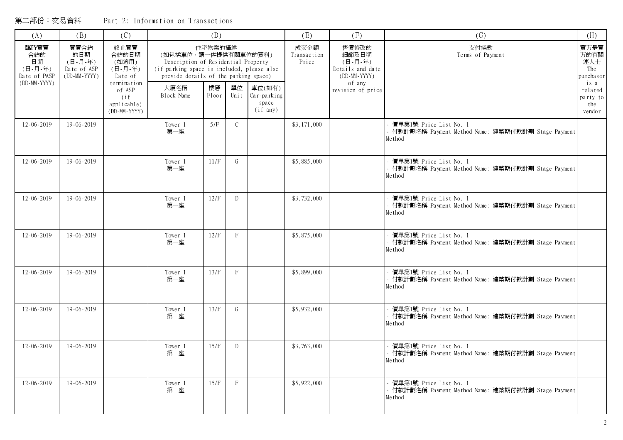| Part 2: Information on Transactions |  |  |  |  |  |  |  |
|-------------------------------------|--|--|--|--|--|--|--|
|-------------------------------------|--|--|--|--|--|--|--|

| (A)                                          | (B)                                                   | (C)                                                            |                                                                                                                                                    | (D)         |               |                                                 | (E)                          | (F)                                                           | (G)                                                                                       | (H)                                          |
|----------------------------------------------|-------------------------------------------------------|----------------------------------------------------------------|----------------------------------------------------------------------------------------------------------------------------------------------------|-------------|---------------|-------------------------------------------------|------------------------------|---------------------------------------------------------------|-------------------------------------------------------------------------------------------|----------------------------------------------|
| 臨時買賣<br>合約的<br>日期<br>(日-月-年)<br>Date of PASP | 買賣合約<br>的日期<br>(日-月-年)<br>Date of ASP<br>(DD-MM-YYYY) | 終止買賣<br>合約的日期<br>(如適用)<br>(日-月-年)<br>Date of                   | (如包括車位,請一併提供有關車位的資料)<br>Description of Residential Property<br>(if parking space is included, please also<br>provide details of the parking space) | 住宅物業的描述     |               |                                                 | 成交金額<br>Transaction<br>Price | 售價修改的<br>細節及日期<br>(日-月-年)<br>Details and date<br>(DD-MM-YYYY) | 支付條款<br>Terms of Payment                                                                  | 買方是賣<br>方的有關<br>連人士<br>The<br>purchaser      |
| (DD-MM-YYYY)                                 |                                                       | termination<br>of ASP<br>$(i$ f<br>applicable)<br>(DD-MM-YYYY) | 大廈名稱<br>Block Name                                                                                                                                 | 樓層<br>Floor | 單位<br>Unit    | 車位(如有)<br>Car-parking<br>space<br>$(i f \nany)$ |                              | of any<br>revision of price                                   |                                                                                           | is a<br>related<br>party to<br>the<br>vendor |
| $12 - 06 - 2019$                             | $19 - 06 - 2019$                                      |                                                                | Tower 1<br>第一座                                                                                                                                     | 5/F         | $\mathcal{C}$ |                                                 | \$3,171,000                  |                                                               | 價單第1號 Price List No. 1<br>- 付款計劃名稱 Payment Method Name: 建築期付款計劃 Stage Payment<br>Method   |                                              |
| 12-06-2019                                   | 19-06-2019                                            |                                                                | Tower 1<br>第一座                                                                                                                                     | 11/F        | $\mathcal{G}$ |                                                 | \$5,885,000                  |                                                               | - 價單第1號 Price List No. 1<br>- 付款計劃名稱 Payment Method Name: 建築期付款計劃 Stage Payment<br>Method |                                              |
| 12-06-2019                                   | 19-06-2019                                            |                                                                | Tower 1<br>第一座                                                                                                                                     | 12/F        | $\mathbb{D}$  |                                                 | \$3,732,000                  |                                                               | - 價單第1號 Price List No. 1<br>- 付款計劃名稱 Payment Method Name: 建築期付款計劃 Stage Payment<br>Method |                                              |
| 12-06-2019                                   | 19-06-2019                                            |                                                                | Tower 1<br>第一座                                                                                                                                     | 12/F        | F             |                                                 | \$5,875,000                  |                                                               | - 價單第1號 Price List No. 1<br>- 付款計劃名稱 Payment Method Name: 建築期付款計劃 Stage Payment<br>Method |                                              |
| 12-06-2019                                   | 19-06-2019                                            |                                                                | Tower 1<br>第一座                                                                                                                                     | 13/F        | F             |                                                 | \$5,899,000                  |                                                               | - 價單第1號 Price List No. 1<br>- 付款計劃名稱 Payment Method Name: 建築期付款計劃 Stage Payment<br>Method |                                              |
| 12-06-2019                                   | 19-06-2019                                            |                                                                | Tower 1<br>第一座                                                                                                                                     | 13/F        | G             |                                                 | \$5,932,000                  |                                                               | 價單第1號 Price List No. 1<br>- 付款計劃名稱 Payment Method Name: 建築期付款計劃 Stage Payment<br>Method   |                                              |
| 12-06-2019                                   | 19-06-2019                                            |                                                                | Tower 1<br>第一座                                                                                                                                     | 15/F        | $\mathbb{D}$  |                                                 | \$3,763,000                  |                                                               | - 價單第1號 Price List No. 1<br>- 付款計劃名稱 Payment Method Name: 建築期付款計劃 Stage Payment<br>Method |                                              |
| 12-06-2019                                   | 19-06-2019                                            |                                                                | Tower 1<br>第一座                                                                                                                                     | 15/F        | F             |                                                 | \$5,922,000                  |                                                               | 價單第1號 Price List No. 1<br>- 付款計劃名稱 Payment Method Name: 建築期付款計劃 Stage Payment<br>Method   |                                              |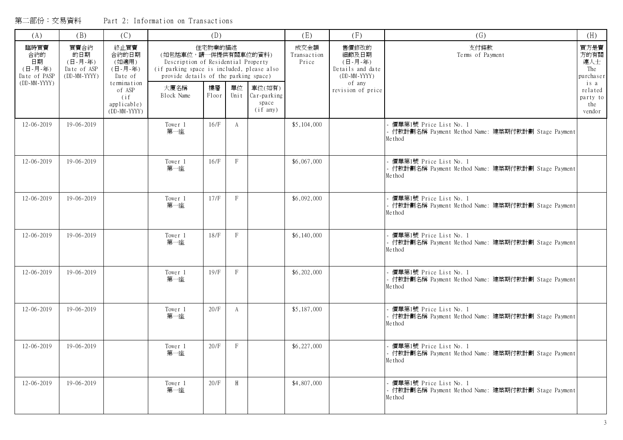|  |  | Part 2: Information on Transactions |  |  |
|--|--|-------------------------------------|--|--|
|--|--|-------------------------------------|--|--|

| (A)                                                          | (B)                                                   | (C)                                                         |                                                                                                                                                    | (D)         |            |                                                 | (E)                          | (F)                                                           | (G)                                                                                       | (H)                                             |
|--------------------------------------------------------------|-------------------------------------------------------|-------------------------------------------------------------|----------------------------------------------------------------------------------------------------------------------------------------------------|-------------|------------|-------------------------------------------------|------------------------------|---------------------------------------------------------------|-------------------------------------------------------------------------------------------|-------------------------------------------------|
| 臨時買賣<br>合約的<br>日期<br>(日-月-年)<br>Date of PASP<br>(DD-MM-YYYY) | 買賣合約<br>的日期<br>(日-月-年)<br>Date of ASP<br>(DD-MM-YYYY) | 終止買賣<br>合約的日期<br>(如適用)<br>(日-月-年)<br>Date of<br>termination | (如包括車位,請一併提供有關車位的資料)<br>Description of Residential Property<br>(if parking space is included, please also<br>provide details of the parking space) | 住宅物業的描述     |            |                                                 | 成交金額<br>Transaction<br>Price | 售價修改的<br>細節及日期<br>(日-月-年)<br>Details and date<br>(DD-MM-YYYY) | 支付條款<br>Terms of Payment                                                                  | 買方是賣<br>方的有關<br>連人士<br>The<br>purchaser<br>is a |
|                                                              |                                                       | of ASP<br>$(i$ f<br>applicable)<br>(DD-MM-YYYY)             | 大廈名稱<br>Block Name                                                                                                                                 | 樓層<br>Floor | 單位<br>Unit | 車位(如有)<br>Car-parking<br>space<br>$(i f \nany)$ |                              | of any<br>revision of price                                   |                                                                                           | related<br>party to<br>the<br>vendor            |
| $12 - 06 - 2019$                                             | 19-06-2019                                            |                                                             | Tower 1<br>第一座                                                                                                                                     | 16/F        | A          |                                                 | \$5,104,000                  |                                                               | 價單第1號 Price List No. 1<br>- 付款計劃名稱 Payment Method Name: 建築期付款計劃 Stage Payment<br>Method   |                                                 |
| 12-06-2019                                                   | $19 - 06 - 2019$                                      |                                                             | Tower 1<br>第一座                                                                                                                                     | 16/F        | F          |                                                 | \$6,067,000                  |                                                               | - 價單第1號 Price List No. 1<br>- 付款計劃名稱 Payment Method Name: 建築期付款計劃 Stage Payment<br>Method |                                                 |
| $12 - 06 - 2019$                                             | $19 - 06 - 2019$                                      |                                                             | Tower 1<br>第一座                                                                                                                                     | 17/F        | F          |                                                 | \$6.092.000                  |                                                               | 價單第1號 Price List No. 1<br>- 付款計劃名稱 Payment Method Name: 建築期付款計劃 Stage Payment<br>Method   |                                                 |
| 12-06-2019                                                   | 19-06-2019                                            |                                                             | Tower 1<br>第一座                                                                                                                                     | 18/F        | F          |                                                 | \$6,140,000                  |                                                               | - 價單第1號 Price List No. 1<br>- 付款計劃名稱 Payment Method Name: 建築期付款計劃 Stage Payment<br>Method |                                                 |
| 12-06-2019                                                   | 19-06-2019                                            |                                                             | Tower 1<br>第一座                                                                                                                                     | 19/F        | F          |                                                 | \$6,202,000                  |                                                               | 價單第1號 Price List No. 1<br>- 付款計劃名稱 Payment Method Name: 建築期付款計劃 Stage Payment<br>Method   |                                                 |
| 12-06-2019                                                   | 19-06-2019                                            |                                                             | Tower 1<br>第一座                                                                                                                                     | 20/F        | A          |                                                 | \$5,187,000                  |                                                               | - 價單第1號 Price List No. 1<br>- 付款計劃名稱 Payment Method Name: 建築期付款計劃 Stage Payment<br>Method |                                                 |
| 12-06-2019                                                   | 19-06-2019                                            |                                                             | Tower 1<br>第一座                                                                                                                                     | 20/F        | F          |                                                 | \$6,227,000                  |                                                               | - 價單第1號 Price List No. 1<br>- 付款計劃名稱 Payment Method Name: 建築期付款計劃 Stage Payment<br>Method |                                                 |
| 12-06-2019                                                   | $19 - 06 - 2019$                                      |                                                             | Tower 1<br>第一座                                                                                                                                     | 20/F        | H          |                                                 | \$4,807,000                  |                                                               | 價單第1號 Price List No. 1<br>- 付款計劃名稱 Payment Method Name: 建築期付款計劃 Stage Payment<br>Method   |                                                 |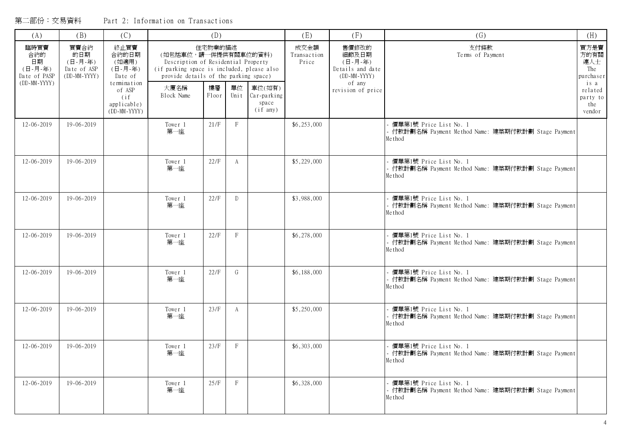| Part 2: Information on Transactions |  |  |  |  |  |  |  |
|-------------------------------------|--|--|--|--|--|--|--|
|-------------------------------------|--|--|--|--|--|--|--|

| (A)                                          | (B)                                                   | (C)                                                            |                                                                                                                                                    | (D)         |               |                                                 | (E)                          | (F)                                                           | (G)                                                                                       | (H)                                          |
|----------------------------------------------|-------------------------------------------------------|----------------------------------------------------------------|----------------------------------------------------------------------------------------------------------------------------------------------------|-------------|---------------|-------------------------------------------------|------------------------------|---------------------------------------------------------------|-------------------------------------------------------------------------------------------|----------------------------------------------|
| 臨時買賣<br>合約的<br>日期<br>(日-月-年)<br>Date of PASP | 買賣合約<br>的日期<br>(日-月-年)<br>Date of ASP<br>(DD-MM-YYYY) | 終止買賣<br>合約的日期<br>(如適用)<br>(日-月-年)<br>Date of                   | (如包括車位,請一併提供有關車位的資料)<br>Description of Residential Property<br>(if parking space is included, please also<br>provide details of the parking space) | 住宅物業的描述     |               |                                                 | 成交金額<br>Transaction<br>Price | 售價修改的<br>細節及日期<br>(日-月-年)<br>Details and date<br>(DD-MM-YYYY) | 支付條款<br>Terms of Payment                                                                  | 買方是賣<br>方的有關<br>連人士<br>The<br>purchaser      |
| (DD-MM-YYYY)                                 |                                                       | termination<br>of ASP<br>$(i$ f<br>applicable)<br>(DD-MM-YYYY) | 大廈名稱<br>Block Name                                                                                                                                 | 樓層<br>Floor | 單位<br>Unit    | 車位(如有)<br>Car-parking<br>space<br>$(i f \nany)$ |                              | of any<br>revision of price                                   |                                                                                           | is a<br>related<br>party to<br>the<br>vendor |
| $12 - 06 - 2019$                             | $19 - 06 - 2019$                                      |                                                                | Tower 1<br>第一座                                                                                                                                     | 21/F        | F             |                                                 | \$6, 253, 000                |                                                               | 價單第1號 Price List No. 1<br>- 付款計劃名稱 Payment Method Name: 建築期付款計劃 Stage Payment<br>Method   |                                              |
| 12-06-2019                                   | 19-06-2019                                            |                                                                | Tower 1<br>第一座                                                                                                                                     | 22/F        | $\mathbf{A}$  |                                                 | \$5,229,000                  |                                                               | - 價單第1號 Price List No. 1<br>- 付款計劃名稱 Payment Method Name: 建築期付款計劃 Stage Payment<br>Method |                                              |
| 12-06-2019                                   | 19-06-2019                                            |                                                                | Tower 1<br>第一座                                                                                                                                     | 22/F        | $\mathbb{D}$  |                                                 | \$3,988,000                  |                                                               | - 價單第1號 Price List No. 1<br>- 付款計劃名稱 Payment Method Name: 建築期付款計劃 Stage Payment<br>Method |                                              |
| 12-06-2019                                   | 19-06-2019                                            |                                                                | Tower 1<br>第一座                                                                                                                                     | 22/F        | F             |                                                 | \$6,278,000                  |                                                               | - 價單第1號 Price List No. 1<br>- 付款計劃名稱 Payment Method Name: 建築期付款計劃 Stage Payment<br>Method |                                              |
| 12-06-2019                                   | 19-06-2019                                            |                                                                | Tower 1<br>第一座                                                                                                                                     | 22/F        | $\mathcal{G}$ |                                                 | \$6,188,000                  |                                                               | - 價單第1號 Price List No. 1<br>- 付款計劃名稱 Payment Method Name: 建築期付款計劃 Stage Payment<br>Method |                                              |
| 12-06-2019                                   | 19-06-2019                                            |                                                                | Tower 1<br>第一座                                                                                                                                     | 23/F        | A             |                                                 | \$5,250,000                  |                                                               | 價單第1號 Price List No. 1<br>- 付款計劃名稱 Payment Method Name: 建築期付款計劃 Stage Payment<br>Method   |                                              |
| 12-06-2019                                   | 19-06-2019                                            |                                                                | Tower 1<br>第一座                                                                                                                                     | 23/F        | F             |                                                 | \$6,303,000                  |                                                               | - 價單第1號 Price List No. 1<br>- 付款計劃名稱 Payment Method Name: 建築期付款計劃 Stage Payment<br>Method |                                              |
| 12-06-2019                                   | 19-06-2019                                            |                                                                | Tower 1<br>第一座                                                                                                                                     | 25/F        | F             |                                                 | \$6,328,000                  |                                                               | 價單第1號 Price List No. 1<br>- 付款計劃名稱 Payment Method Name: 建築期付款計劃 Stage Payment<br>Method   |                                              |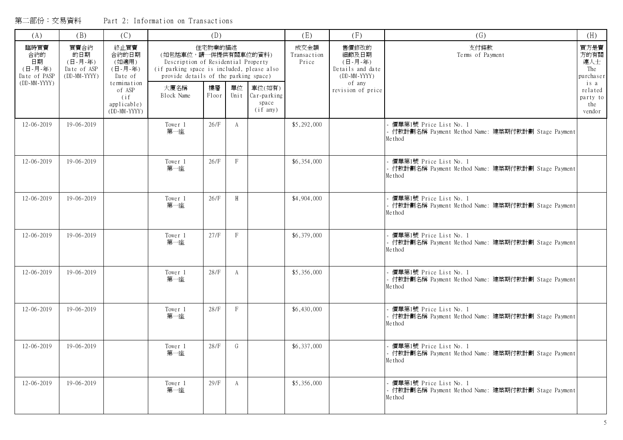|  |  | Part 2: Information on Transactions |  |  |
|--|--|-------------------------------------|--|--|
|--|--|-------------------------------------|--|--|

| (A)                                          | (B)                                                   | (C)                                                            |                                                                                                                                                    | (D)         |               |                                                 | (E)                          | (F)                                                           | (G)                                                                                       | (H)                                          |
|----------------------------------------------|-------------------------------------------------------|----------------------------------------------------------------|----------------------------------------------------------------------------------------------------------------------------------------------------|-------------|---------------|-------------------------------------------------|------------------------------|---------------------------------------------------------------|-------------------------------------------------------------------------------------------|----------------------------------------------|
| 臨時買賣<br>合約的<br>日期<br>(日-月-年)<br>Date of PASP | 買賣合約<br>的日期<br>(日-月-年)<br>Date of ASP<br>(DD-MM-YYYY) | 終止買賣<br>合約的日期<br>(如適用)<br>(日-月-年)<br>Date of                   | (如包括車位,請一併提供有關車位的資料)<br>Description of Residential Property<br>(if parking space is included, please also<br>provide details of the parking space) | 住宅物業的描述     |               |                                                 | 成交金額<br>Transaction<br>Price | 售價修改的<br>細節及日期<br>(日-月-年)<br>Details and date<br>(DD-MM-YYYY) | 支付條款<br>Terms of Payment                                                                  | 買方是賣<br>方的有關<br>連人士<br>The<br>purchaser      |
| (DD-MM-YYYY)                                 |                                                       | termination<br>of ASP<br>$(i$ f<br>applicable)<br>(DD-MM-YYYY) | 大廈名稱<br>Block Name                                                                                                                                 | 樓層<br>Floor | 單位<br>Unit    | 車位(如有)<br>Car-parking<br>space<br>$(i f \nany)$ |                              | of any<br>revision of price                                   |                                                                                           | is a<br>related<br>party to<br>the<br>vendor |
| $12 - 06 - 2019$                             | $19 - 06 - 2019$                                      |                                                                | Tower 1<br>第一座                                                                                                                                     | 26/F        | $\mathbf{A}$  |                                                 | \$5,292,000                  |                                                               | 價單第1號 Price List No. 1<br>- 付款計劃名稱 Payment Method Name: 建築期付款計劃 Stage Payment<br>Method   |                                              |
| 12-06-2019                                   | 19-06-2019                                            |                                                                | Tower 1<br>第一座                                                                                                                                     | 26/F        | F             |                                                 | \$6,354,000                  |                                                               | - 價單第1號 Price List No. 1<br>- 付款計劃名稱 Payment Method Name: 建築期付款計劃 Stage Payment<br>Method |                                              |
| 12-06-2019                                   | 19-06-2019                                            |                                                                | Tower 1<br>第一座                                                                                                                                     | 26/F        | H             |                                                 | \$4,904,000                  |                                                               | - 價單第1號 Price List No. 1<br>- 付款計劃名稱 Payment Method Name: 建築期付款計劃 Stage Payment<br>Method |                                              |
| 12-06-2019                                   | 19-06-2019                                            |                                                                | Tower 1<br>第一座                                                                                                                                     | 27/F        | F             |                                                 | \$6,379,000                  |                                                               | - 價單第1號 Price List No. 1<br>- 付款計劃名稱 Payment Method Name: 建築期付款計劃 Stage Payment<br>Method |                                              |
| 12-06-2019                                   | 19-06-2019                                            |                                                                | Tower 1<br>第一座                                                                                                                                     | 28/F        | $\mathbf{A}$  |                                                 | \$5,356,000                  |                                                               | - 價單第1號 Price List No. 1<br>- 付款計劃名稱 Payment Method Name: 建築期付款計劃 Stage Payment<br>Method |                                              |
| 12-06-2019                                   | 19-06-2019                                            |                                                                | Tower 1<br>第一座                                                                                                                                     | 28/F        | F             |                                                 | \$6,430,000                  |                                                               | 價單第1號 Price List No. 1<br>- 付款計劃名稱 Payment Method Name: 建築期付款計劃 Stage Payment<br>Method   |                                              |
| 12-06-2019                                   | 19-06-2019                                            |                                                                | Tower 1<br>第一座                                                                                                                                     | 28/F        | $\mathcal{G}$ |                                                 | \$6,337,000                  |                                                               | - 價單第1號 Price List No. 1<br>- 付款計劃名稱 Payment Method Name: 建築期付款計劃 Stage Payment<br>Method |                                              |
| 12-06-2019                                   | 19-06-2019                                            |                                                                | Tower 1<br>第一座                                                                                                                                     | 29/F        | $\mathbf{A}$  |                                                 | \$5,356,000                  |                                                               | 價單第1號 Price List No. 1<br>- 付款計劃名稱 Payment Method Name: 建築期付款計劃 Stage Payment<br>Method   |                                              |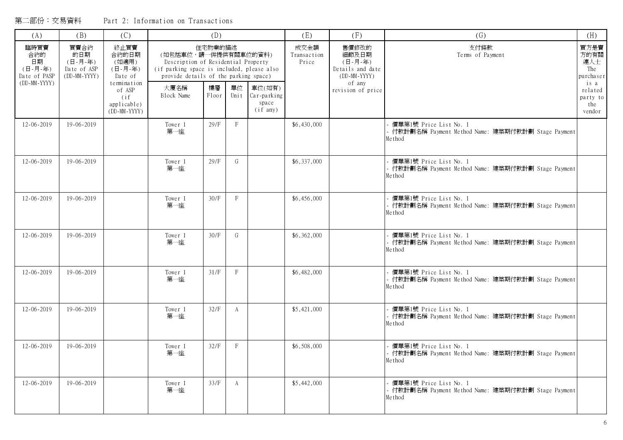|  |  | Part 2: Information on Transactions |  |  |
|--|--|-------------------------------------|--|--|
|--|--|-------------------------------------|--|--|

| (A)                                          | (B)                                                   | (C)                                                            |                                                                                                                                                    | (D)         |               |                                                 | (E)                          | (F)                                                           | (G)                                                                                       | (H)                                          |
|----------------------------------------------|-------------------------------------------------------|----------------------------------------------------------------|----------------------------------------------------------------------------------------------------------------------------------------------------|-------------|---------------|-------------------------------------------------|------------------------------|---------------------------------------------------------------|-------------------------------------------------------------------------------------------|----------------------------------------------|
| 臨時買賣<br>合約的<br>日期<br>(日-月-年)<br>Date of PASP | 買賣合約<br>的日期<br>(日-月-年)<br>Date of ASP<br>(DD-MM-YYYY) | 終止買賣<br>合約的日期<br>(如適用)<br>(日-月-年)<br>Date of                   | (如包括車位,請一併提供有關車位的資料)<br>Description of Residential Property<br>(if parking space is included, please also<br>provide details of the parking space) | 住宅物業的描述     |               |                                                 | 成交金額<br>Transaction<br>Price | 售價修改的<br>細節及日期<br>(日-月-年)<br>Details and date<br>(DD-MM-YYYY) | 支付條款<br>Terms of Payment                                                                  | 買方是賣<br>方的有關<br>連人士<br>The<br>purchaser      |
| (DD-MM-YYYY)                                 |                                                       | termination<br>of ASP<br>$(i$ f<br>applicable)<br>(DD-MM-YYYY) | 大廈名稱<br>Block Name                                                                                                                                 | 樓層<br>Floor | 單位<br>Unit    | 車位(如有)<br>Car-parking<br>space<br>$(i f \nany)$ |                              | of any<br>revision of price                                   |                                                                                           | is a<br>related<br>party to<br>the<br>vendor |
| $12 - 06 - 2019$                             | $19 - 06 - 2019$                                      |                                                                | Tower 1<br>第一座                                                                                                                                     | 29/F        | F             |                                                 | \$6,430,000                  |                                                               | 價單第1號 Price List No. 1<br>- 付款計劃名稱 Payment Method Name: 建築期付款計劃 Stage Payment<br>Method   |                                              |
| 12-06-2019                                   | 19-06-2019                                            |                                                                | Tower 1<br>第一座                                                                                                                                     | 29/F        | $\mathcal{G}$ |                                                 | \$6,337,000                  |                                                               | - 價單第1號 Price List No. 1<br>- 付款計劃名稱 Payment Method Name: 建築期付款計劃 Stage Payment<br>Method |                                              |
| 12-06-2019                                   | 19-06-2019                                            |                                                                | Tower 1<br>第一座                                                                                                                                     | 30/F        | F             |                                                 | \$6,456,000                  |                                                               | - 價單第1號 Price List No. 1<br>- 付款計劃名稱 Payment Method Name: 建築期付款計劃 Stage Payment<br>Method |                                              |
| 12-06-2019                                   | 19-06-2019                                            |                                                                | Tower 1<br>第一座                                                                                                                                     | 30/F        | $\mathcal{G}$ |                                                 | \$6,362,000                  |                                                               | - 價單第1號 Price List No. 1<br>- 付款計劃名稱 Payment Method Name: 建築期付款計劃 Stage Payment<br>Method |                                              |
| 12-06-2019                                   | 19-06-2019                                            |                                                                | Tower 1<br>第一座                                                                                                                                     | 31/F        | F             |                                                 | \$6,482,000                  |                                                               | - 價單第1號 Price List No. 1<br>- 付款計劃名稱 Payment Method Name: 建築期付款計劃 Stage Payment<br>Method |                                              |
| 12-06-2019                                   | 19-06-2019                                            |                                                                | Tower 1<br>第一座                                                                                                                                     | 32/F        | A             |                                                 | \$5,421,000                  |                                                               | 價單第1號 Price List No. 1<br>- 付款計劃名稱 Payment Method Name: 建築期付款計劃 Stage Payment<br>Method   |                                              |
| 12-06-2019                                   | 19-06-2019                                            |                                                                | Tower 1<br>第一座                                                                                                                                     | 32/F        | F             |                                                 | \$6,508,000                  |                                                               | - 價單第1號 Price List No. 1<br>- 付款計劃名稱 Payment Method Name: 建築期付款計劃 Stage Payment<br>Method |                                              |
| 12-06-2019                                   | 19-06-2019                                            |                                                                | Tower 1<br>第一座                                                                                                                                     | 33/F        | $\mathbf{A}$  |                                                 | \$5,442,000                  |                                                               | 價單第1號 Price List No. 1<br>- 付款計劃名稱 Payment Method Name: 建築期付款計劃 Stage Payment<br>Method   |                                              |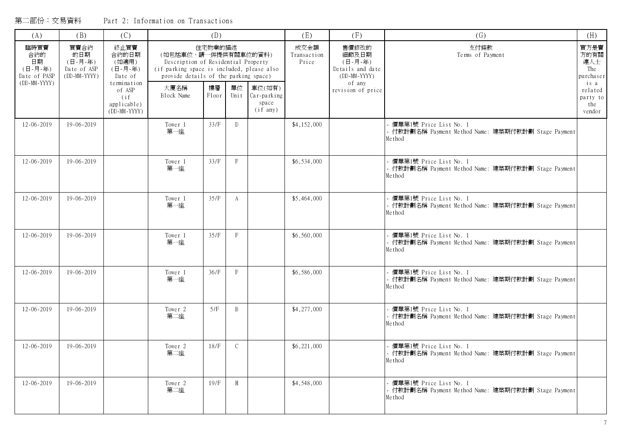|  |  | Part 2: Information on Transactions |  |  |
|--|--|-------------------------------------|--|--|
|--|--|-------------------------------------|--|--|

| (A)                                          | (B)                                                   | (C)                                                            |                                                                                                                                                    | (D)         |               |                                                 | (E)                          | (F)                                                           | (G)                                                                                       | (H)                                          |
|----------------------------------------------|-------------------------------------------------------|----------------------------------------------------------------|----------------------------------------------------------------------------------------------------------------------------------------------------|-------------|---------------|-------------------------------------------------|------------------------------|---------------------------------------------------------------|-------------------------------------------------------------------------------------------|----------------------------------------------|
| 臨時買賣<br>合約的<br>日期<br>(日-月-年)<br>Date of PASP | 買賣合約<br>的日期<br>(日-月-年)<br>Date of ASP<br>(DD-MM-YYYY) | 終止買賣<br>合約的日期<br>(如適用)<br>(日-月-年)<br>Date of                   | (如包括車位,請一併提供有關車位的資料)<br>Description of Residential Property<br>(if parking space is included, please also<br>provide details of the parking space) | 住宅物業的描述     |               |                                                 | 成交金額<br>Transaction<br>Price | 售價修改的<br>細節及日期<br>(日-月-年)<br>Details and date<br>(DD-MM-YYYY) | 支付條款<br>Terms of Payment                                                                  | 買方是賣<br>方的有關<br>連人士<br>The<br>purchaser      |
| (DD-MM-YYYY)                                 |                                                       | termination<br>of ASP<br>$(i$ f<br>applicable)<br>(DD-MM-YYYY) | 大廈名稱<br>Block Name                                                                                                                                 | 樓層<br>Floor | 單位<br>Unit    | 車位(如有)<br>Car-parking<br>space<br>$(i f \nany)$ |                              | of any<br>revision of price                                   |                                                                                           | is a<br>related<br>party to<br>the<br>vendor |
| $12 - 06 - 2019$                             | $19 - 06 - 2019$                                      |                                                                | Tower 1<br>第一座                                                                                                                                     | 33/F        | D             |                                                 | \$4,152,000                  |                                                               | 價單第1號 Price List No. 1<br>- 付款計劃名稱 Payment Method Name: 建築期付款計劃 Stage Payment<br>Method   |                                              |
| 12-06-2019                                   | 19-06-2019                                            |                                                                | Tower 1<br>第一座                                                                                                                                     | 33/F        | F             |                                                 | \$6,534,000                  |                                                               | - 價單第1號 Price List No. 1<br>- 付款計劃名稱 Payment Method Name: 建築期付款計劃 Stage Payment<br>Method |                                              |
| 12-06-2019                                   | 19-06-2019                                            |                                                                | Tower 1<br>第一座                                                                                                                                     | 35/F        | A             |                                                 | \$5,464,000                  |                                                               | - 價單第1號 Price List No. 1<br>- 付款計劃名稱 Payment Method Name: 建築期付款計劃 Stage Payment<br>Method |                                              |
| 12-06-2019                                   | 19-06-2019                                            |                                                                | Tower 1<br>第一座                                                                                                                                     | 35/F        | F             |                                                 | \$6,560,000                  |                                                               | - 價單第1號 Price List No. 1<br>- 付款計劃名稱 Payment Method Name: 建築期付款計劃 Stage Payment<br>Method |                                              |
| 12-06-2019                                   | 19-06-2019                                            |                                                                | Tower 1<br>第一座                                                                                                                                     | 36/F        | F             |                                                 | \$6,586,000                  |                                                               | - 價單第1號 Price List No. 1<br>- 付款計劃名稱 Payment Method Name: 建築期付款計劃 Stage Payment<br>Method |                                              |
| 12-06-2019                                   | 19-06-2019                                            |                                                                | Tower 2<br>第二座                                                                                                                                     | 5/F         | B             |                                                 | \$4,277,000                  |                                                               | 價單第1號 Price List No. 1<br>- 付款計劃名稱 Payment Method Name: 建築期付款計劃 Stage Payment<br>Method   |                                              |
| 12-06-2019                                   | 19-06-2019                                            |                                                                | Tower 2<br>第二座                                                                                                                                     | 18/F        | $\mathcal{C}$ |                                                 | \$6,221,000                  |                                                               | - 價單第1號 Price List No. 1<br>- 付款計劃名稱 Payment Method Name: 建築期付款計劃 Stage Payment<br>Method |                                              |
| 12-06-2019                                   | 19-06-2019                                            |                                                                | Tower 2<br>第二座                                                                                                                                     | 19/F        | H             |                                                 | \$4,548,000                  |                                                               | 價單第1號 Price List No. 1<br>- 付款計劃名稱 Payment Method Name: 建築期付款計劃 Stage Payment<br>Method   |                                              |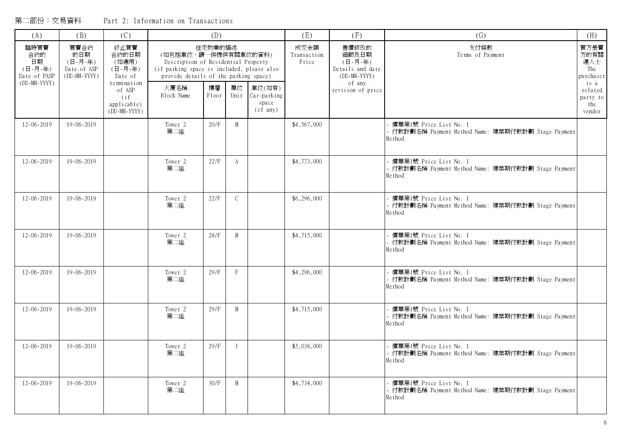|  |  | Part 2: Information on Transactions |  |  |
|--|--|-------------------------------------|--|--|
|--|--|-------------------------------------|--|--|

| (A)                                          | (B)                                                   | (C)                                                            |                                                                                                                                                    | (D)         |               |                                                 | (E)                          | (F)                                                           | (G)                                                                                       | (H)                                          |
|----------------------------------------------|-------------------------------------------------------|----------------------------------------------------------------|----------------------------------------------------------------------------------------------------------------------------------------------------|-------------|---------------|-------------------------------------------------|------------------------------|---------------------------------------------------------------|-------------------------------------------------------------------------------------------|----------------------------------------------|
| 臨時買賣<br>合約的<br>日期<br>(日-月-年)<br>Date of PASP | 買賣合約<br>的日期<br>(日-月-年)<br>Date of ASP<br>(DD-MM-YYYY) | 終止買賣<br>合約的日期<br>(如適用)<br>(日-月-年)<br>Date of                   | (如包括車位,請一併提供有關車位的資料)<br>Description of Residential Property<br>(if parking space is included, please also<br>provide details of the parking space) | 住宅物業的描述     |               |                                                 | 成交金額<br>Transaction<br>Price | 售價修改的<br>細節及日期<br>(日-月-年)<br>Details and date<br>(DD-MM-YYYY) | 支付條款<br>Terms of Payment                                                                  | 買方是賣<br>方的有關<br>連人士<br>The<br>purchaser      |
| (DD-MM-YYYY)                                 |                                                       | termination<br>of ASP<br>$(i$ f<br>applicable)<br>(DD-MM-YYYY) | 大廈名稱<br>Block Name                                                                                                                                 | 樓層<br>Floor | 單位<br>Unit    | 車位(如有)<br>Car-parking<br>space<br>$(i f \nany)$ |                              | of any<br>revision of price                                   |                                                                                           | is a<br>related<br>party to<br>the<br>vendor |
| $12 - 06 - 2019$                             | $19 - 06 - 2019$                                      |                                                                | Tower 2<br>第二座                                                                                                                                     | 20/F        | H             |                                                 | \$4,567,000                  |                                                               | 價單第1號 Price List No. 1<br>- 付款計劃名稱 Payment Method Name: 建築期付款計劃 Stage Payment<br>Method   |                                              |
| 12-06-2019                                   | 19-06-2019                                            |                                                                | Tower 2<br>第二座                                                                                                                                     | 22/F        | $\mathbf{A}$  |                                                 | \$4,773,000                  |                                                               | - 價單第1號 Price List No. 1<br>- 付款計劃名稱 Payment Method Name: 建築期付款計劃 Stage Payment<br>Method |                                              |
| 12-06-2019                                   | 19-06-2019                                            |                                                                | Tower 2<br>第二座                                                                                                                                     | 22/F        | $\mathcal{C}$ |                                                 | \$6,296,000                  |                                                               | - 價單第1號 Price List No. 1<br>- 付款計劃名稱 Payment Method Name: 建築期付款計劃 Stage Payment<br>Method |                                              |
| 12-06-2019                                   | 19-06-2019                                            |                                                                | Tower 2<br>第二座                                                                                                                                     | 28/F        | H             |                                                 | \$4,715,000                  |                                                               | - 價單第1號 Price List No. 1<br>- 付款計劃名稱 Payment Method Name: 建築期付款計劃 Stage Payment<br>Method |                                              |
| 12-06-2019                                   | 19-06-2019                                            |                                                                | Tower 2<br>第二座                                                                                                                                     | 29/F        | F             |                                                 | \$4,296,000                  |                                                               | - 價單第1號 Price List No. 1<br>- 付款計劃名稱 Payment Method Name: 建築期付款計劃 Stage Payment<br>Method |                                              |
| 12-06-2019                                   | 19-06-2019                                            |                                                                | Tower 2<br>第二座                                                                                                                                     | 29/F        | H             |                                                 | \$4,715,000                  |                                                               | 價單第1號 Price List No. 1<br>- 付款計劃名稱 Payment Method Name: 建築期付款計劃 Stage Payment<br>Method   |                                              |
| 12-06-2019                                   | 19-06-2019                                            |                                                                | Tower 2<br>第二座                                                                                                                                     | 29/F        | $\mathbf{J}$  |                                                 | \$5,038,000                  |                                                               | - 價單第1號 Price List No. 1<br>- 付款計劃名稱 Payment Method Name: 建築期付款計劃 Stage Payment<br>Method |                                              |
| 12-06-2019                                   | 19-06-2019                                            |                                                                | Tower 2<br>第二座                                                                                                                                     | 30/F        | H             |                                                 | \$4,734,000                  |                                                               | 價單第1號 Price List No. 1<br>- 付款計劃名稱 Payment Method Name: 建築期付款計劃 Stage Payment<br>Method   |                                              |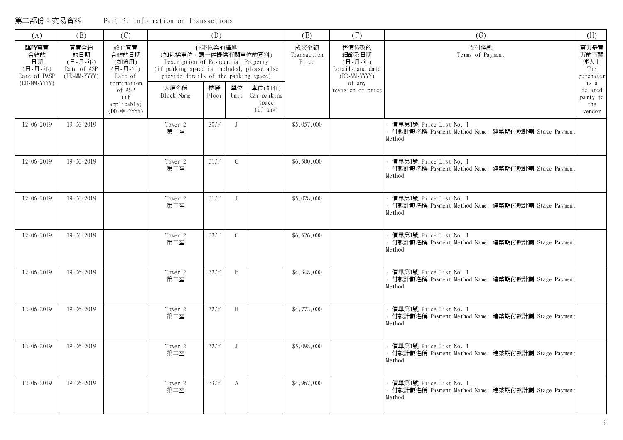|  |  | Part 2: Information on Transactions |  |  |
|--|--|-------------------------------------|--|--|
|--|--|-------------------------------------|--|--|

| (A)                                          | (B)                                                   | (C)                                                            |                                                                                                                                                    | (D)         |               |                                                 | (E)                          | (F)                                                           | (G)                                                                                       | (H)                                          |
|----------------------------------------------|-------------------------------------------------------|----------------------------------------------------------------|----------------------------------------------------------------------------------------------------------------------------------------------------|-------------|---------------|-------------------------------------------------|------------------------------|---------------------------------------------------------------|-------------------------------------------------------------------------------------------|----------------------------------------------|
| 臨時買賣<br>合約的<br>日期<br>(日-月-年)<br>Date of PASP | 買賣合約<br>的日期<br>(日-月-年)<br>Date of ASP<br>(DD-MM-YYYY) | 終止買賣<br>合約的日期<br>(如適用)<br>(日-月-年)<br>Date of                   | (如包括車位,請一併提供有關車位的資料)<br>Description of Residential Property<br>(if parking space is included, please also<br>provide details of the parking space) | 住宅物業的描述     |               |                                                 | 成交金額<br>Transaction<br>Price | 售價修改的<br>細節及日期<br>(日-月-年)<br>Details and date<br>(DD-MM-YYYY) | 支付條款<br>Terms of Payment                                                                  | 買方是賣<br>方的有關<br>連人士<br>The<br>purchaser      |
| (DD-MM-YYYY)                                 |                                                       | termination<br>of ASP<br>$(i$ f<br>applicable)<br>(DD-MM-YYYY) | 大廈名稱<br>Block Name                                                                                                                                 | 樓層<br>Floor | 單位<br>Unit    | 車位(如有)<br>Car-parking<br>space<br>$(i f \nany)$ |                              | of any<br>revision of price                                   |                                                                                           | is a<br>related<br>party to<br>the<br>vendor |
| $12 - 06 - 2019$                             | $19 - 06 - 2019$                                      |                                                                | Tower 2<br>第二座                                                                                                                                     | 30/F        | $\mathbf{I}$  |                                                 | \$5,057,000                  |                                                               | 價單第1號 Price List No. 1<br>- 付款計劃名稱 Payment Method Name: 建築期付款計劃 Stage Payment<br>Method   |                                              |
| 12-06-2019                                   | 19-06-2019                                            |                                                                | Tower 2<br>第二座                                                                                                                                     | 31/F        | $\mathcal{C}$ |                                                 | \$6,500,000                  |                                                               | - 價單第1號 Price List No. 1<br>- 付款計劃名稱 Payment Method Name: 建築期付款計劃 Stage Payment<br>Method |                                              |
| 12-06-2019                                   | 19-06-2019                                            |                                                                | Tower 2<br>第二座                                                                                                                                     | 31/F        | $\mathbf{I}$  |                                                 | \$5,078,000                  |                                                               | - 價單第1號 Price List No. 1<br>- 付款計劃名稱 Payment Method Name: 建築期付款計劃 Stage Payment<br>Method |                                              |
| 12-06-2019                                   | 19-06-2019                                            |                                                                | Tower 2<br>第二座                                                                                                                                     | 32/F        | $\mathcal{C}$ |                                                 | \$6,526,000                  |                                                               | - 價單第1號 Price List No. 1<br>- 付款計劃名稱 Payment Method Name: 建築期付款計劃 Stage Payment<br>Method |                                              |
| 12-06-2019                                   | 19-06-2019                                            |                                                                | Tower 2<br>第二座                                                                                                                                     | 32/F        | F             |                                                 | \$4,348,000                  |                                                               | - 價單第1號 Price List No. 1<br>- 付款計劃名稱 Payment Method Name: 建築期付款計劃 Stage Payment<br>Method |                                              |
| 12-06-2019                                   | 19-06-2019                                            |                                                                | Tower 2<br>第二座                                                                                                                                     | 32/F        | H             |                                                 | \$4,772,000                  |                                                               | 價單第1號 Price List No. 1<br>- 付款計劃名稱 Payment Method Name: 建築期付款計劃 Stage Payment<br>Method   |                                              |
| 12-06-2019                                   | 19-06-2019                                            |                                                                | Tower 2<br>第二座                                                                                                                                     | 32/F        | $\mathbf{J}$  |                                                 | \$5,098,000                  |                                                               | - 價單第1號 Price List No. 1<br>- 付款計劃名稱 Payment Method Name: 建築期付款計劃 Stage Payment<br>Method |                                              |
| 12-06-2019                                   | 19-06-2019                                            |                                                                | Tower 2<br>第二座                                                                                                                                     | 33/F        | $\mathbf{A}$  |                                                 | \$4,967,000                  |                                                               | 價單第1號 Price List No. 1<br>- 付款計劃名稱 Payment Method Name: 建築期付款計劃 Stage Payment<br>Method   |                                              |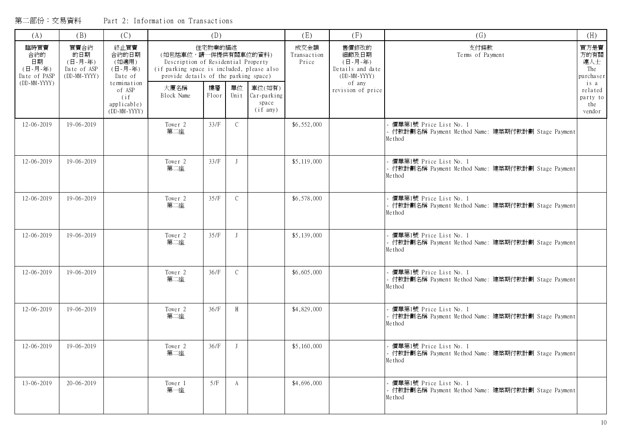| Part 2: Information on Transactions |  |  |  |  |  |  |  |
|-------------------------------------|--|--|--|--|--|--|--|
|-------------------------------------|--|--|--|--|--|--|--|

| (A)                                          | (B)                                                   | (C)                                                         |                                                                                                                                                    | (D)         |               |                                                 | (E)                          | (F)                                                           | (G)                                                                                       | (H)                                          |
|----------------------------------------------|-------------------------------------------------------|-------------------------------------------------------------|----------------------------------------------------------------------------------------------------------------------------------------------------|-------------|---------------|-------------------------------------------------|------------------------------|---------------------------------------------------------------|-------------------------------------------------------------------------------------------|----------------------------------------------|
| 臨時買賣<br>合約的<br>日期<br>(日-月-年)<br>Date of PASP | 買賣合約<br>的日期<br>(日-月-年)<br>Date of ASP<br>(DD-MM-YYYY) | 終止買賣<br>合約的日期<br>(如適用)<br>(日-月-年)<br>Date of<br>termination | (如包括車位,請一併提供有關車位的資料)<br>Description of Residential Property<br>(if parking space is included, please also<br>provide details of the parking space) | 住宅物業的描述     |               |                                                 | 成交金額<br>Transaction<br>Price | 售價修改的<br>細節及日期<br>(日-月-年)<br>Details and date<br>(DD-MM-YYYY) | 支付條款<br>Terms of Payment                                                                  | 買方是賣<br>方的有關<br>連人士<br>The<br>purchaser      |
| (DD-MM-YYYY)                                 |                                                       | of ASP<br>$(i$ f<br>applicable)<br>(DD-MM-YYYY)             | 大廈名稱<br>Block Name                                                                                                                                 | 樓層<br>Floor | 單位<br>Unit    | 車位(如有)<br>Car-parking<br>space<br>$(i f \nany)$ |                              | of any<br>revision of price                                   |                                                                                           | is a<br>related<br>party to<br>the<br>vendor |
| 12-06-2019                                   | 19-06-2019                                            |                                                             | Tower 2<br>第二座                                                                                                                                     | 33/F        | $\mathcal{C}$ |                                                 | \$6,552,000                  |                                                               | 價單第1號 Price List No. 1<br>- 付款計劃名稱 Payment Method Name: 建築期付款計劃 Stage Payment<br>Method   |                                              |
| 12-06-2019                                   | 19-06-2019                                            |                                                             | Tower 2<br>第二座                                                                                                                                     | 33/F        | $\mathbf{J}$  |                                                 | \$5,119,000                  |                                                               | - 價單第1號 Price List No. 1<br>- 付款計劃名稱 Payment Method Name: 建築期付款計劃 Stage Payment<br>Method |                                              |
| 12-06-2019                                   | $19 - 06 - 2019$                                      |                                                             | Tower <sub>2</sub><br>第二座                                                                                                                          | 35/F        | $\mathcal{C}$ |                                                 | \$6,578,000                  |                                                               | 價單第1號 Price List No. 1<br>- 付款計劃名稱 Payment Method Name: 建築期付款計劃 Stage Payment<br>Method   |                                              |
| 12-06-2019                                   | $19 - 06 - 2019$                                      |                                                             | Tower 2<br>第二座                                                                                                                                     | 35/F        | $\mathbf{J}$  |                                                 | \$5,139,000                  |                                                               | - 價單第1號 Price List No. 1<br>- 付款計劃名稱 Payment Method Name: 建築期付款計劃 Stage Payment<br>Method |                                              |
| $12 - 06 - 2019$                             | 19-06-2019                                            |                                                             | Tower 2<br>第二座                                                                                                                                     | 36/F        | $\mathcal{C}$ |                                                 | \$6,605,000                  |                                                               | - 價單第1號 Price List No. 1<br>- 付款計劃名稱 Payment Method Name: 建築期付款計劃 Stage Payment<br>Method |                                              |
| $12 - 06 - 2019$                             | 19-06-2019                                            |                                                             | Tower 2<br>第二座                                                                                                                                     | 36/F        | H             |                                                 | \$4,829,000                  |                                                               | 價單第1號 Price List No. 1<br>- 付款計劃名稱 Payment Method Name: 建築期付款計劃 Stage Payment<br>Method   |                                              |
| $12 - 06 - 2019$                             | $19 - 06 - 2019$                                      |                                                             | Tower 2<br>第二座                                                                                                                                     | 36/F        | $\mathbf{I}$  |                                                 | \$5,160,000                  |                                                               | - 價單第1號 Price List No. 1<br>- 付款計劃名稱 Payment Method Name: 建築期付款計劃 Stage Payment<br>Method |                                              |
| 13-06-2019                                   | $20 - 06 - 2019$                                      |                                                             | Tower 1<br>第一座                                                                                                                                     | 5/F         | $\mathbf{A}$  |                                                 | \$4,696,000                  |                                                               | 價單第1號 Price List No. 1<br>- 付款計劃名稱 Payment Method Name: 建築期付款計劃 Stage Payment<br>Method   |                                              |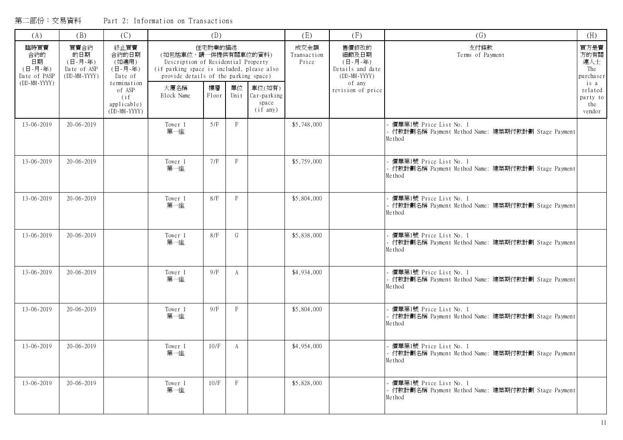| Part 2: Information on Transactions |  |  |  |  |  |  |  |
|-------------------------------------|--|--|--|--|--|--|--|
|-------------------------------------|--|--|--|--|--|--|--|

| (A)                                          | (B)                                                   | (C)                                                         |                                                                                                                                                    | (D)         |              |                                                 | (E)                          | (F)                                                           | (G)                                                                                       | (H)                                          |
|----------------------------------------------|-------------------------------------------------------|-------------------------------------------------------------|----------------------------------------------------------------------------------------------------------------------------------------------------|-------------|--------------|-------------------------------------------------|------------------------------|---------------------------------------------------------------|-------------------------------------------------------------------------------------------|----------------------------------------------|
| 臨時買賣<br>合約的<br>日期<br>(日-月-年)<br>Date of PASP | 買賣合約<br>的日期<br>(日-月-年)<br>Date of ASP<br>(DD-MM-YYYY) | 終止買賣<br>合約的日期<br>(如適用)<br>(日-月-年)<br>Date of<br>termination | (如包括車位,請一併提供有關車位的資料)<br>Description of Residential Property<br>(if parking space is included, please also<br>provide details of the parking space) | 住宅物業的描述     |              |                                                 | 成交金額<br>Transaction<br>Price | 售價修改的<br>細節及日期<br>(日-月-年)<br>Details and date<br>(DD-MM-YYYY) | 支付條款<br>Terms of Payment                                                                  | 買方是賣<br>方的有關<br>連人士<br>The<br>purchaser      |
| (DD-MM-YYYY)                                 |                                                       | of ASP<br>$(i$ f<br>applicable)<br>(DD-MM-YYYY)             | 大廈名稱<br>Block Name                                                                                                                                 | 樓層<br>Floor | 單位<br>Unit   | 車位(如有)<br>Car-parking<br>space<br>$(i f \nany)$ |                              | of any<br>revision of price                                   |                                                                                           | is a<br>related<br>party to<br>the<br>vendor |
| 13-06-2019                                   | $20 - 06 - 2019$                                      |                                                             | Tower 1<br>第一座                                                                                                                                     | 5/F         | F            |                                                 | \$5,748,000                  |                                                               | 價單第1號 Price List No. 1<br>- 付款計劃名稱 Payment Method Name: 建築期付款計劃 Stage Payment<br>Method   |                                              |
| 13-06-2019                                   | $20 - 06 - 2019$                                      |                                                             | Tower 1<br>第一座                                                                                                                                     | 7/F         | F            |                                                 | \$5,759,000                  |                                                               | - 價單第1號 Price List No. 1<br>- 付款計劃名稱 Payment Method Name: 建築期付款計劃 Stage Payment<br>Method |                                              |
| $13 - 06 - 2019$                             | $20 - 06 - 2019$                                      |                                                             | Tower 1<br>第一座                                                                                                                                     | 8/F         | F            |                                                 | \$5,804,000                  |                                                               | - 價單第1號 Price List No. 1<br>- 付款計劃名稱 Payment Method Name: 建築期付款計劃 Stage Payment<br>Method |                                              |
| $13 - 06 - 2019$                             | $20 - 06 - 2019$                                      |                                                             | Tower 1<br>第一座                                                                                                                                     | 8/F         | G.           |                                                 | \$5,838,000                  |                                                               | - 價單第1號 Price List No. 1<br>- 付款計劃名稱 Payment Method Name: 建築期付款計劃 Stage Payment<br>Method |                                              |
| $13 - 06 - 2019$                             | $20 - 06 - 2019$                                      |                                                             | Tower 1<br>第一座                                                                                                                                     | 9/F         | $\mathbf{A}$ |                                                 | \$4,934,000                  |                                                               | - 價單第1號 Price List No. 1<br>- 付款計劃名稱 Payment Method Name: 建築期付款計劃 Stage Payment<br>Method |                                              |
| $13 - 06 - 2019$                             | $20 - 06 - 2019$                                      |                                                             | Tower 1<br>第一座                                                                                                                                     | 9/F         | F            |                                                 | \$5,804,000                  |                                                               | 價單第1號 Price List No. 1<br>- 付款計劃名稱 Payment Method Name: 建築期付款計劃 Stage Payment<br>Method   |                                              |
| $13 - 06 - 2019$                             | $20 - 06 - 2019$                                      |                                                             | Tower 1<br>第一座                                                                                                                                     | 10/F        | $\mathbf{A}$ |                                                 | \$4,954,000                  |                                                               | - 價單第1號 Price List No. 1<br>- 付款計劃名稱 Payment Method Name: 建築期付款計劃 Stage Payment<br>Method |                                              |
| 13-06-2019                                   | $20 - 06 - 2019$                                      |                                                             | Tower 1<br>第一座                                                                                                                                     | 10/F        | F            |                                                 | \$5,828,000                  |                                                               | 價單第1號 Price List No. 1<br>- 付款計劃名稱 Payment Method Name: 建築期付款計劃 Stage Payment<br>Method   |                                              |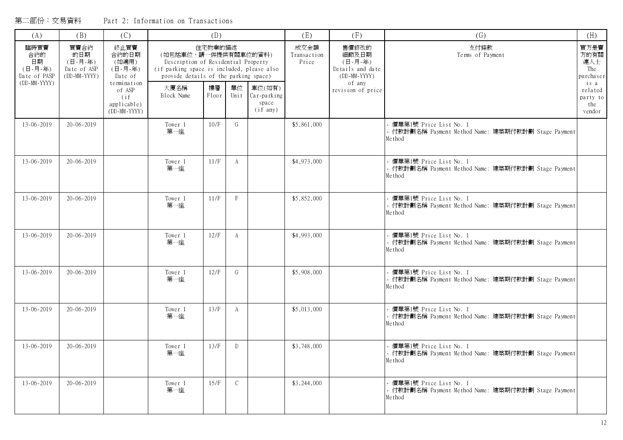| Part 2: Information on Transactions |  |  |  |  |  |  |  |
|-------------------------------------|--|--|--|--|--|--|--|
|-------------------------------------|--|--|--|--|--|--|--|

| (A)                                          | (B)                                                   | (C)                                                         |                                                                                                                                                    | (D)         |               |                                                 | (E)                          | (F)                                                           | (G)                                                                                       | (H)                                          |
|----------------------------------------------|-------------------------------------------------------|-------------------------------------------------------------|----------------------------------------------------------------------------------------------------------------------------------------------------|-------------|---------------|-------------------------------------------------|------------------------------|---------------------------------------------------------------|-------------------------------------------------------------------------------------------|----------------------------------------------|
| 臨時買賣<br>合約的<br>日期<br>(日-月-年)<br>Date of PASP | 買賣合約<br>的日期<br>(日-月-年)<br>Date of ASP<br>(DD-MM-YYYY) | 終止買賣<br>合約的日期<br>(如適用)<br>(日-月-年)<br>Date of<br>termination | (如包括車位,請一併提供有關車位的資料)<br>Description of Residential Property<br>(if parking space is included, please also<br>provide details of the parking space) | 住宅物業的描述     |               |                                                 | 成交金額<br>Transaction<br>Price | 售價修改的<br>細節及日期<br>(日-月-年)<br>Details and date<br>(DD-MM-YYYY) | 支付條款<br>Terms of Payment                                                                  | 買方是賣<br>方的有關<br>連人士<br>The<br>purchaser      |
| (DD-MM-YYYY)                                 |                                                       | of ASP<br>$(i$ f<br>applicable)<br>(DD-MM-YYYY)             | 大廈名稱<br>Block Name                                                                                                                                 | 樓層<br>Floor | 單位<br>Unit    | 車位(如有)<br>Car-parking<br>space<br>$(i f \nany)$ |                              | of any<br>revision of price                                   |                                                                                           | is a<br>related<br>party to<br>the<br>vendor |
| 13-06-2019                                   | $20 - 06 - 2019$                                      |                                                             | Tower 1<br>第一座                                                                                                                                     | 10/F        | $\mathcal{G}$ |                                                 | \$5,861,000                  |                                                               | 價單第1號 Price List No. 1<br>- 付款計劃名稱 Payment Method Name: 建築期付款計劃 Stage Payment<br>Method   |                                              |
| 13-06-2019                                   | $20 - 06 - 2019$                                      |                                                             | Tower 1<br>第一座                                                                                                                                     | 11/F        | $\mathbf{A}$  |                                                 | \$4,973,000                  |                                                               | - 價單第1號 Price List No. 1<br>- 付款計劃名稱 Payment Method Name: 建築期付款計劃 Stage Payment<br>Method |                                              |
| $13 - 06 - 2019$                             | $20 - 06 - 2019$                                      |                                                             | Tower 1<br>第一座                                                                                                                                     | 11/F        | F             |                                                 | \$5,852,000                  |                                                               | - 價單第1號 Price List No. 1<br>- 付款計劃名稱 Payment Method Name: 建築期付款計劃 Stage Payment<br>Method |                                              |
| $13 - 06 - 2019$                             | $20 - 06 - 2019$                                      |                                                             | Tower 1<br>第一座                                                                                                                                     | 12/F        | $\mathbf{A}$  |                                                 | \$4,993,000                  |                                                               | - 價單第1號 Price List No. 1<br>- 付款計劃名稱 Payment Method Name: 建築期付款計劃 Stage Payment<br>Method |                                              |
| $13 - 06 - 2019$                             | $20 - 06 - 2019$                                      |                                                             | Tower 1<br>第一座                                                                                                                                     | 12/F        | G.            |                                                 | \$5,908,000                  |                                                               | - 價單第1號 Price List No. 1<br>- 付款計劃名稱 Payment Method Name: 建築期付款計劃 Stage Payment<br>Method |                                              |
| $13 - 06 - 2019$                             | $20 - 06 - 2019$                                      |                                                             | Tower 1<br>第一座                                                                                                                                     | 13/F        | $\mathbf{A}$  |                                                 | \$5,013,000                  |                                                               | 價單第1號 Price List No. 1<br>- 付款計劃名稱 Payment Method Name: 建築期付款計劃 Stage Payment<br>Method   |                                              |
| $13 - 06 - 2019$                             | $20 - 06 - 2019$                                      |                                                             | Tower 1<br>第一座                                                                                                                                     | 13/F        | $\mathbb{D}$  |                                                 | \$3,748,000                  |                                                               | - 價單第1號 Price List No. 1<br>- 付款計劃名稱 Payment Method Name: 建築期付款計劃 Stage Payment<br>Method |                                              |
| 13-06-2019                                   | $20 - 06 - 2019$                                      |                                                             | Tower 1<br>第一座                                                                                                                                     | 15/F        | $\mathcal{C}$ |                                                 | \$3,244,000                  |                                                               | 價單第1號 Price List No. 1<br>- 付款計劃名稱 Payment Method Name: 建築期付款計劃 Stage Payment<br>Method   |                                              |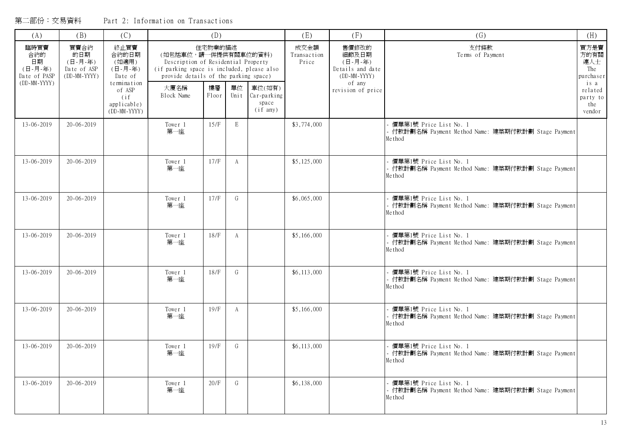| Part 2: Information on Transactions |  |  |  |  |  |  |  |
|-------------------------------------|--|--|--|--|--|--|--|
|-------------------------------------|--|--|--|--|--|--|--|

| (A)                                          | (B)                                                   | (C)                                                            |                                                                                                                                                    | (D)         |               |                                                 | (E)                          | (F)                                                           | (G)                                                                                       | (H)                                          |
|----------------------------------------------|-------------------------------------------------------|----------------------------------------------------------------|----------------------------------------------------------------------------------------------------------------------------------------------------|-------------|---------------|-------------------------------------------------|------------------------------|---------------------------------------------------------------|-------------------------------------------------------------------------------------------|----------------------------------------------|
| 臨時買賣<br>合約的<br>日期<br>(日-月-年)<br>Date of PASP | 買賣合約<br>的日期<br>(日-月-年)<br>Date of ASP<br>(DD-MM-YYYY) | 終止買賣<br>合約的日期<br>(如適用)<br>(日-月-年)<br>Date of                   | (如包括車位,請一併提供有關車位的資料)<br>Description of Residential Property<br>(if parking space is included, please also<br>provide details of the parking space) | 住宅物業的描述     |               |                                                 | 成交金額<br>Transaction<br>Price | 售價修改的<br>細節及日期<br>(日-月-年)<br>Details and date<br>(DD-MM-YYYY) | 支付條款<br>Terms of Payment                                                                  | 買方是賣<br>方的有關<br>連人士<br>The<br>purchaser      |
| (DD-MM-YYYY)                                 |                                                       | termination<br>of ASP<br>$(i$ f<br>applicable)<br>(DD-MM-YYYY) | 大廈名稱<br>Block Name                                                                                                                                 | 樓層<br>Floor | 單位<br>Unit    | 車位(如有)<br>Car-parking<br>space<br>$(i f \nany)$ |                              | of any<br>revision of price                                   |                                                                                           | is a<br>related<br>party to<br>the<br>vendor |
| $13 - 06 - 2019$                             | $20 - 06 - 2019$                                      |                                                                | Tower 1<br>第一座                                                                                                                                     | 15/F        | E             |                                                 | \$3,774,000                  |                                                               | 價單第1號 Price List No. 1<br>- 付款計劃名稱 Payment Method Name: 建築期付款計劃 Stage Payment<br>Method   |                                              |
| $13 - 06 - 2019$                             | $20 - 06 - 2019$                                      |                                                                | Tower 1<br>第一座                                                                                                                                     | 17/F        | $\mathbf{A}$  |                                                 | \$5,125,000                  |                                                               | - 價單第1號 Price List No. 1<br>- 付款計劃名稱 Payment Method Name: 建築期付款計劃 Stage Payment<br>Method |                                              |
| 13-06-2019                                   | $20 - 06 - 2019$                                      |                                                                | Tower 1<br>第一座                                                                                                                                     | 17/F        | G             |                                                 | \$6,065,000                  |                                                               | - 價單第1號 Price List No. 1<br>- 付款計劃名稱 Payment Method Name: 建築期付款計劃 Stage Payment<br>Method |                                              |
| 13-06-2019                                   | $20 - 06 - 2019$                                      |                                                                | Tower 1<br>第一座                                                                                                                                     | 18/F        | $\mathbf{A}$  |                                                 | \$5,166,000                  |                                                               | - 價單第1號 Price List No. 1<br>- 付款計劃名稱 Payment Method Name: 建築期付款計劃 Stage Payment<br>Method |                                              |
| 13-06-2019                                   | $20 - 06 - 2019$                                      |                                                                | Tower 1<br>第一座                                                                                                                                     | 18/F        | $\mathcal{G}$ |                                                 | \$6,113,000                  |                                                               | - 價單第1號 Price List No. 1<br>- 付款計劃名稱 Payment Method Name: 建築期付款計劃 Stage Payment<br>Method |                                              |
| 13-06-2019                                   | $20 - 06 - 2019$                                      |                                                                | Tower 1<br>第一座                                                                                                                                     | 19/F        | A             |                                                 | \$5,166,000                  |                                                               | 價單第1號 Price List No. 1<br>- 付款計劃名稱 Payment Method Name: 建築期付款計劃 Stage Payment<br>Method   |                                              |
| 13-06-2019                                   | $20 - 06 - 2019$                                      |                                                                | Tower 1<br>第一座                                                                                                                                     | 19/F        | $\mathcal{G}$ |                                                 | \$6,113,000                  |                                                               | - 價單第1號 Price List No. 1<br>- 付款計劃名稱 Payment Method Name: 建築期付款計劃 Stage Payment<br>Method |                                              |
| 13-06-2019                                   | $20 - 06 - 2019$                                      |                                                                | Tower 1<br>第一座                                                                                                                                     | 20/F        | $\mathcal{G}$ |                                                 | \$6,138,000                  |                                                               | 價單第1號 Price List No. 1<br>- 付款計劃名稱 Payment Method Name: 建築期付款計劃 Stage Payment<br>Method   |                                              |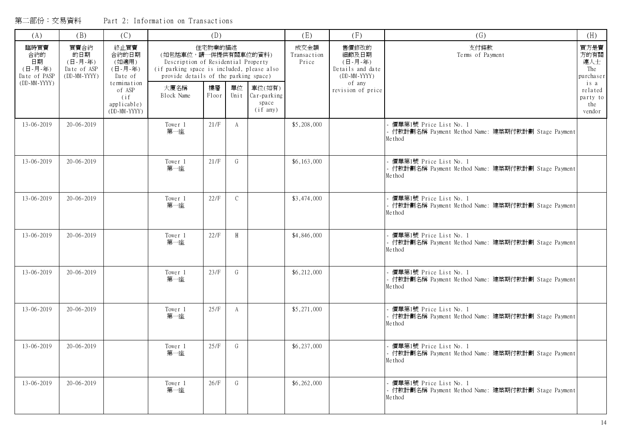| Part 2: Information on Transactions |  |  |  |  |  |  |  |
|-------------------------------------|--|--|--|--|--|--|--|
|-------------------------------------|--|--|--|--|--|--|--|

| (A)                                          | (B)                                                   | (C)                                                         |                                                                                                                                                    | (D)         |               |                                                 | (E)                          | (F)                                                           | (G)                                                                                       | (H)                                          |
|----------------------------------------------|-------------------------------------------------------|-------------------------------------------------------------|----------------------------------------------------------------------------------------------------------------------------------------------------|-------------|---------------|-------------------------------------------------|------------------------------|---------------------------------------------------------------|-------------------------------------------------------------------------------------------|----------------------------------------------|
| 臨時買賣<br>合約的<br>日期<br>(日-月-年)<br>Date of PASP | 買賣合約<br>的日期<br>(日-月-年)<br>Date of ASP<br>(DD-MM-YYYY) | 終止買賣<br>合約的日期<br>(如適用)<br>(日-月-年)<br>Date of<br>termination | (如包括車位,請一併提供有關車位的資料)<br>Description of Residential Property<br>(if parking space is included, please also<br>provide details of the parking space) | 住宅物業的描述     |               |                                                 | 成交金額<br>Transaction<br>Price | 售價修改的<br>細節及日期<br>(日-月-年)<br>Details and date<br>(DD-MM-YYYY) | 支付條款<br>Terms of Payment                                                                  | 買方是賣<br>方的有關<br>連人士<br>The<br>purchaser      |
| (DD-MM-YYYY)                                 |                                                       | of ASP<br>$(i$ f<br>applicable)<br>(DD-MM-YYYY)             | 大廈名稱<br>Block Name                                                                                                                                 | 樓層<br>Floor | 單位<br>Unit    | 車位(如有)<br>Car-parking<br>space<br>$(i f \nany)$ |                              | of any<br>revision of price                                   |                                                                                           | is a<br>related<br>party to<br>the<br>vendor |
| 13-06-2019                                   | $20 - 06 - 2019$                                      |                                                             | Tower 1<br>第一座                                                                                                                                     | 21/F        | $\mathbf{A}$  |                                                 | \$5,208,000                  |                                                               | 價單第1號 Price List No. 1<br>- 付款計劃名稱 Payment Method Name: 建築期付款計劃 Stage Payment<br>Method   |                                              |
| 13-06-2019                                   | $20 - 06 - 2019$                                      |                                                             | Tower 1<br>第一座                                                                                                                                     | 21/F        | $\mathcal{G}$ |                                                 | \$6,163,000                  |                                                               | - 價單第1號 Price List No. 1<br>- 付款計劃名稱 Payment Method Name: 建築期付款計劃 Stage Payment<br>Method |                                              |
| $13 - 06 - 2019$                             | $20 - 06 - 2019$                                      |                                                             | Tower 1<br>第一座                                                                                                                                     | 22/F        | $\mathcal{C}$ |                                                 | \$3,474,000                  |                                                               | - 價單第1號 Price List No. 1<br>- 付款計劃名稱 Payment Method Name: 建築期付款計劃 Stage Payment<br>Method |                                              |
| $13 - 06 - 2019$                             | $20 - 06 - 2019$                                      |                                                             | Tower 1<br>第一座                                                                                                                                     | 22/F        | H             |                                                 | \$4,846,000                  |                                                               | - 價單第1號 Price List No. 1<br>- 付款計劃名稱 Payment Method Name: 建築期付款計劃 Stage Payment<br>Method |                                              |
| $13 - 06 - 2019$                             | $20 - 06 - 2019$                                      |                                                             | Tower 1<br>第一座                                                                                                                                     | 23/F        | G.            |                                                 | \$6,212,000                  |                                                               | - 價單第1號 Price List No. 1<br>- 付款計劃名稱 Payment Method Name: 建築期付款計劃 Stage Payment<br>Method |                                              |
| $13 - 06 - 2019$                             | $20 - 06 - 2019$                                      |                                                             | Tower 1<br>第一座                                                                                                                                     | 25/F        | $\mathbf{A}$  |                                                 | \$5,271,000                  |                                                               | 價單第1號 Price List No. 1<br>- 付款計劃名稱 Payment Method Name: 建築期付款計劃 Stage Payment<br>Method   |                                              |
| $13 - 06 - 2019$                             | $20 - 06 - 2019$                                      |                                                             | Tower 1<br>第一座                                                                                                                                     | 25/F        | $\mathcal{G}$ |                                                 | \$6,237,000                  |                                                               | - 價單第1號 Price List No. 1<br>- 付款計劃名稱 Payment Method Name: 建築期付款計劃 Stage Payment<br>Method |                                              |
| 13-06-2019                                   | $20 - 06 - 2019$                                      |                                                             | Tower 1<br>第一座                                                                                                                                     | 26/F        | $\mathcal{G}$ |                                                 | \$6,262,000                  |                                                               | 價單第1號 Price List No. 1<br>- 付款計劃名稱 Payment Method Name: 建築期付款計劃 Stage Payment<br>Method   |                                              |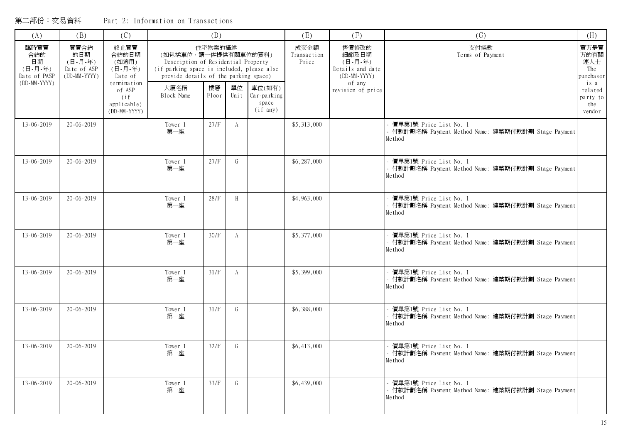| Part 2: Information on Transactions |  |  |  |  |  |  |  |
|-------------------------------------|--|--|--|--|--|--|--|
|-------------------------------------|--|--|--|--|--|--|--|

| (A)                                          | (B)                                                   | (C)                                                         |                                                                                                                                                    | (D)         |               |                                                 | (E)                          | (F)                                                           | (G)                                                                                       | (H)                                          |
|----------------------------------------------|-------------------------------------------------------|-------------------------------------------------------------|----------------------------------------------------------------------------------------------------------------------------------------------------|-------------|---------------|-------------------------------------------------|------------------------------|---------------------------------------------------------------|-------------------------------------------------------------------------------------------|----------------------------------------------|
| 臨時買賣<br>合約的<br>日期<br>(日-月-年)<br>Date of PASP | 買賣合約<br>的日期<br>(日-月-年)<br>Date of ASP<br>(DD-MM-YYYY) | 終止買賣<br>合約的日期<br>(如適用)<br>(日-月-年)<br>Date of<br>termination | (如包括車位,請一併提供有關車位的資料)<br>Description of Residential Property<br>(if parking space is included, please also<br>provide details of the parking space) | 住宅物業的描述     |               |                                                 | 成交金額<br>Transaction<br>Price | 售價修改的<br>細節及日期<br>(日-月-年)<br>Details and date<br>(DD-MM-YYYY) | 支付條款<br>Terms of Payment                                                                  | 買方是賣<br>方的有關<br>連人士<br>The<br>purchaser      |
| (DD-MM-YYYY)                                 |                                                       | of ASP<br>$(i$ f<br>applicable)<br>(DD-MM-YYYY)             | 大廈名稱<br>Block Name                                                                                                                                 | 樓層<br>Floor | 單位<br>Unit    | 車位(如有)<br>Car-parking<br>space<br>$(i f \nany)$ |                              | of any<br>revision of price                                   |                                                                                           | is a<br>related<br>party to<br>the<br>vendor |
| 13-06-2019                                   | $20 - 06 - 2019$                                      |                                                             | Tower 1<br>第一座                                                                                                                                     | 27/F        | $\mathbf{A}$  |                                                 | \$5,313,000                  |                                                               | 價單第1號 Price List No. 1<br>- 付款計劃名稱 Payment Method Name: 建築期付款計劃 Stage Payment<br>Method   |                                              |
| 13-06-2019                                   | $20 - 06 - 2019$                                      |                                                             | Tower 1<br>第一座                                                                                                                                     | 27/F        | $\mathcal{G}$ |                                                 | \$6,287,000                  |                                                               | - 價單第1號 Price List No. 1<br>- 付款計劃名稱 Payment Method Name: 建築期付款計劃 Stage Payment<br>Method |                                              |
| $13 - 06 - 2019$                             | $20 - 06 - 2019$                                      |                                                             | Tower 1<br>第一座                                                                                                                                     | 28/F        | H             |                                                 | \$4,963,000                  |                                                               | - 價單第1號 Price List No. 1<br>- 付款計劃名稱 Payment Method Name: 建築期付款計劃 Stage Payment<br>Method |                                              |
| $13 - 06 - 2019$                             | $20 - 06 - 2019$                                      |                                                             | Tower 1<br>第一座                                                                                                                                     | 30/F        | $\mathbf{A}$  |                                                 | \$5,377,000                  |                                                               | - 價單第1號 Price List No. 1<br>- 付款計劃名稱 Payment Method Name: 建築期付款計劃 Stage Payment<br>Method |                                              |
| $13 - 06 - 2019$                             | $20 - 06 - 2019$                                      |                                                             | Tower 1<br>第一座                                                                                                                                     | 31/F        | $\mathbf{A}$  |                                                 | \$5,399,000                  |                                                               | - 價單第1號 Price List No. 1<br>- 付款計劃名稱 Payment Method Name: 建築期付款計劃 Stage Payment<br>Method |                                              |
| $13 - 06 - 2019$                             | $20 - 06 - 2019$                                      |                                                             | Tower 1<br>第一座                                                                                                                                     | 31/F        | $\mathcal{G}$ |                                                 | \$6,388,000                  |                                                               | 價單第1號 Price List No. 1<br>- 付款計劃名稱 Payment Method Name: 建築期付款計劃 Stage Payment<br>Method   |                                              |
| $13 - 06 - 2019$                             | $20 - 06 - 2019$                                      |                                                             | Tower 1<br>第一座                                                                                                                                     | 32/F        | $\mathcal{G}$ |                                                 | \$6,413,000                  |                                                               | - 價單第1號 Price List No. 1<br>- 付款計劃名稱 Payment Method Name: 建築期付款計劃 Stage Payment<br>Method |                                              |
| 13-06-2019                                   | $20 - 06 - 2019$                                      |                                                             | Tower 1<br>第一座                                                                                                                                     | 33/F        | $\mathcal{G}$ |                                                 | \$6,439,000                  |                                                               | 價單第1號 Price List No. 1<br>- 付款計劃名稱 Payment Method Name: 建築期付款計劃 Stage Payment<br>Method   |                                              |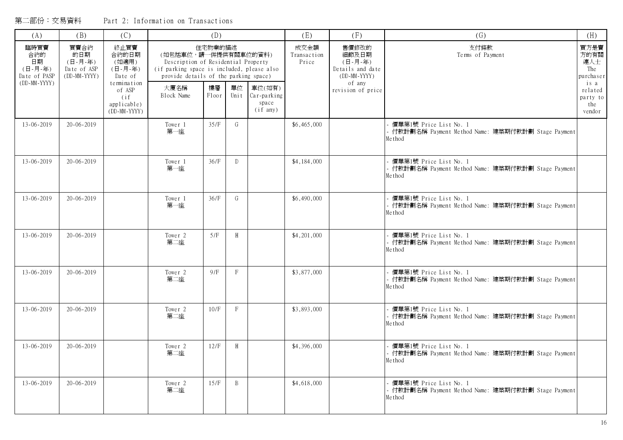| Part 2: Information on Transactions |
|-------------------------------------|
|-------------------------------------|

| (A)                                          | (B)                                                   | (C)                                                         |                                                                                                                                                    | (D)         |                |                                                 | (E)                          | (F)                                                           | (G)                                                                                       | (H)                                          |
|----------------------------------------------|-------------------------------------------------------|-------------------------------------------------------------|----------------------------------------------------------------------------------------------------------------------------------------------------|-------------|----------------|-------------------------------------------------|------------------------------|---------------------------------------------------------------|-------------------------------------------------------------------------------------------|----------------------------------------------|
| 臨時買賣<br>合約的<br>日期<br>(日-月-年)<br>Date of PASP | 買賣合約<br>的日期<br>(日-月-年)<br>Date of ASP<br>(DD-MM-YYYY) | 終止買賣<br>合約的日期<br>(如適用)<br>(日-月-年)<br>Date of<br>termination | (如包括車位,請一併提供有關車位的資料)<br>Description of Residential Property<br>(if parking space is included, please also<br>provide details of the parking space) | 住宅物業的描述     |                |                                                 | 成交金額<br>Transaction<br>Price | 售價修改的<br>細節及日期<br>(日-月-年)<br>Details and date<br>(DD-MM-YYYY) | 支付條款<br>Terms of Payment                                                                  | 買方是賣<br>方的有關<br>連人士<br>The<br>purchaser      |
| (DD-MM-YYYY)                                 |                                                       | of ASP<br>$(i$ f<br>applicable)<br>(DD-MM-YYYY)             | 大廈名稱<br>Block Name                                                                                                                                 | 樓層<br>Floor | 單位<br>Unit     | 車位(如有)<br>Car-parking<br>space<br>$(i f \nany)$ |                              | of any<br>revision of price                                   |                                                                                           | is a<br>related<br>party to<br>the<br>vendor |
| 13-06-2019                                   | $20 - 06 - 2019$                                      |                                                             | Tower 1<br>第一座                                                                                                                                     | 35/F        | $\mathcal{G}$  |                                                 | \$6,465,000                  |                                                               | 價單第1號 Price List No. 1<br>- 付款計劃名稱 Payment Method Name: 建築期付款計劃 Stage Payment<br>Method   |                                              |
| 13-06-2019                                   | $20 - 06 - 2019$                                      |                                                             | Tower 1<br>第一座                                                                                                                                     | 36/F        | $\mathbb{D}$   |                                                 | \$4,184,000                  |                                                               | - 價單第1號 Price List No. 1<br>- 付款計劃名稱 Payment Method Name: 建築期付款計劃 Stage Payment<br>Method |                                              |
| $13 - 06 - 2019$                             | $20 - 06 - 2019$                                      |                                                             | Tower 1<br>第一座                                                                                                                                     | 36/F        | $\mathcal{G}$  |                                                 | \$6,490,000                  |                                                               | - 價單第1號 Price List No. 1<br>- 付款計劃名稱 Payment Method Name: 建築期付款計劃 Stage Payment<br>Method |                                              |
| $13 - 06 - 2019$                             | $20 - 06 - 2019$                                      |                                                             | Tower 2<br>第二座                                                                                                                                     | 5/F         | H              |                                                 | \$4,201,000                  |                                                               | - 價單第1號 Price List No. 1<br>- 付款計劃名稱 Payment Method Name: 建築期付款計劃 Stage Payment<br>Method |                                              |
| $13 - 06 - 2019$                             | $20 - 06 - 2019$                                      |                                                             | Tower 2<br>第二座                                                                                                                                     | 9/F         | F              |                                                 | \$3,877,000                  |                                                               | - 價單第1號 Price List No. 1<br>- 付款計劃名稱 Payment Method Name: 建築期付款計劃 Stage Payment<br>Method |                                              |
| $13 - 06 - 2019$                             | $20 - 06 - 2019$                                      |                                                             | Tower 2<br>第二座                                                                                                                                     | 10/F        | F              |                                                 | \$3,893,000                  |                                                               | 價單第1號 Price List No. 1<br>- 付款計劃名稱 Payment Method Name: 建築期付款計劃 Stage Payment<br>Method   |                                              |
| $13 - 06 - 2019$                             | $20 - 06 - 2019$                                      |                                                             | Tower 2<br>第二座                                                                                                                                     | 12/F        | H              |                                                 | \$4,396,000                  |                                                               | - 價單第1號 Price List No. 1<br>- 付款計劃名稱 Payment Method Name: 建築期付款計劃 Stage Payment<br>Method |                                              |
| 13-06-2019                                   | $20 - 06 - 2019$                                      |                                                             | Tower 2<br>第二座                                                                                                                                     | 15/F        | $\overline{B}$ |                                                 | \$4,618,000                  |                                                               | 價單第1號 Price List No. 1<br>- 付款計劃名稱 Payment Method Name: 建築期付款計劃 Stage Payment<br>Method   |                                              |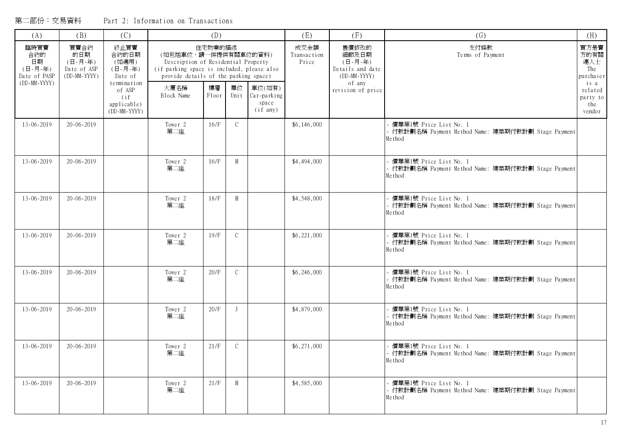| Part 2: Information on Transactions |  |  |  |  |  |  |  |
|-------------------------------------|--|--|--|--|--|--|--|
|-------------------------------------|--|--|--|--|--|--|--|

| (A)                                          | (B)                                                   | (C)                                                            |                                                                                                                                                    | (D)         |               |                                                 | (E)                          | (F)                                                           | (G)                                                                                       | (H)                                          |
|----------------------------------------------|-------------------------------------------------------|----------------------------------------------------------------|----------------------------------------------------------------------------------------------------------------------------------------------------|-------------|---------------|-------------------------------------------------|------------------------------|---------------------------------------------------------------|-------------------------------------------------------------------------------------------|----------------------------------------------|
| 臨時買賣<br>合約的<br>日期<br>(日-月-年)<br>Date of PASP | 買賣合約<br>的日期<br>(日-月-年)<br>Date of ASP<br>(DD-MM-YYYY) | 終止買賣<br>合約的日期<br>(如適用)<br>(日-月-年)<br>Date of                   | (如包括車位,請一併提供有關車位的資料)<br>Description of Residential Property<br>(if parking space is included, please also<br>provide details of the parking space) | 住宅物業的描述     |               |                                                 | 成交金額<br>Transaction<br>Price | 售價修改的<br>細節及日期<br>(日-月-年)<br>Details and date<br>(DD-MM-YYYY) | 支付條款<br>Terms of Payment                                                                  | 買方是賣<br>方的有關<br>連人士<br>The<br>purchaser      |
| (DD-MM-YYYY)                                 |                                                       | termination<br>of ASP<br>$(i$ f<br>applicable)<br>(DD-MM-YYYY) | 大廈名稱<br>Block Name                                                                                                                                 | 樓層<br>Floor | 單位<br>Unit    | 車位(如有)<br>Car-parking<br>space<br>$(i f \nany)$ |                              | of any<br>revision of price                                   |                                                                                           | is a<br>related<br>party to<br>the<br>vendor |
| $13 - 06 - 2019$                             | $20 - 06 - 2019$                                      |                                                                | Tower 2<br>第二座                                                                                                                                     | 16/F        | $\mathcal{C}$ |                                                 | \$6,146,000                  |                                                               | 價單第1號 Price List No. 1<br>- 付款計劃名稱 Payment Method Name: 建築期付款計劃 Stage Payment<br>Method   |                                              |
| $13 - 06 - 2019$                             | $20 - 06 - 2019$                                      |                                                                | Tower 2<br>第二座                                                                                                                                     | 16/F        | H             |                                                 | \$4,494,000                  |                                                               | - 價單第1號 Price List No. 1<br>- 付款計劃名稱 Payment Method Name: 建築期付款計劃 Stage Payment<br>Method |                                              |
| 13-06-2019                                   | $20 - 06 - 2019$                                      |                                                                | Tower 2<br>第二座                                                                                                                                     | 18/F        | H             |                                                 | \$4,548,000                  |                                                               | - 價單第1號 Price List No. 1<br>- 付款計劃名稱 Payment Method Name: 建築期付款計劃 Stage Payment<br>Method |                                              |
| 13-06-2019                                   | $20 - 06 - 2019$                                      |                                                                | Tower 2<br>第二座                                                                                                                                     | 19/F        | $\mathcal{C}$ |                                                 | \$6,221,000                  |                                                               | - 價單第1號 Price List No. 1<br>- 付款計劃名稱 Payment Method Name: 建築期付款計劃 Stage Payment<br>Method |                                              |
| 13-06-2019                                   | $20 - 06 - 2019$                                      |                                                                | Tower 2<br>第二座                                                                                                                                     | 20/F        | $\mathcal{C}$ |                                                 | \$6,246,000                  |                                                               | - 價單第1號 Price List No. 1<br>- 付款計劃名稱 Payment Method Name: 建築期付款計劃 Stage Payment<br>Method |                                              |
| 13-06-2019                                   | $20 - 06 - 2019$                                      |                                                                | Tower 2<br>第二座                                                                                                                                     | 20/F        | $\mathbf{J}$  |                                                 | \$4,879,000                  |                                                               | 價單第1號 Price List No. 1<br>- 付款計劃名稱 Payment Method Name: 建築期付款計劃 Stage Payment<br>Method   |                                              |
| 13-06-2019                                   | $20 - 06 - 2019$                                      |                                                                | Tower 2<br>第二座                                                                                                                                     | 21/F        | $\mathcal{C}$ |                                                 | \$6,271,000                  |                                                               | - 價單第1號 Price List No. 1<br>- 付款計劃名稱 Payment Method Name: 建築期付款計劃 Stage Payment<br>Method |                                              |
| 13-06-2019                                   | $20 - 06 - 2019$                                      |                                                                | Tower 2<br>第二座                                                                                                                                     | 21/F        | H             |                                                 | \$4,585,000                  |                                                               | 價單第1號 Price List No. 1<br>- 付款計劃名稱 Payment Method Name: 建築期付款計劃 Stage Payment<br>Method   |                                              |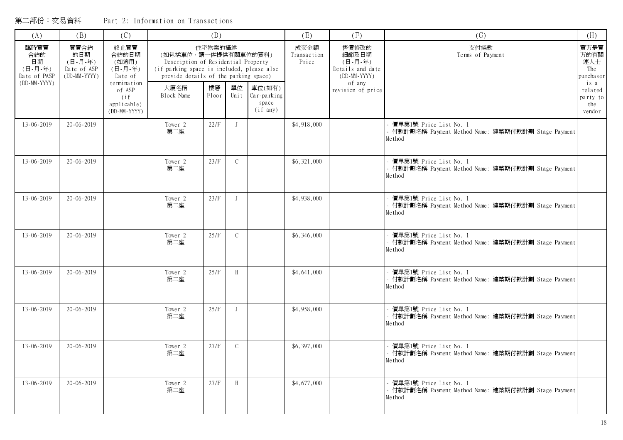| Part 2: Information on Transactions |  |  |  |  |  |  |  |
|-------------------------------------|--|--|--|--|--|--|--|
|-------------------------------------|--|--|--|--|--|--|--|

| (A)                                          | (B)                                                   | (C)                                                         |                                                                                                                                                    | (D)         |               |                                                 | (E)                          | (F)                                                           | (G)                                                                                       | (H)                                          |
|----------------------------------------------|-------------------------------------------------------|-------------------------------------------------------------|----------------------------------------------------------------------------------------------------------------------------------------------------|-------------|---------------|-------------------------------------------------|------------------------------|---------------------------------------------------------------|-------------------------------------------------------------------------------------------|----------------------------------------------|
| 臨時買賣<br>合約的<br>日期<br>(日-月-年)<br>Date of PASP | 買賣合約<br>的日期<br>(日-月-年)<br>Date of ASP<br>(DD-MM-YYYY) | 終止買賣<br>合約的日期<br>(如適用)<br>(日-月-年)<br>Date of<br>termination | (如包括車位,請一併提供有關車位的資料)<br>Description of Residential Property<br>(if parking space is included, please also<br>provide details of the parking space) | 住宅物業的描述     |               |                                                 | 成交金額<br>Transaction<br>Price | 售價修改的<br>細節及日期<br>(日-月-年)<br>Details and date<br>(DD-MM-YYYY) | 支付條款<br>Terms of Payment                                                                  | 買方是賣<br>方的有關<br>連人士<br>The<br>purchaser      |
| (DD-MM-YYYY)                                 |                                                       | of ASP<br>$(i$ f<br>applicable)<br>(DD-MM-YYYY)             | 大廈名稱<br>Block Name                                                                                                                                 | 樓層<br>Floor | 單位<br>Unit    | 車位(如有)<br>Car-parking<br>space<br>$(i f \nany)$ |                              | of any<br>revision of price                                   |                                                                                           | is a<br>related<br>party to<br>the<br>vendor |
| 13-06-2019                                   | $20 - 06 - 2019$                                      |                                                             | Tower 2<br>第二座                                                                                                                                     | 22/F        | $\mathbf{J}$  |                                                 | \$4,918,000                  |                                                               | 價單第1號 Price List No. 1<br>- 付款計劃名稱 Payment Method Name: 建築期付款計劃 Stage Payment<br>Method   |                                              |
| 13-06-2019                                   | $20 - 06 - 2019$                                      |                                                             | Tower 2<br>第二座                                                                                                                                     | 23/F        | $\mathcal{C}$ |                                                 | \$6,321,000                  |                                                               | - 價單第1號 Price List No. 1<br>- 付款計劃名稱 Payment Method Name: 建築期付款計劃 Stage Payment<br>Method |                                              |
| $13 - 06 - 2019$                             | $20 - 06 - 2019$                                      |                                                             | Tower <sub>2</sub><br>第二座                                                                                                                          | 23/F        | $\mathbf{J}$  |                                                 | \$4,938,000                  |                                                               | - 價單第1號 Price List No. 1<br>- 付款計劃名稱 Payment Method Name: 建築期付款計劃 Stage Payment<br>Method |                                              |
| $13 - 06 - 2019$                             | $20 - 06 - 2019$                                      |                                                             | Tower 2<br>第二座                                                                                                                                     | 25/F        | $\mathcal{C}$ |                                                 | \$6,346,000                  |                                                               | - 價單第1號 Price List No. 1<br>- 付款計劃名稱 Payment Method Name: 建築期付款計劃 Stage Payment<br>Method |                                              |
| $13 - 06 - 2019$                             | $20 - 06 - 2019$                                      |                                                             | Tower 2<br>第二座                                                                                                                                     | 25/F        | H             |                                                 | \$4,641,000                  |                                                               | - 價單第1號 Price List No. 1<br>- 付款計劃名稱 Payment Method Name: 建築期付款計劃 Stage Payment<br>Method |                                              |
| $13 - 06 - 2019$                             | $20 - 06 - 2019$                                      |                                                             | Tower 2<br>第二座                                                                                                                                     | 25/F        | $\mathbf{J}$  |                                                 | \$4,958,000                  |                                                               | 價單第1號 Price List No. 1<br>- 付款計劃名稱 Payment Method Name: 建築期付款計劃 Stage Payment<br>Method   |                                              |
| $13 - 06 - 2019$                             | $20 - 06 - 2019$                                      |                                                             | Tower 2<br>第二座                                                                                                                                     | 27/F        | $\mathcal{C}$ |                                                 | \$6,397,000                  |                                                               | - 價單第1號 Price List No. 1<br>- 付款計劃名稱 Payment Method Name: 建築期付款計劃 Stage Payment<br>Method |                                              |
| 13-06-2019                                   | $20 - 06 - 2019$                                      |                                                             | Tower 2<br>第二座                                                                                                                                     | 27/F        | H             |                                                 | \$4,677,000                  |                                                               | 價單第1號 Price List No. 1<br>- 付款計劃名稱 Payment Method Name: 建築期付款計劃 Stage Payment<br>Method   |                                              |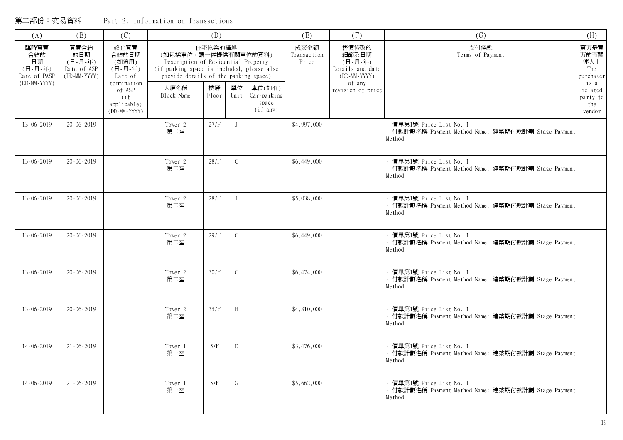| Part 2: Information on Transactions |  |  |  |  |  |  |  |
|-------------------------------------|--|--|--|--|--|--|--|
|-------------------------------------|--|--|--|--|--|--|--|

| (A)                                                                                                                                                                                  | (B)              | (C)                                                                                                                                                | (D)                       |             |               |                                                 | (E)                                                           | (F)                         | (G)                                                                                       | (H)                                          |
|--------------------------------------------------------------------------------------------------------------------------------------------------------------------------------------|------------------|----------------------------------------------------------------------------------------------------------------------------------------------------|---------------------------|-------------|---------------|-------------------------------------------------|---------------------------------------------------------------|-----------------------------|-------------------------------------------------------------------------------------------|----------------------------------------------|
| 臨時買賣<br>買賣合約<br>終止買賣<br>合約的<br>的日期<br>合約的日期<br>(日-月-年)<br>日期<br>(如適用)<br>(日-月-年)<br>Date of ASP<br>(日-月-年)<br>Date of PASP<br>(DD-MM-YYYY)<br>Date of<br>(DD-MM-YYYY)<br>termination |                  | (如包括車位,請一併提供有關車位的資料)<br>Description of Residential Property<br>(if parking space is included, please also<br>provide details of the parking space) | 住宅物業的描述                   |             |               | 成交金額<br>Transaction<br>Price                    | 售價修改的<br>細節及日期<br>(日-月-年)<br>Details and date<br>(DD-MM-YYYY) | 支付條款<br>Terms of Payment    | 買方是賣<br>方的有關<br>連人士<br>The<br>purchaser                                                   |                                              |
|                                                                                                                                                                                      |                  | of ASP<br>$(i$ f<br>applicable)<br>(DD-MM-YYYY)                                                                                                    | 大廈名稱<br>Block Name        | 樓層<br>Floor | 單位<br>Unit    | 車位(如有)<br>Car-parking<br>space<br>$(i f \nany)$ |                                                               | of any<br>revision of price |                                                                                           | is a<br>related<br>party to<br>the<br>vendor |
| 13-06-2019                                                                                                                                                                           | $20 - 06 - 2019$ |                                                                                                                                                    | Tower 2<br>第二座            | 27/F        | $\mathbf{J}$  |                                                 | \$4,997,000                                                   |                             | 價單第1號 Price List No. 1<br>- 付款計劃名稱 Payment Method Name: 建築期付款計劃 Stage Payment<br>Method   |                                              |
| 13-06-2019                                                                                                                                                                           | $20 - 06 - 2019$ |                                                                                                                                                    | Tower 2<br>第二座            | 28/F        | $\mathcal{C}$ |                                                 | \$6,449,000                                                   |                             | - 價單第1號 Price List No. 1<br>- 付款計劃名稱 Payment Method Name: 建築期付款計劃 Stage Payment<br>Method |                                              |
| $13 - 06 - 2019$                                                                                                                                                                     | $20 - 06 - 2019$ |                                                                                                                                                    | Tower <sub>2</sub><br>第二座 | 28/F        | $\mathbf{J}$  |                                                 | \$5,038,000                                                   |                             | - 價單第1號 Price List No. 1<br>- 付款計劃名稱 Payment Method Name: 建築期付款計劃 Stage Payment<br>Method |                                              |
| $13 - 06 - 2019$                                                                                                                                                                     | $20 - 06 - 2019$ |                                                                                                                                                    | Tower 2<br>第二座            | 29/F        | $\mathcal{C}$ |                                                 | \$6,449,000                                                   |                             | - 價單第1號 Price List No. 1<br>- 付款計劃名稱 Payment Method Name: 建築期付款計劃 Stage Payment<br>Method |                                              |
| $13 - 06 - 2019$                                                                                                                                                                     | $20 - 06 - 2019$ |                                                                                                                                                    | Tower 2<br>第二座            | 30/F        | $\mathcal{C}$ |                                                 | \$6,474,000                                                   |                             | - 價單第1號 Price List No. 1<br>- 付款計劃名稱 Payment Method Name: 建築期付款計劃 Stage Payment<br>Method |                                              |
| $13 - 06 - 2019$                                                                                                                                                                     | $20 - 06 - 2019$ |                                                                                                                                                    | Tower 2<br>第二座            | 35/F        | H             |                                                 | \$4,810,000                                                   |                             | 價單第1號 Price List No. 1<br>- 付款計劃名稱 Payment Method Name: 建築期付款計劃 Stage Payment<br>Method   |                                              |
| 14-06-2019                                                                                                                                                                           | $21 - 06 - 2019$ |                                                                                                                                                    | Tower 1<br>第一座            | 5/F         | $\mathbb{D}$  |                                                 | \$3,476,000                                                   |                             | - 價單第1號 Price List No. 1<br>- 付款計劃名稱 Payment Method Name: 建築期付款計劃 Stage Payment<br>Method |                                              |
| 14-06-2019                                                                                                                                                                           | $21 - 06 - 2019$ |                                                                                                                                                    | Tower 1<br>第一座            | 5/F         | $\mathcal{G}$ |                                                 | \$5,662,000                                                   |                             | 價單第1號 Price List No. 1<br>- 付款計劃名稱 Payment Method Name: 建築期付款計劃 Stage Payment<br>Method   |                                              |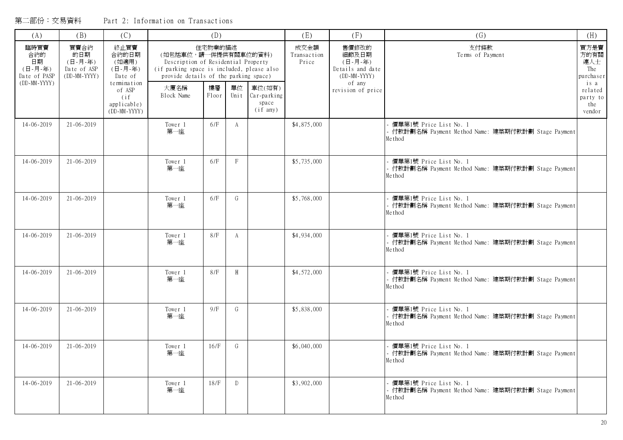|  |  |  |  |  | Part 2: Information on Transactions |
|--|--|--|--|--|-------------------------------------|
|--|--|--|--|--|-------------------------------------|

| (A)                                                                                                                                                                                  | (B)              | (C)                                                                                                                                                | (D)                |             |               |                                                 | (E)                                                           | (F)                         | (G)                                                                                       | (H)                                          |
|--------------------------------------------------------------------------------------------------------------------------------------------------------------------------------------|------------------|----------------------------------------------------------------------------------------------------------------------------------------------------|--------------------|-------------|---------------|-------------------------------------------------|---------------------------------------------------------------|-----------------------------|-------------------------------------------------------------------------------------------|----------------------------------------------|
| 買賣合約<br>臨時買賣<br>終止買賣<br>合約的日期<br>合約的<br>的日期<br>(日-月-年)<br>日期<br>(如適用)<br>(日-月-年)<br>Date of ASP<br>(日-月-年)<br>Date of PASP<br>(DD-MM-YYYY)<br>Date of<br>(DD-MM-YYYY)<br>termination |                  | (如包括車位,請一併提供有關車位的資料)<br>Description of Residential Property<br>(if parking space is included, please also<br>provide details of the parking space) | 住宅物業的描述            |             |               | 成交金額<br>Transaction<br>Price                    | 售價修改的<br>細節及日期<br>(日-月-年)<br>Details and date<br>(DD-MM-YYYY) | 支付條款<br>Terms of Payment    | 買方是賣<br>方的有關<br>連人士<br>The<br>purchaser                                                   |                                              |
|                                                                                                                                                                                      |                  | of ASP<br>$(i$ f<br>applicable)<br>(DD-MM-YYYY)                                                                                                    | 大廈名稱<br>Block Name | 樓層<br>Floor | 單位<br>Unit    | 車位(如有)<br>Car-parking<br>space<br>$(i f \nany)$ |                                                               | of any<br>revision of price |                                                                                           | is a<br>related<br>party to<br>the<br>vendor |
| 14-06-2019                                                                                                                                                                           | $21 - 06 - 2019$ |                                                                                                                                                    | Tower 1<br>第一座     | 6/F         | A             |                                                 | \$4,875,000                                                   |                             | 價單第1號 Price List No. 1<br>- 付款計劃名稱 Payment Method Name: 建築期付款計劃 Stage Payment<br>Method   |                                              |
| 14-06-2019                                                                                                                                                                           | $21 - 06 - 2019$ |                                                                                                                                                    | Tower 1<br>第一座     | 6/F         | F             |                                                 | \$5,735,000                                                   |                             | - 價單第1號 Price List No. 1<br>- 付款計劃名稱 Payment Method Name: 建築期付款計劃 Stage Payment<br>Method |                                              |
| $14 - 06 - 2019$                                                                                                                                                                     | $21 - 06 - 2019$ |                                                                                                                                                    | Tower 1<br>第一座     | 6/F         | $\mathcal{G}$ |                                                 | \$5,768,000                                                   |                             | 價單第1號 Price List No. 1<br>- 付款計劃名稱 Payment Method Name: 建築期付款計劃 Stage Payment<br>Method   |                                              |
| 14-06-2019                                                                                                                                                                           | $21 - 06 - 2019$ |                                                                                                                                                    | Tower 1<br>第一座     | 8/F         | A             |                                                 | \$4,934,000                                                   |                             | - 價單第1號 Price List No. 1<br>- 付款計劃名稱 Payment Method Name: 建築期付款計劃 Stage Payment<br>Method |                                              |
| 14-06-2019                                                                                                                                                                           | $21 - 06 - 2019$ |                                                                                                                                                    | Tower 1<br>第一座     | 8/F         | H             |                                                 | \$4,572,000                                                   |                             | 價單第1號 Price List No. 1<br>- 付款計劃名稱 Payment Method Name: 建築期付款計劃 Stage Payment<br>Method   |                                              |
| 14-06-2019                                                                                                                                                                           | $21 - 06 - 2019$ |                                                                                                                                                    | Tower 1<br>第一座     | 9/F         | $\mathcal G$  |                                                 | \$5,838,000                                                   |                             | - 價單第1號 Price List No. 1<br>- 付款計劃名稱 Payment Method Name: 建築期付款計劃 Stage Payment<br>Method |                                              |
| 14-06-2019                                                                                                                                                                           | $21 - 06 - 2019$ |                                                                                                                                                    | Tower 1<br>第一座     | 16/F        | $\mathcal{G}$ |                                                 | \$6,040,000                                                   |                             | - 價單第1號 Price List No. 1<br>- 付款計劃名稱 Payment Method Name: 建築期付款計劃 Stage Payment<br>Method |                                              |
| 14-06-2019                                                                                                                                                                           | $21 - 06 - 2019$ |                                                                                                                                                    | Tower 1<br>第一座     | 18/F        | D             |                                                 | \$3,902,000                                                   |                             | 價單第1號 Price List No. 1<br>- 付款計劃名稱 Payment Method Name: 建築期付款計劃 Stage Payment<br>Method   |                                              |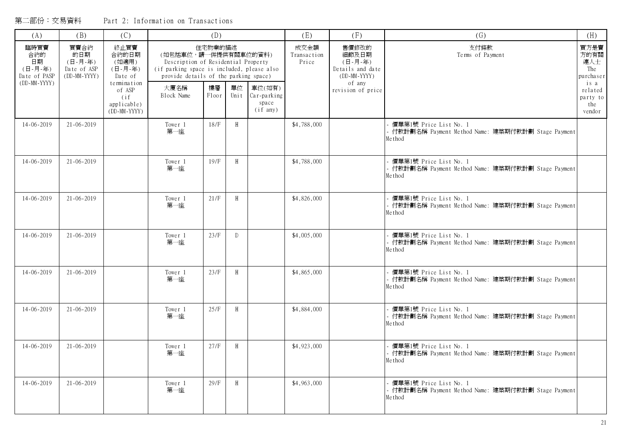| Part 2: Information on Transactions |
|-------------------------------------|
|-------------------------------------|

| (A)                                          | (B)                                                                                                   | (C)                                                            | (D)                                                                                                                                                |             |              |                                                 | (E)                          | (F)                                                           | (G)                                                                                       | (H)                                          |
|----------------------------------------------|-------------------------------------------------------------------------------------------------------|----------------------------------------------------------------|----------------------------------------------------------------------------------------------------------------------------------------------------|-------------|--------------|-------------------------------------------------|------------------------------|---------------------------------------------------------------|-------------------------------------------------------------------------------------------|----------------------------------------------|
| 臨時買賣<br>合約的<br>日期<br>(日-月-年)<br>Date of PASP | 買賣合約<br>終止買賣<br>合約的日期<br>的日期<br>(日-月-年)<br>(如適用)<br>Date of ASP<br>(日-月-年)<br>(DD-MM-YYYY)<br>Date of |                                                                | (如包括車位,請一併提供有關車位的資料)<br>Description of Residential Property<br>(if parking space is included, please also<br>provide details of the parking space) | 住宅物業的描述     |              |                                                 | 成交金額<br>Transaction<br>Price | 售價修改的<br>細節及日期<br>(日-月-年)<br>Details and date<br>(DD-MM-YYYY) | 支付條款<br>Terms of Payment                                                                  | 買方是賣<br>方的有關<br>連人士<br>The<br>purchaser      |
| (DD-MM-YYYY)                                 |                                                                                                       | termination<br>of ASP<br>$(i$ f<br>applicable)<br>(DD-MM-YYYY) | 大廈名稱<br>Block Name                                                                                                                                 | 樓層<br>Floor | 單位<br>Unit   | 車位(如有)<br>Car-parking<br>space<br>$(i f \nany)$ |                              | of any<br>revision of price                                   |                                                                                           | is a<br>related<br>party to<br>the<br>vendor |
| 14-06-2019                                   | $21 - 06 - 2019$                                                                                      |                                                                | Tower 1<br>第一座                                                                                                                                     | 18/F        | H            |                                                 | \$4,788,000                  |                                                               | 價單第1號 Price List No. 1<br>- 付款計劃名稱 Payment Method Name: 建築期付款計劃 Stage Payment<br>Method   |                                              |
| 14-06-2019                                   | $21 - 06 - 2019$                                                                                      |                                                                | Tower 1<br>第一座                                                                                                                                     | 19/F        | H            |                                                 | \$4,788,000                  |                                                               | - 價單第1號 Price List No. 1<br>- 付款計劃名稱 Payment Method Name: 建築期付款計劃 Stage Payment<br>Method |                                              |
| 14-06-2019                                   | $21 - 06 - 2019$                                                                                      |                                                                | Tower 1<br>第一座                                                                                                                                     | 21/F        | H            |                                                 | \$4,826,000                  |                                                               | - 價單第1號 Price List No. 1<br>- 付款計劃名稱 Payment Method Name: 建築期付款計劃 Stage Payment<br>Method |                                              |
| 14-06-2019                                   | $21 - 06 - 2019$                                                                                      |                                                                | Tower 1<br>第一座                                                                                                                                     | 23/F        | $\mathbb{D}$ |                                                 | \$4,005,000                  |                                                               | - 價單第1號 Price List No. 1<br>- 付款計劃名稱 Payment Method Name: 建築期付款計劃 Stage Payment<br>Method |                                              |
| 14-06-2019                                   | $21 - 06 - 2019$                                                                                      |                                                                | Tower 1<br>第一座                                                                                                                                     | 23/F        | H            |                                                 | \$4,865,000                  |                                                               | - 價單第1號 Price List No. 1<br>- 付款計劃名稱 Payment Method Name: 建築期付款計劃 Stage Payment<br>Method |                                              |
| 14-06-2019                                   | $21 - 06 - 2019$                                                                                      |                                                                | Tower 1<br>第一座                                                                                                                                     | 25/F        | H            |                                                 | \$4,884,000                  |                                                               | 價單第1號 Price List No. 1<br>- 付款計劃名稱 Payment Method Name: 建築期付款計劃 Stage Payment<br>Method   |                                              |
| 14-06-2019                                   | $21 - 06 - 2019$                                                                                      |                                                                | Tower 1<br>第一座                                                                                                                                     | 27/F        | H            |                                                 | \$4,923,000                  |                                                               | - 價單第1號 Price List No. 1<br>- 付款計劃名稱 Payment Method Name: 建築期付款計劃 Stage Payment<br>Method |                                              |
| 14-06-2019                                   | $21 - 06 - 2019$                                                                                      |                                                                | Tower 1<br>第一座                                                                                                                                     | 29/F        | H            |                                                 | \$4,963,000                  |                                                               | 價單第1號 Price List No. 1<br>- 付款計劃名稱 Payment Method Name: 建築期付款計劃 Stage Payment<br>Method   |                                              |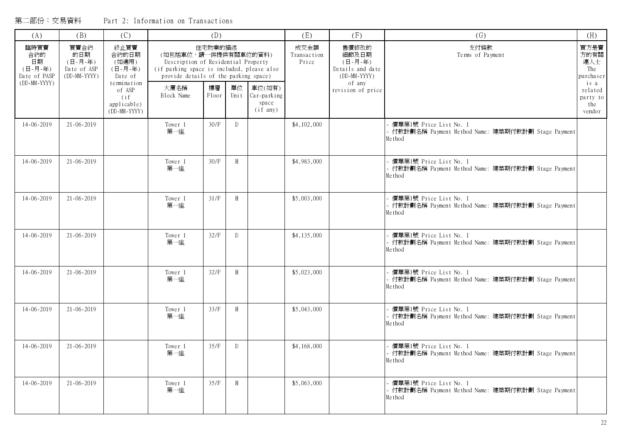|  |  | Part 2: Information on Transactions |  |  |
|--|--|-------------------------------------|--|--|
|--|--|-------------------------------------|--|--|

| (A)                                          | (B)                                                                                                   | (C)                                                            | (D)                                                                                                                                                |             |              |                                                 | (E)                          | (F)                                                           | (G)                                                                                       | (H)                                          |
|----------------------------------------------|-------------------------------------------------------------------------------------------------------|----------------------------------------------------------------|----------------------------------------------------------------------------------------------------------------------------------------------------|-------------|--------------|-------------------------------------------------|------------------------------|---------------------------------------------------------------|-------------------------------------------------------------------------------------------|----------------------------------------------|
| 臨時買賣<br>合約的<br>日期<br>(日-月-年)<br>Date of PASP | 買賣合約<br>終止買賣<br>合約的日期<br>的日期<br>(日-月-年)<br>(如適用)<br>Date of ASP<br>(日-月-年)<br>(DD-MM-YYYY)<br>Date of |                                                                | (如包括車位,請一併提供有關車位的資料)<br>Description of Residential Property<br>(if parking space is included, please also<br>provide details of the parking space) | 住宅物業的描述     |              |                                                 | 成交金額<br>Transaction<br>Price | 售價修改的<br>細節及日期<br>(日-月-年)<br>Details and date<br>(DD-MM-YYYY) | 支付條款<br>Terms of Payment                                                                  | 買方是賣<br>方的有關<br>連人士<br>The<br>purchaser      |
| (DD-MM-YYYY)                                 |                                                                                                       | termination<br>of ASP<br>$(i$ f<br>applicable)<br>(DD-MM-YYYY) | 大廈名稱<br>Block Name                                                                                                                                 | 樓層<br>Floor | 單位<br>Unit   | 車位(如有)<br>Car-parking<br>space<br>$(i f \nany)$ |                              | of any<br>revision of price                                   |                                                                                           | is a<br>related<br>party to<br>the<br>vendor |
| 14-06-2019                                   | $21 - 06 - 2019$                                                                                      |                                                                | Tower 1<br>第一座                                                                                                                                     | 30/F        | D            |                                                 | \$4,102,000                  |                                                               | 價單第1號 Price List No. 1<br>- 付款計劃名稱 Payment Method Name: 建築期付款計劃 Stage Payment<br>Method   |                                              |
| 14-06-2019                                   | $21 - 06 - 2019$                                                                                      |                                                                | Tower 1<br>第一座                                                                                                                                     | 30/F        | H            |                                                 | \$4,983,000                  |                                                               | - 價單第1號 Price List No. 1<br>- 付款計劃名稱 Payment Method Name: 建築期付款計劃 Stage Payment<br>Method |                                              |
| 14-06-2019                                   | $21 - 06 - 2019$                                                                                      |                                                                | Tower 1<br>第一座                                                                                                                                     | 31/F        | H            |                                                 | \$5,003,000                  |                                                               | - 價單第1號 Price List No. 1<br>- 付款計劃名稱 Payment Method Name: 建築期付款計劃 Stage Payment<br>Method |                                              |
| 14-06-2019                                   | $21 - 06 - 2019$                                                                                      |                                                                | Tower 1<br>第一座                                                                                                                                     | 32/F        | $\mathbb{D}$ |                                                 | \$4,135,000                  |                                                               | - 價單第1號 Price List No. 1<br>- 付款計劃名稱 Payment Method Name: 建築期付款計劃 Stage Payment<br>Method |                                              |
| 14-06-2019                                   | $21 - 06 - 2019$                                                                                      |                                                                | Tower 1<br>第一座                                                                                                                                     | 32/F        | H            |                                                 | \$5,023,000                  |                                                               | - 價單第1號 Price List No. 1<br>- 付款計劃名稱 Payment Method Name: 建築期付款計劃 Stage Payment<br>Method |                                              |
| 14-06-2019                                   | $21 - 06 - 2019$                                                                                      |                                                                | Tower 1<br>第一座                                                                                                                                     | 33/F        | H            |                                                 | \$5,043,000                  |                                                               | 價單第1號 Price List No. 1<br>- 付款計劃名稱 Payment Method Name: 建築期付款計劃 Stage Payment<br>Method   |                                              |
| 14-06-2019                                   | $21 - 06 - 2019$                                                                                      |                                                                | Tower 1<br>第一座                                                                                                                                     | 35/F        | $\mathbb{D}$ |                                                 | \$4,168,000                  |                                                               | - 價單第1號 Price List No. 1<br>- 付款計劃名稱 Payment Method Name: 建築期付款計劃 Stage Payment<br>Method |                                              |
| 14-06-2019                                   | $21 - 06 - 2019$                                                                                      |                                                                | Tower 1<br>第一座                                                                                                                                     | 35/F        | H            |                                                 | \$5,063,000                  |                                                               | 價單第1號 Price List No. 1<br>- 付款計劃名稱 Payment Method Name: 建築期付款計劃 Stage Payment<br>Method   |                                              |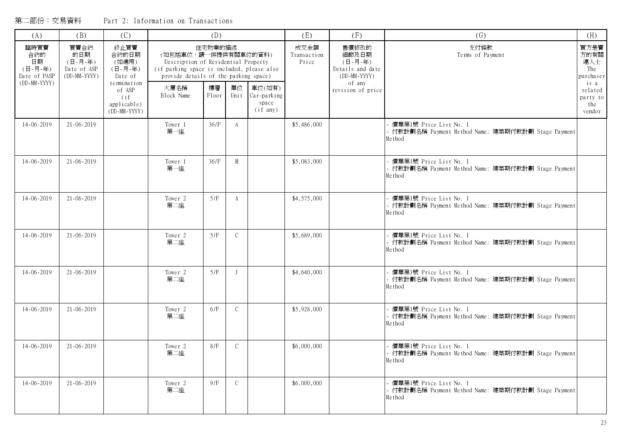| (A)                                                          | (B)                                                                                                   | (C)                                             | (D)                                                                                                                                                                          |             |               |                                             | (E)                                                           | (F)                         | (G)                                                                                       | (H)                                          |
|--------------------------------------------------------------|-------------------------------------------------------------------------------------------------------|-------------------------------------------------|------------------------------------------------------------------------------------------------------------------------------------------------------------------------------|-------------|---------------|---------------------------------------------|---------------------------------------------------------------|-----------------------------|-------------------------------------------------------------------------------------------|----------------------------------------------|
| 臨時買賣<br>合約的<br>日期<br>(日-月-年)<br>Date of PASP<br>(DD-MM-YYYY) | 買賣合約<br>終止買賣<br>合約的日期<br>的日期<br>(日-月-年)<br>(如適用)<br>Date of ASP<br>(日-月-年)<br>(DD-MM-YYYY)<br>Date of |                                                 | 住宅物業的描述<br>(如包括車位,請一併提供有關車位的資料)<br>Description of Residential Property<br>(if parking space is included, please also<br>provide details of the parking space)<br>termination |             |               | 成交金額<br>Transaction<br>Price                | 售價修改的<br>細節及日期<br>(日-月-年)<br>Details and date<br>(DD-MM-YYYY) | 支付條款<br>Terms of Payment    | 買方是賣<br>方的有關<br>連人士<br>The<br>purchaser                                                   |                                              |
|                                                              |                                                                                                       | of ASP<br>$(i$ f<br>applicable)<br>(DD-MM-YYYY) | 大廈名稱<br>Block Name                                                                                                                                                           | 樓層<br>Floor | 單位<br>Unit    | 車位(如有)<br>Car-parking<br>space<br>(i f any) |                                                               | of any<br>revision of price |                                                                                           | is a<br>related<br>party to<br>the<br>vendor |
| 14-06-2019                                                   | $21 - 06 - 2019$                                                                                      |                                                 | Tower 1<br>第一座                                                                                                                                                               | 36/F        | $\mathbf{A}$  |                                             | \$5,486,000                                                   |                             | - 價單第1號 Price List No. 1<br>- 付款計劃名稱 Payment Method Name: 建築期付款計劃 Stage Payment<br>Method |                                              |
| 14-06-2019                                                   | $21 - 06 - 2019$                                                                                      |                                                 | Tower 1<br>第一座                                                                                                                                                               | 36/F        | H             |                                             | \$5,083,000                                                   |                             | - 價單第1號 Price List No. 1<br>- 付款計劃名稱 Payment Method Name: 建築期付款計劃 Stage Payment<br>Method |                                              |
| 14-06-2019                                                   | $21 - 06 - 2019$                                                                                      |                                                 | Tower 2<br>第二座                                                                                                                                                               | 5/F         | A             |                                             | \$4,575,000                                                   |                             | 價單第1號 Price List No. 1<br>- 付款計劃名稱 Payment Method Name: 建築期付款計劃 Stage Payment<br>Method   |                                              |
| 14-06-2019                                                   | $21 - 06 - 2019$                                                                                      |                                                 | Tower 2<br>第二座                                                                                                                                                               | 5/F         | $\mathcal{C}$ |                                             | \$5,689,000                                                   |                             | - 價單第1號 Price List No. 1<br>- 付款計劃名稱 Payment Method Name: 建築期付款計劃 Stage Payment<br>Method |                                              |
| 14-06-2019                                                   | $21 - 06 - 2019$                                                                                      |                                                 | Tower <sub>2</sub><br>第二座                                                                                                                                                    | 5/F         | $\mathbf{I}$  |                                             | \$4,640,000                                                   |                             | - 價單第1號 Price List No. 1<br>- 付款計劃名稱 Payment Method Name: 建築期付款計劃 Stage Payment<br>Method |                                              |
| 14-06-2019                                                   | $21 - 06 - 2019$                                                                                      |                                                 | Tower <sub>2</sub><br>第二座                                                                                                                                                    | 6/F         | $\mathcal{C}$ |                                             | \$5,928,000                                                   |                             | - 價單第1號 Price List No. 1<br>- 付款計劃名稱 Payment Method Name: 建築期付款計劃 Stage Payment<br>Method |                                              |
| 14-06-2019                                                   | $21 - 06 - 2019$                                                                                      |                                                 | Tower 2<br>第二座                                                                                                                                                               | 8/F         | $\mathcal{C}$ |                                             | \$6,000,000                                                   |                             | - 價單第1號 Price List No. 1<br>- 付款計劃名稱 Payment Method Name: 建築期付款計劃 Stage Payment<br>Method |                                              |
| 14-06-2019                                                   | $21 - 06 - 2019$                                                                                      |                                                 | Tower 2<br>第二座                                                                                                                                                               | 9/F         | $\mathcal{C}$ |                                             | \$6,000,000                                                   |                             | 價單第1號 Price List No. 1<br>- 付款計劃名稱 Payment Method Name: 建築期付款計劃 Stage Payment<br>Method   |                                              |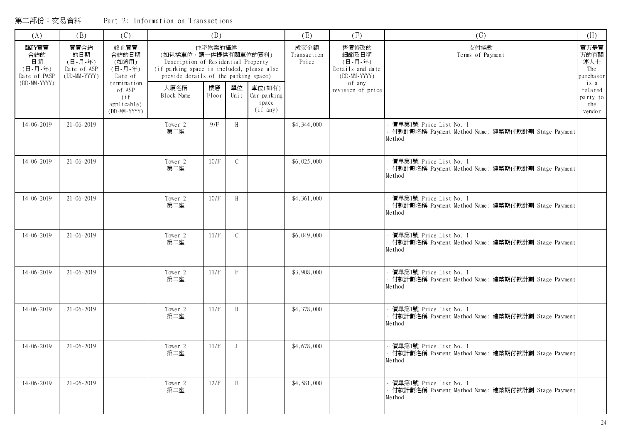| Part 2: Information on Transactions |  |  |  |  |  |  |  |
|-------------------------------------|--|--|--|--|--|--|--|
|-------------------------------------|--|--|--|--|--|--|--|

| (A)                                                                                                                                                   | (B)              | (C)                                                                                                                                                | (D)                |             |                |                                                 | (E)                                                           | (F)                         | (G)                                                                                       | (H)                                          |
|-------------------------------------------------------------------------------------------------------------------------------------------------------|------------------|----------------------------------------------------------------------------------------------------------------------------------------------------|--------------------|-------------|----------------|-------------------------------------------------|---------------------------------------------------------------|-----------------------------|-------------------------------------------------------------------------------------------|----------------------------------------------|
| 臨時買賣<br>買賣合約<br>終止買賣<br>合約的<br>合約的日期<br>的日期<br>(日-月-年)<br>日期<br>(如適用)<br>(日-月-年)<br>Date of ASP<br>(日-月-年)<br>Date of PASP<br>(DD-MM-YYYY)<br>Date of |                  | (如包括車位,請一併提供有關車位的資料)<br>Description of Residential Property<br>(if parking space is included, please also<br>provide details of the parking space) | 住宅物業的描述            |             |                | 成交金額<br>Transaction<br>Price                    | 售價修改的<br>細節及日期<br>(日-月-年)<br>Details and date<br>(DD-MM-YYYY) | 支付條款<br>Terms of Payment    | 買方是賣<br>方的有關<br>連人士<br>The<br>purchaser                                                   |                                              |
| (DD-MM-YYYY)                                                                                                                                          |                  | termination<br>of ASP<br>$(i$ f<br>applicable)<br>(DD-MM-YYYY)                                                                                     | 大廈名稱<br>Block Name | 樓層<br>Floor | 單位<br>Unit     | 車位(如有)<br>Car-parking<br>space<br>$(i f \nany)$ |                                                               | of any<br>revision of price |                                                                                           | is a<br>related<br>party to<br>the<br>vendor |
| 14-06-2019                                                                                                                                            | $21 - 06 - 2019$ |                                                                                                                                                    | Tower 2<br>第二座     | 9/F         | H              |                                                 | \$4,344,000                                                   |                             | 價單第1號 Price List No. 1<br>- 付款計劃名稱 Payment Method Name: 建築期付款計劃 Stage Payment<br>Method   |                                              |
| 14-06-2019                                                                                                                                            | $21 - 06 - 2019$ |                                                                                                                                                    | Tower 2<br>第二座     | 10/F        | $\mathcal{C}$  |                                                 | \$6,025,000                                                   |                             | - 價單第1號 Price List No. 1<br>- 付款計劃名稱 Payment Method Name: 建築期付款計劃 Stage Payment<br>Method |                                              |
| 14-06-2019                                                                                                                                            | $21 - 06 - 2019$ |                                                                                                                                                    | Tower 2<br>第二座     | 10/F        | H              |                                                 | \$4,361,000                                                   |                             | - 價單第1號 Price List No. 1<br>- 付款計劃名稱 Payment Method Name: 建築期付款計劃 Stage Payment<br>Method |                                              |
| 14-06-2019                                                                                                                                            | $21 - 06 - 2019$ |                                                                                                                                                    | Tower 2<br>第二座     | 11/F        | $\mathcal{C}$  |                                                 | \$6,049,000                                                   |                             | - 價單第1號 Price List No. 1<br>- 付款計劃名稱 Payment Method Name: 建築期付款計劃 Stage Payment<br>Method |                                              |
| 14-06-2019                                                                                                                                            | $21 - 06 - 2019$ |                                                                                                                                                    | Tower 2<br>第二座     | 11/F        | F              |                                                 | \$3,908,000                                                   |                             | - 價單第1號 Price List No. 1<br>- 付款計劃名稱 Payment Method Name: 建築期付款計劃 Stage Payment<br>Method |                                              |
| 14-06-2019                                                                                                                                            | $21 - 06 - 2019$ |                                                                                                                                                    | Tower 2<br>第二座     | 11/F        | H              |                                                 | \$4,378,000                                                   |                             | 價單第1號 Price List No. 1<br>- 付款計劃名稱 Payment Method Name: 建築期付款計劃 Stage Payment<br>Method   |                                              |
| 14-06-2019                                                                                                                                            | $21 - 06 - 2019$ |                                                                                                                                                    | Tower 2<br>第二座     | 11/F        | $\mathbf{J}$   |                                                 | \$4,678,000                                                   |                             | - 價單第1號 Price List No. 1<br>- 付款計劃名稱 Payment Method Name: 建築期付款計劃 Stage Payment<br>Method |                                              |
| 14-06-2019                                                                                                                                            | $21 - 06 - 2019$ |                                                                                                                                                    | Tower 2<br>第二座     | 12/F        | $\overline{B}$ |                                                 | \$4,581,000                                                   |                             | 價單第1號 Price List No. 1<br>- 付款計劃名稱 Payment Method Name: 建築期付款計劃 Stage Payment<br>Method   |                                              |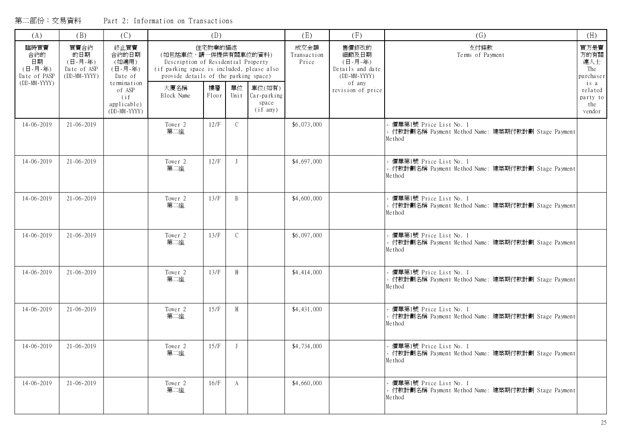| (A)                                                          | (B)                                                   | (C)                                                         |                                                                                                                                                    | (D)         |               |                                                 | (E)                          | (F)                                                           | (G)                                                                                       | (H)                                             |
|--------------------------------------------------------------|-------------------------------------------------------|-------------------------------------------------------------|----------------------------------------------------------------------------------------------------------------------------------------------------|-------------|---------------|-------------------------------------------------|------------------------------|---------------------------------------------------------------|-------------------------------------------------------------------------------------------|-------------------------------------------------|
| 臨時買賣<br>合約的<br>日期<br>(日-月-年)<br>Date of PASP<br>(DD-MM-YYYY) | 買賣合約<br>的日期<br>(日-月-年)<br>Date of ASP<br>(DD-MM-YYYY) | 終止買賣<br>合約的日期<br>(如適用)<br>(日-月-年)<br>Date of<br>termination | (如包括車位,請一併提供有關車位的資料)<br>Description of Residential Property<br>(if parking space is included, please also<br>provide details of the parking space) | 住宅物業的描述     |               |                                                 | 成交金額<br>Transaction<br>Price | 售價修改的<br>細節及日期<br>(日-月-年)<br>Details and date<br>(DD-MM-YYYY) | 支付條款<br>Terms of Payment                                                                  | 買方是賣<br>方的有關<br>連人士<br>The<br>purchaser<br>is a |
|                                                              |                                                       | of ASP<br>$(i$ f<br>applicable)<br>(DD-MM-YYYY)             | 大廈名稱<br>Block Name                                                                                                                                 | 樓層<br>Floor | 單位<br>Unit    | 車位(如有)<br>Car-parking<br>space<br>$(i f \nany)$ |                              | of any<br>revision of price                                   |                                                                                           | related<br>party to<br>the<br>vendor            |
| 14-06-2019                                                   | $21 - 06 - 2019$                                      |                                                             | Tower 2<br>第二座                                                                                                                                     | 12/F        | C             |                                                 | \$6,073,000                  |                                                               | 價單第1號 Price List No. 1<br>- 付款計劃名稱 Payment Method Name: 建築期付款計劃 Stage Payment<br>Method   |                                                 |
| 14-06-2019                                                   | $21 - 06 - 2019$                                      |                                                             | Tower 2<br>第二座                                                                                                                                     | 12/F        | $\mathsf{L}$  |                                                 | \$4,697,000                  |                                                               | · 價單第1號 Price List No. 1<br>- 付款計劃名稱 Payment Method Name: 建築期付款計劃 Stage Payment<br>Method |                                                 |
| 14-06-2019                                                   | $21 - 06 - 2019$                                      |                                                             | Tower <sub>2</sub><br>第二座                                                                                                                          | 13/F        | B             |                                                 | \$4,600,000                  |                                                               | 價單第1號 Price List No. 1<br>- 付款計劃名稱 Payment Method Name: 建築期付款計劃 Stage Payment<br>Method   |                                                 |
| 14-06-2019                                                   | $21 - 06 - 2019$                                      |                                                             | Tower <sub>2</sub><br>第二座                                                                                                                          | 13/F        | $\mathcal{C}$ |                                                 | \$6,097,000                  |                                                               | 價單第1號 Price List No. 1<br>- 付款計劃名稱 Payment Method Name: 建築期付款計劃 Stage Payment<br>Method   |                                                 |
| 14-06-2019                                                   | $21 - 06 - 2019$                                      |                                                             | Tower 2<br>第二座                                                                                                                                     | 13/F        | H             |                                                 | \$4,414,000                  |                                                               | 價單第1號 Price List No. 1<br>- 付款計劃名稱 Payment Method Name: 建築期付款計劃 Stage Payment<br>Method   |                                                 |
| 14-06-2019                                                   | $21 - 06 - 2019$                                      |                                                             | Tower 2<br>第二座                                                                                                                                     | 15/F        | H             |                                                 | \$4,431,000                  |                                                               | 價單第1號 Price List No. 1<br>- 付款計劃名稱 Payment Method Name: 建築期付款計劃 Stage Payment<br>Method   |                                                 |
| 14-06-2019                                                   | $21 - 06 - 2019$                                      |                                                             | Tower 2<br>第二座                                                                                                                                     | 15/F        | $\mathbf{J}$  |                                                 | \$4,734,000                  |                                                               | 價單第1號 Price List No. 1<br>- 付款計劃名稱 Payment Method Name: 建築期付款計劃 Stage Payment<br>Method   |                                                 |
| 14-06-2019                                                   | $21 - 06 - 2019$                                      |                                                             | Tower <sub>2</sub><br>第二座                                                                                                                          | 16/F        | $\mathbf{A}$  |                                                 | \$4,660,000                  |                                                               | 價單第1號 Price List No. 1<br>- 付款計劃名稱 Payment Method Name: 建築期付款計劃 Stage Payment<br>Method   |                                                 |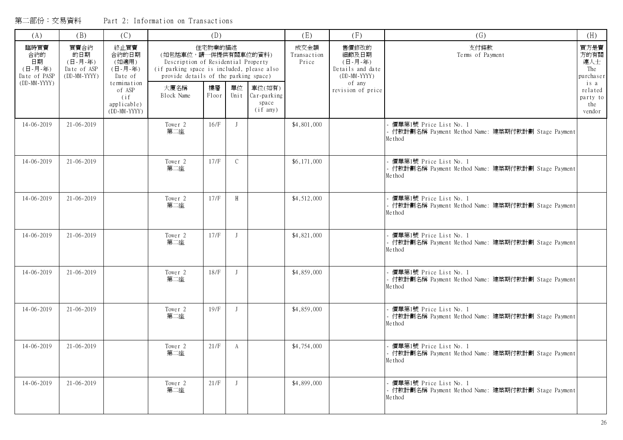| (A)                                                          | (B)                                                   | (C)                                                            |                                                                                                                                                    | (D)         |               |                                             | (E)                          | (F)                                                           | (G)                                                                                       | (H)                                          |
|--------------------------------------------------------------|-------------------------------------------------------|----------------------------------------------------------------|----------------------------------------------------------------------------------------------------------------------------------------------------|-------------|---------------|---------------------------------------------|------------------------------|---------------------------------------------------------------|-------------------------------------------------------------------------------------------|----------------------------------------------|
| 臨時買賣<br>合約的<br>日期<br>(日-月-年)<br>Date of PASP<br>(DD-MM-YYYY) | 買賣合約<br>的日期<br>(日-月-年)<br>Date of ASP<br>(DD-MM-YYYY) | 終止買賣<br>合約的日期<br>(如適用)<br>(日-月-年)<br>Date of                   | (如包括車位,請一併提供有關車位的資料)<br>Description of Residential Property<br>(if parking space is included, please also<br>provide details of the parking space) | 住宅物業的描述     |               |                                             | 成交金額<br>Transaction<br>Price | 售價修改的<br>細節及日期<br>(日-月-年)<br>Details and date<br>(DD-MM-YYYY) | 支付條款<br>Terms of Payment                                                                  | 買方是賣<br>方的有關<br>連人士<br>The<br>purchaser      |
|                                                              |                                                       | termination<br>of ASP<br>$(i$ f<br>applicable)<br>(DD-MM-YYYY) | 大廈名稱<br>Block Name                                                                                                                                 | 樓層<br>Floor | 單位<br>Unit    | 車位(如有)<br>Car-parking<br>space<br>(i f any) |                              | of any<br>revision of price                                   |                                                                                           | is a<br>related<br>party to<br>the<br>vendor |
| 14-06-2019                                                   | $21 - 06 - 2019$                                      |                                                                | Tower <sub>2</sub><br>第二座                                                                                                                          | 16/F        | $\mathsf{I}$  |                                             | \$4,801,000                  |                                                               | - 價單第1號 Price List No. 1<br>- 付款計劃名稱 Payment Method Name: 建築期付款計劃 Stage Payment<br>Method |                                              |
| 14-06-2019                                                   | $21 - 06 - 2019$                                      |                                                                | Tower <sub>2</sub><br>第二座                                                                                                                          | 17/F        | $\mathcal{C}$ |                                             | \$6,171,000                  |                                                               | - 價單第1號 Price List No. 1<br>- 付款計劃名稱 Payment Method Name: 建築期付款計劃 Stage Payment<br>Method |                                              |
| 14-06-2019                                                   | $21 - 06 - 2019$                                      |                                                                | Tower 2<br>第二座                                                                                                                                     | 17/F        | H             |                                             | \$4,512,000                  |                                                               | 價單第1號 Price List No. 1<br>- 付款計劃名稱 Payment Method Name: 建築期付款計劃 Stage Payment<br>Method   |                                              |
| 14-06-2019                                                   | $21 - 06 - 2019$                                      |                                                                | Tower 2<br>第二座                                                                                                                                     | 17/F        | $\mathsf{L}$  |                                             | \$4,821,000                  |                                                               | - 價單第1號 Price List No. 1<br>- 付款計劃名稱 Payment Method Name: 建築期付款計劃 Stage Payment<br>Method |                                              |
| 14-06-2019                                                   | $21 - 06 - 2019$                                      |                                                                | Tower <sub>2</sub><br>第二座                                                                                                                          | 18/F        | $\mathbf{I}$  |                                             | \$4,859,000                  |                                                               | - 價單第1號 Price List No. 1<br>- 付款計劃名稱 Payment Method Name: 建築期付款計劃 Stage Payment<br>Method |                                              |
| 14-06-2019                                                   | $21 - 06 - 2019$                                      |                                                                | Tower <sub>2</sub><br>第二座                                                                                                                          | 19/F        | $\mathbf{I}$  |                                             | \$4,859,000                  |                                                               | - 價單第1號 Price List No. 1<br>- 付款計劃名稱 Payment Method Name: 建築期付款計劃 Stage Payment<br>Method |                                              |
| 14-06-2019                                                   | $21 - 06 - 2019$                                      |                                                                | Tower 2<br>第二座                                                                                                                                     | 21/F        | A             |                                             | \$4,754,000                  |                                                               | - 價單第1號 Price List No. 1<br>- 付款計劃名稱 Payment Method Name: 建築期付款計劃 Stage Payment<br>Method |                                              |
| 14-06-2019                                                   | $21 - 06 - 2019$                                      |                                                                | Tower 2<br>第二座                                                                                                                                     | 21/F        | $\mathsf{I}$  |                                             | \$4,899,000                  |                                                               | 價單第1號 Price List No. 1<br>- 付款計劃名稱 Payment Method Name: 建築期付款計劃 Stage Payment<br>Method   |                                              |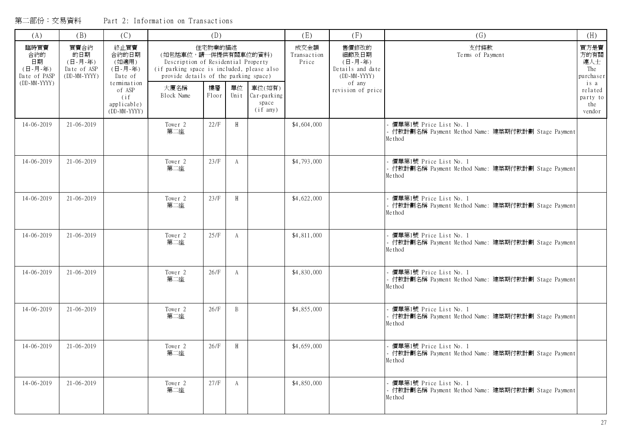| (A)                                                          | (B)                                                   | (C)                                                         |                                                                                                                                                    | (D)         |              |                                                 | (E)                          | (F)                                                           | (G)                                                                                       | (H)                                             |
|--------------------------------------------------------------|-------------------------------------------------------|-------------------------------------------------------------|----------------------------------------------------------------------------------------------------------------------------------------------------|-------------|--------------|-------------------------------------------------|------------------------------|---------------------------------------------------------------|-------------------------------------------------------------------------------------------|-------------------------------------------------|
| 臨時買賣<br>合約的<br>日期<br>(日-月-年)<br>Date of PASP<br>(DD-MM-YYYY) | 買賣合約<br>的日期<br>(日-月-年)<br>Date of ASP<br>(DD-MM-YYYY) | 終止買賣<br>合約的日期<br>(如適用)<br>(日-月-年)<br>Date of<br>termination | (如包括車位,請一併提供有關車位的資料)<br>Description of Residential Property<br>(if parking space is included, please also<br>provide details of the parking space) | 住宅物業的描述     |              |                                                 | 成交金額<br>Transaction<br>Price | 售價修改的<br>細節及日期<br>(日-月-年)<br>Details and date<br>(DD-MM-YYYY) | 支付條款<br>Terms of Payment                                                                  | 買方是賣<br>方的有關<br>連人士<br>The<br>purchaser<br>is a |
|                                                              |                                                       | of ASP<br>$(i$ f<br>applicable)<br>(DD-MM-YYYY)             | 大廈名稱<br>Block Name                                                                                                                                 | 樓層<br>Floor | 單位<br>Unit   | 車位(如有)<br>Car-parking<br>space<br>$(i f \nany)$ |                              | of any<br>revision of price                                   |                                                                                           | related<br>party to<br>the<br>vendor            |
| 14-06-2019                                                   | $21 - 06 - 2019$                                      |                                                             | Tower 2<br>第二座                                                                                                                                     | 22/F        | H            |                                                 | \$4,604,000                  |                                                               | 價單第1號 Price List No. 1<br>- 付款計劃名稱 Payment Method Name: 建築期付款計劃 Stage Payment<br>Method   |                                                 |
| 14-06-2019                                                   | $21 - 06 - 2019$                                      |                                                             | Tower 2<br>第二座                                                                                                                                     | 23/F        | A            |                                                 | \$4,793,000                  |                                                               | · 價單第1號 Price List No. 1<br>- 付款計劃名稱 Payment Method Name: 建築期付款計劃 Stage Payment<br>Method |                                                 |
| 14-06-2019                                                   | $21 - 06 - 2019$                                      |                                                             | Tower <sub>2</sub><br>第二座                                                                                                                          | 23/F        | H            |                                                 | \$4,622,000                  |                                                               | 價單第1號 Price List No. 1<br>- 付款計劃名稱 Payment Method Name: 建築期付款計劃 Stage Payment<br>Method   |                                                 |
| 14-06-2019                                                   | $21 - 06 - 2019$                                      |                                                             | Tower <sub>2</sub><br>第二座                                                                                                                          | 25/F        | A            |                                                 | \$4,811,000                  |                                                               | 價單第1號 Price List No. 1<br>- 付款計劃名稱 Payment Method Name: 建築期付款計劃 Stage Payment<br>Method   |                                                 |
| 14-06-2019                                                   | $21 - 06 - 2019$                                      |                                                             | Tower 2<br>第二座                                                                                                                                     | 26/F        | A            |                                                 | \$4,830,000                  |                                                               | 價單第1號 Price List No. 1<br>- 付款計劃名稱 Payment Method Name: 建築期付款計劃 Stage Payment<br>Method   |                                                 |
| 14-06-2019                                                   | $21 - 06 - 2019$                                      |                                                             | Tower 2<br>第二座                                                                                                                                     | 26/F        | B            |                                                 | \$4,855,000                  |                                                               | 價單第1號 Price List No. 1<br>- 付款計劃名稱 Payment Method Name: 建築期付款計劃 Stage Payment<br>Method   |                                                 |
| 14-06-2019                                                   | $21 - 06 - 2019$                                      |                                                             | Tower 2<br>第二座                                                                                                                                     | 26/F        | H            |                                                 | \$4,659,000                  |                                                               | 價單第1號 Price List No. 1<br>- 付款計劃名稱 Payment Method Name: 建築期付款計劃 Stage Payment<br>Method   |                                                 |
| 14-06-2019                                                   | $21 - 06 - 2019$                                      |                                                             | Tower <sub>2</sub><br>第二座                                                                                                                          | 27/F        | $\mathbf{A}$ |                                                 | \$4,850,000                  |                                                               | 價單第1號 Price List No. 1<br>- 付款計劃名稱 Payment Method Name: 建築期付款計劃 Stage Payment<br>Method   |                                                 |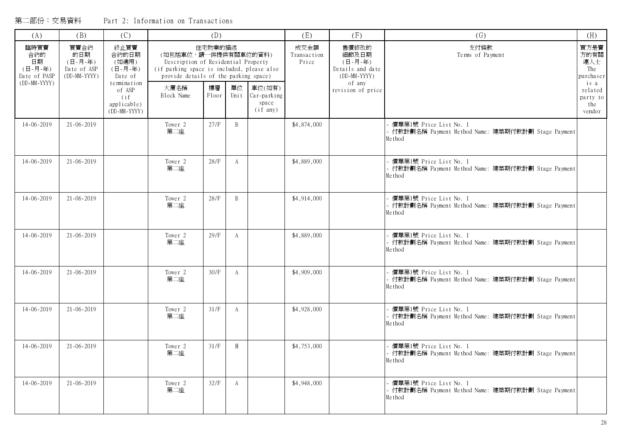| (A)                                                          | (B)                                                   | (C)                                                         |                                                                                                                                                    | (D)         |              |                                                 | (E)                          | (F)                                                           | (G)                                                                                       | (H)                                          |
|--------------------------------------------------------------|-------------------------------------------------------|-------------------------------------------------------------|----------------------------------------------------------------------------------------------------------------------------------------------------|-------------|--------------|-------------------------------------------------|------------------------------|---------------------------------------------------------------|-------------------------------------------------------------------------------------------|----------------------------------------------|
| 臨時買賣<br>合約的<br>日期<br>(日-月-年)<br>Date of PASP<br>(DD-MM-YYYY) | 買賣合約<br>的日期<br>(日-月-年)<br>Date of ASP<br>(DD-MM-YYYY) | 終止買賣<br>合約的日期<br>(如適用)<br>(日-月-年)<br>Date of<br>termination | (如包括車位,請一併提供有關車位的資料)<br>Description of Residential Property<br>(if parking space is included, please also<br>provide details of the parking space) | 住宅物業的描述     |              |                                                 | 成交金額<br>Transaction<br>Price | 售價修改的<br>細節及日期<br>(日-月-年)<br>Details and date<br>(DD-MM-YYYY) | 支付條款<br>Terms of Payment                                                                  | 買方是賣<br>方的有關<br>連人士<br>The<br>purchaser      |
|                                                              |                                                       | of ASP<br>$(i$ f<br>applicable)<br>(DD-MM-YYYY)             | 大廈名稱<br>Block Name                                                                                                                                 | 樓層<br>Floor | 單位<br>Unit   | 車位(如有)<br>Car-parking<br>space<br>$(i f \nany)$ |                              | of any<br>revision of price                                   |                                                                                           | is a<br>related<br>party to<br>the<br>vendor |
| 14-06-2019                                                   | $21 - 06 - 2019$                                      |                                                             | Tower <sub>2</sub><br>第二座                                                                                                                          | 27/F        | B            |                                                 | \$4,874,000                  |                                                               | 價單第1號 Price List No. 1<br>- 付款計劃名稱 Payment Method Name: 建築期付款計劃 Stage Payment<br>Method   |                                              |
| 14-06-2019                                                   | $21 - 06 - 2019$                                      |                                                             | Tower <sub>2</sub><br>第二座                                                                                                                          | 28/F        | A            |                                                 | \$4,889,000                  |                                                               | - 價單第1號 Price List No. 1<br>- 付款計劃名稱 Payment Method Name: 建築期付款計劃 Stage Payment<br>Method |                                              |
| $14 - 06 - 2019$                                             | $21 - 06 - 2019$                                      |                                                             | Tower <sub>2</sub><br>第二座                                                                                                                          | 28/F        | B            |                                                 | \$4,914,000                  |                                                               | 價單第1號 Price List No. 1<br>- 付款計劃名稱 Payment Method Name: 建築期付款計劃 Stage Payment<br>Method   |                                              |
| 14-06-2019                                                   | $21 - 06 - 2019$                                      |                                                             | Tower 2<br>第二座                                                                                                                                     | 29/F        | A            |                                                 | \$4,889,000                  |                                                               | - 價單第1號 Price List No. 1<br>- 付款計劃名稱 Payment Method Name: 建築期付款計劃 Stage Payment<br>Method |                                              |
| 14-06-2019                                                   | $21 - 06 - 2019$                                      |                                                             | Tower <sub>2</sub><br>第二座                                                                                                                          | 30/F        | A            |                                                 | \$4,909,000                  |                                                               | 價單第1號 Price List No. 1<br>- 付款計劃名稱 Payment Method Name: 建築期付款計劃 Stage Payment<br>Method   |                                              |
| 14-06-2019                                                   | $21 - 06 - 2019$                                      |                                                             | Tower <sub>2</sub><br>第二座                                                                                                                          | 31/F        | A            |                                                 | \$4,928,000                  |                                                               | - 價單第1號 Price List No. 1<br>- 付款計劃名稱 Payment Method Name: 建築期付款計劃 Stage Payment<br>Method |                                              |
| 14-06-2019                                                   | $21 - 06 - 2019$                                      |                                                             | Tower 2<br>第二座                                                                                                                                     | 31/F        | H            |                                                 | \$4,753,000                  |                                                               | - 價單第1號 Price List No. 1<br>- 付款計劃名稱 Payment Method Name: 建築期付款計劃 Stage Payment<br>Method |                                              |
| 14-06-2019                                                   | $21 - 06 - 2019$                                      |                                                             | Tower <sub>2</sub><br>第二座                                                                                                                          | 32/F        | $\mathbf{A}$ |                                                 | \$4,948,000                  |                                                               | 價單第1號 Price List No. 1<br>- 付款計劃名稱 Payment Method Name: 建築期付款計劃 Stage Payment<br>Method   |                                              |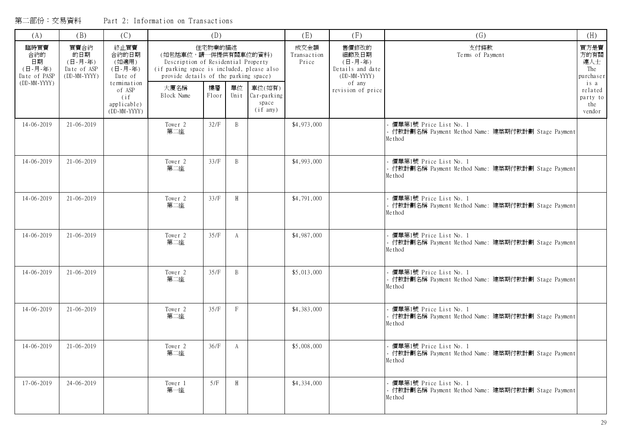| (A)                                                          | (B)                                                   | (C)                                                         |                                                                                                                                                    | (D)         |                |                                                 | (E)                          | (F)                                                           | (G)                                                                                       | (H)                                          |
|--------------------------------------------------------------|-------------------------------------------------------|-------------------------------------------------------------|----------------------------------------------------------------------------------------------------------------------------------------------------|-------------|----------------|-------------------------------------------------|------------------------------|---------------------------------------------------------------|-------------------------------------------------------------------------------------------|----------------------------------------------|
| 臨時買賣<br>合約的<br>日期<br>(日-月-年)<br>Date of PASP<br>(DD-MM-YYYY) | 買賣合約<br>的日期<br>(日-月-年)<br>Date of ASP<br>(DD-MM-YYYY) | 終止買賣<br>合約的日期<br>(如適用)<br>(日-月-年)<br>Date of<br>termination | (如包括車位,請一併提供有關車位的資料)<br>Description of Residential Property<br>(if parking space is included, please also<br>provide details of the parking space) | 住宅物業的描述     |                |                                                 | 成交金額<br>Transaction<br>Price | 售價修改的<br>細節及日期<br>(日-月-年)<br>Details and date<br>(DD-MM-YYYY) | 支付條款<br>Terms of Payment                                                                  | 買方是賣<br>方的有關<br>連人士<br>The<br>purchaser      |
|                                                              |                                                       | of ASP<br>$(i$ f<br>applicable)<br>(DD-MM-YYYY)             | 大廈名稱<br>Block Name                                                                                                                                 | 樓層<br>Floor | 單位<br>Unit     | 車位(如有)<br>Car-parking<br>space<br>$(i f \nany)$ |                              | of any<br>revision of price                                   |                                                                                           | is a<br>related<br>party to<br>the<br>vendor |
| 14-06-2019                                                   | $21 - 06 - 2019$                                      |                                                             | Tower <sub>2</sub><br>第二座                                                                                                                          | 32/F        | B              |                                                 | \$4,973,000                  |                                                               | 價單第1號 Price List No. 1<br>- 付款計劃名稱 Payment Method Name: 建築期付款計劃 Stage Payment<br>Method   |                                              |
| 14-06-2019                                                   | $21 - 06 - 2019$                                      |                                                             | Tower <sub>2</sub><br>第二座                                                                                                                          | 33/F        | $\overline{B}$ |                                                 | \$4,993,000                  |                                                               | - 價單第1號 Price List No. 1<br>- 付款計劃名稱 Payment Method Name: 建築期付款計劃 Stage Payment<br>Method |                                              |
| $14 - 06 - 2019$                                             | $21 - 06 - 2019$                                      |                                                             | Tower <sub>2</sub><br>第二座                                                                                                                          | 33/F        | H              |                                                 | \$4,791,000                  |                                                               | 價單第1號 Price List No. 1<br>- 付款計劃名稱 Payment Method Name: 建築期付款計劃 Stage Payment<br>Method   |                                              |
| 14-06-2019                                                   | $21 - 06 - 2019$                                      |                                                             | Tower 2<br>第二座                                                                                                                                     | 35/F        | A              |                                                 | \$4,987,000                  |                                                               | - 價單第1號 Price List No. 1<br>- 付款計劃名稱 Payment Method Name: 建築期付款計劃 Stage Payment<br>Method |                                              |
| 14-06-2019                                                   | $21 - 06 - 2019$                                      |                                                             | Tower <sub>2</sub><br>第二座                                                                                                                          | 35/F        | B              |                                                 | \$5,013,000                  |                                                               | 價單第1號 Price List No. 1<br>- 付款計劃名稱 Payment Method Name: 建築期付款計劃 Stage Payment<br>Method   |                                              |
| 14-06-2019                                                   | $21 - 06 - 2019$                                      |                                                             | Tower <sub>2</sub><br>第二座                                                                                                                          | 35/F        | F              |                                                 | \$4,383,000                  |                                                               | - 價單第1號 Price List No. 1<br>- 付款計劃名稱 Payment Method Name: 建築期付款計劃 Stage Payment<br>Method |                                              |
| 14-06-2019                                                   | $21 - 06 - 2019$                                      |                                                             | Tower 2<br>第二座                                                                                                                                     | 36/F        | A              |                                                 | \$5,008,000                  |                                                               | - 價單第1號 Price List No. 1<br>- 付款計劃名稱 Payment Method Name: 建築期付款計劃 Stage Payment<br>Method |                                              |
| 17-06-2019                                                   | $24 - 06 - 2019$                                      |                                                             | Tower 1<br>第一座                                                                                                                                     | 5/F         | H              |                                                 | \$4,334,000                  |                                                               | 價單第1號 Price List No. 1<br>- 付款計劃名稱 Payment Method Name: 建築期付款計劃 Stage Payment<br>Method   |                                              |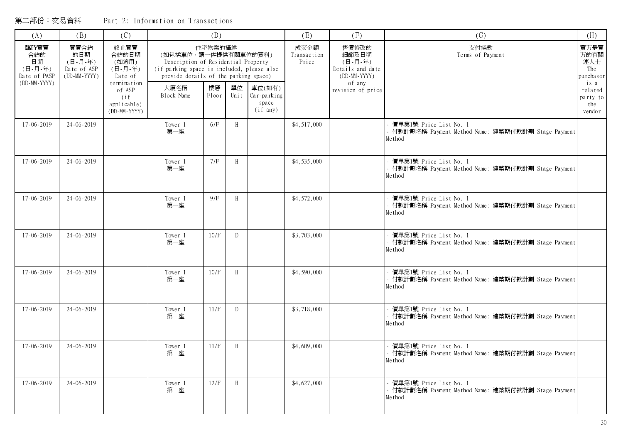| (A)                                                          | (B)                                                   | (C)                                                         |                                                                                                                                                    | (D)         |            |                                                 | (E)                          | (F)                                                           | (G)                                                                                       | (H)                                          |
|--------------------------------------------------------------|-------------------------------------------------------|-------------------------------------------------------------|----------------------------------------------------------------------------------------------------------------------------------------------------|-------------|------------|-------------------------------------------------|------------------------------|---------------------------------------------------------------|-------------------------------------------------------------------------------------------|----------------------------------------------|
| 臨時買賣<br>合約的<br>日期<br>(日-月-年)<br>Date of PASP<br>(DD-MM-YYYY) | 買賣合約<br>的日期<br>(日-月-年)<br>Date of ASP<br>(DD-MM-YYYY) | 終止買賣<br>合約的日期<br>(如適用)<br>(日-月-年)<br>Date of<br>termination | (如包括車位,請一併提供有關車位的資料)<br>Description of Residential Property<br>(if parking space is included, please also<br>provide details of the parking space) | 住宅物業的描述     |            |                                                 | 成交金額<br>Transaction<br>Price | 售價修改的<br>細節及日期<br>(日-月-年)<br>Details and date<br>(DD-MM-YYYY) | 支付條款<br>Terms of Payment                                                                  | 買方是賣<br>方的有關<br>連人士<br>The<br>purchaser      |
|                                                              |                                                       | of ASP<br>$(i$ f<br>applicable)<br>(DD-MM-YYYY)             | 大廈名稱<br>Block Name                                                                                                                                 | 樓層<br>Floor | 單位<br>Unit | 車位(如有)<br>Car-parking<br>space<br>$(i f \nany)$ |                              | of any<br>revision of price                                   |                                                                                           | is a<br>related<br>party to<br>the<br>vendor |
| 17-06-2019                                                   | $24 - 06 - 2019$                                      |                                                             | Tower 1<br>第一座                                                                                                                                     | 6/F         | H          |                                                 | \$4,517,000                  |                                                               | 價單第1號 Price List No. 1<br>- 付款計劃名稱 Payment Method Name: 建築期付款計劃 Stage Payment<br>Method   |                                              |
| 17-06-2019                                                   | $24 - 06 - 2019$                                      |                                                             | Tower 1<br>第一座                                                                                                                                     | 7/F         | H          |                                                 | \$4,535,000                  |                                                               | - 價單第1號 Price List No. 1<br>- 付款計劃名稱 Payment Method Name: 建築期付款計劃 Stage Payment<br>Method |                                              |
| $17 - 06 - 2019$                                             | $24 - 06 - 2019$                                      |                                                             | Tower 1<br>第一座                                                                                                                                     | 9/F         | H          |                                                 | \$4,572,000                  |                                                               | 價單第1號 Price List No. 1<br>- 付款計劃名稱 Payment Method Name: 建築期付款計劃 Stage Payment<br>Method   |                                              |
| 17-06-2019                                                   | 24-06-2019                                            |                                                             | Tower 1<br>第一座                                                                                                                                     | 10/F        | D          |                                                 | \$3,703,000                  |                                                               | - 價單第1號 Price List No. 1<br>- 付款計劃名稱 Payment Method Name: 建築期付款計劃 Stage Payment<br>Method |                                              |
| 17-06-2019                                                   | 24-06-2019                                            |                                                             | Tower 1<br>第一座                                                                                                                                     | 10/F        | H          |                                                 | \$4,590,000                  |                                                               | 價單第1號 Price List No. 1<br>- 付款計劃名稱 Payment Method Name: 建築期付款計劃 Stage Payment<br>Method   |                                              |
| 17-06-2019                                                   | 24-06-2019                                            |                                                             | Tower 1<br>第一座                                                                                                                                     | 11/F        | D          |                                                 | \$3,718,000                  |                                                               | - 價單第1號 Price List No. 1<br>- 付款計劃名稱 Payment Method Name: 建築期付款計劃 Stage Payment<br>Method |                                              |
| 17-06-2019                                                   | $24 - 06 - 2019$                                      |                                                             | Tower 1<br>第一座                                                                                                                                     | 11/F        | H          |                                                 | \$4,609,000                  |                                                               | - 價單第1號 Price List No. 1<br>- 付款計劃名稱 Payment Method Name: 建築期付款計劃 Stage Payment<br>Method |                                              |
| 17-06-2019                                                   | $24 - 06 - 2019$                                      |                                                             | Tower 1<br>第一座                                                                                                                                     | 12/F        | H          |                                                 | \$4,627,000                  |                                                               | 價單第1號 Price List No. 1<br>- 付款計劃名稱 Payment Method Name: 建築期付款計劃 Stage Payment<br>Method   |                                              |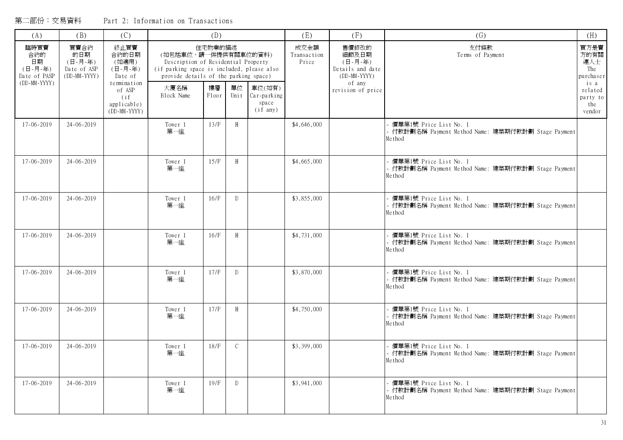|  |  |  | Part 2: Information on Transactions |  |  |
|--|--|--|-------------------------------------|--|--|
|--|--|--|-------------------------------------|--|--|

| (A)                                                          | (B)                                                   | (C)                                                         |                                                                                                                                                    | (D)         |               |                                                 | (E)                          | (F)                                                           | (G)                                                                                       | (H)                                             |
|--------------------------------------------------------------|-------------------------------------------------------|-------------------------------------------------------------|----------------------------------------------------------------------------------------------------------------------------------------------------|-------------|---------------|-------------------------------------------------|------------------------------|---------------------------------------------------------------|-------------------------------------------------------------------------------------------|-------------------------------------------------|
| 臨時買賣<br>合約的<br>日期<br>(日-月-年)<br>Date of PASP<br>(DD-MM-YYYY) | 買賣合約<br>的日期<br>(日-月-年)<br>Date of ASP<br>(DD-MM-YYYY) | 終止買賣<br>合約的日期<br>(如適用)<br>(日-月-年)<br>Date of<br>termination | (如包括車位,請一併提供有關車位的資料)<br>Description of Residential Property<br>(if parking space is included, please also<br>provide details of the parking space) | 住宅物業的描述     |               |                                                 | 成交金額<br>Transaction<br>Price | 售價修改的<br>細節及日期<br>(日-月-年)<br>Details and date<br>(DD-MM-YYYY) | 支付條款<br>Terms of Payment                                                                  | 買方是賣<br>方的有關<br>連人士<br>The<br>purchaser<br>is a |
|                                                              |                                                       | of ASP<br>(i f)<br>applicable)<br>(DD-MM-YYYY)              | 大廈名稱<br>Block Name                                                                                                                                 | 樓層<br>Floor | 單位<br>Unit    | 車位(如有)<br>Car-parking<br>space<br>$(i f \nany)$ |                              | of any<br>revision of price                                   |                                                                                           | related<br>party to<br>the<br>vendor            |
| 17-06-2019                                                   | 24-06-2019                                            |                                                             | Tower 1<br>第一座                                                                                                                                     | 13/F        | H             |                                                 | \$4,646,000                  |                                                               | 價單第1號 Price List No. 1<br>- 付款計劃名稱 Payment Method Name: 建築期付款計劃 Stage Payment<br>Method   |                                                 |
| 17-06-2019                                                   | $24 - 06 - 2019$                                      |                                                             | Tower 1<br>第一座                                                                                                                                     | 15/F        | H             |                                                 | \$4,665,000                  |                                                               | · 價單第1號 Price List No. 1<br>- 付款計劃名稱 Payment Method Name: 建築期付款計劃 Stage Payment<br>Method |                                                 |
| 17-06-2019                                                   | $24 - 06 - 2019$                                      |                                                             | Tower 1<br>第一座                                                                                                                                     | 16/F        | $\mathbb{D}$  |                                                 | \$3,855,000                  |                                                               | 價單第1號 Price List No. 1<br>- 付款計劃名稱 Payment Method Name: 建築期付款計劃 Stage Payment<br>Method   |                                                 |
| 17-06-2019                                                   | 24-06-2019                                            |                                                             | Tower 1<br>第一座                                                                                                                                     | 16/F        | H             |                                                 | \$4,731,000                  |                                                               | 價單第1號 Price List No. 1<br>- 付款計劃名稱 Payment Method Name: 建築期付款計劃 Stage Payment<br>Method   |                                                 |
| 17-06-2019                                                   | 24-06-2019                                            |                                                             | Tower 1<br>第一座                                                                                                                                     | 17/F        | $\mathbb{D}$  |                                                 | \$3,870,000                  |                                                               | 價單第1號 Price List No. 1<br>- 付款計劃名稱 Payment Method Name: 建築期付款計劃 Stage Payment<br>Method   |                                                 |
| 17-06-2019                                                   | 24-06-2019                                            |                                                             | Tower 1<br>第一座                                                                                                                                     | 17/F        | H             |                                                 | \$4,750,000                  |                                                               | 價單第1號 Price List No. 1<br>- 付款計劃名稱 Payment Method Name: 建築期付款計劃 Stage Payment<br>Method   |                                                 |
| 17-06-2019                                                   | 24-06-2019                                            |                                                             | Tower 1<br>第一座                                                                                                                                     | 18/F        | $\mathcal{C}$ |                                                 | \$3,399,000                  |                                                               | 價單第1號 Price List No. 1<br>- 付款計劃名稱 Payment Method Name: 建築期付款計劃 Stage Payment<br>Method   |                                                 |
| 17-06-2019                                                   | $24 - 06 - 2019$                                      |                                                             | Tower 1<br>第一座                                                                                                                                     | 19/F        | $\mathbb{D}$  |                                                 | \$3,941,000                  |                                                               | 價單第1號 Price List No. 1<br>- 付款計劃名稱 Payment Method Name: 建築期付款計劃 Stage Payment<br>Method   |                                                 |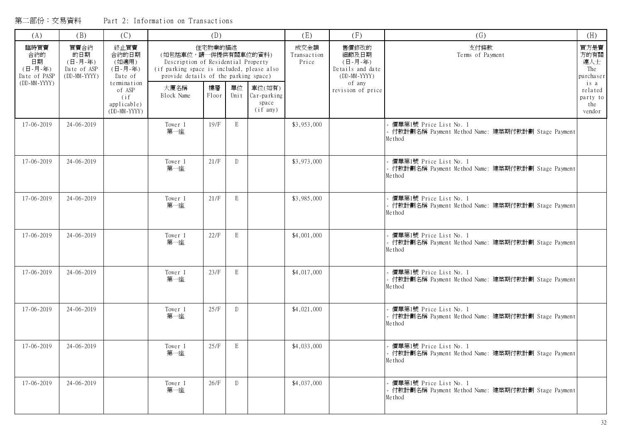| Part 2: Information on Transactions |
|-------------------------------------|
|-------------------------------------|

| (A)                                          | (B)                                                   | (C)                                                            |                                                                                                                                                    | (D)         |              |                                                 | (E)                          | (F)                                                           | (G)                                                                                       | (H)                                          |
|----------------------------------------------|-------------------------------------------------------|----------------------------------------------------------------|----------------------------------------------------------------------------------------------------------------------------------------------------|-------------|--------------|-------------------------------------------------|------------------------------|---------------------------------------------------------------|-------------------------------------------------------------------------------------------|----------------------------------------------|
| 臨時買賣<br>合約的<br>日期<br>(日-月-年)<br>Date of PASP | 買賣合約<br>的日期<br>(日-月-年)<br>Date of ASP<br>(DD-MM-YYYY) | 終止買賣<br>合約的日期<br>(如適用)<br>(日-月-年)<br>Date of                   | (如包括車位,請一併提供有關車位的資料)<br>Description of Residential Property<br>(if parking space is included, please also<br>provide details of the parking space) | 住宅物業的描述     |              |                                                 | 成交金額<br>Transaction<br>Price | 售價修改的<br>細節及日期<br>(日-月-年)<br>Details and date<br>(DD-MM-YYYY) | 支付條款<br>Terms of Payment                                                                  | 買方是賣<br>方的有關<br>連人士<br>The<br>purchaser      |
| (DD-MM-YYYY)                                 |                                                       | termination<br>of ASP<br>$(i$ f<br>applicable)<br>(DD-MM-YYYY) | 大廈名稱<br>Block Name                                                                                                                                 | 樓層<br>Floor | 單位<br>Unit   | 車位(如有)<br>Car-parking<br>space<br>$(i f \nany)$ |                              | of any<br>revision of price                                   |                                                                                           | is a<br>related<br>party to<br>the<br>vendor |
| 17-06-2019                                   | $24 - 06 - 2019$                                      |                                                                | Tower 1<br>第一座                                                                                                                                     | 19/F        | E            |                                                 | \$3,953,000                  |                                                               | 價單第1號 Price List No. 1<br>- 付款計劃名稱 Payment Method Name: 建築期付款計劃 Stage Payment<br>Method   |                                              |
| 17-06-2019                                   | 24-06-2019                                            |                                                                | Tower 1<br>第一座                                                                                                                                     | 21/F        | $\mathbb{D}$ |                                                 | \$3,973,000                  |                                                               | - 價單第1號 Price List No. 1<br>- 付款計劃名稱 Payment Method Name: 建築期付款計劃 Stage Payment<br>Method |                                              |
| 17-06-2019                                   | 24-06-2019                                            |                                                                | Tower 1<br>第一座                                                                                                                                     | 21/F        | E            |                                                 | \$3,985,000                  |                                                               | - 價單第1號 Price List No. 1<br>- 付款計劃名稱 Payment Method Name: 建築期付款計劃 Stage Payment<br>Method |                                              |
| 17-06-2019                                   | $24 - 06 - 2019$                                      |                                                                | Tower 1<br>第一座                                                                                                                                     | 22/F        | E            |                                                 | \$4,001,000                  |                                                               | - 價單第1號 Price List No. 1<br>- 付款計劃名稱 Payment Method Name: 建築期付款計劃 Stage Payment<br>Method |                                              |
| 17-06-2019                                   | $24 - 06 - 2019$                                      |                                                                | Tower 1<br>第一座                                                                                                                                     | 23/F        | E            |                                                 | \$4,017,000                  |                                                               | - 價單第1號 Price List No. 1<br>- 付款計劃名稱 Payment Method Name: 建築期付款計劃 Stage Payment<br>Method |                                              |
| 17-06-2019                                   | 24-06-2019                                            |                                                                | Tower 1<br>第一座                                                                                                                                     | 25/F        | D            |                                                 | \$4,021,000                  |                                                               | 價單第1號 Price List No. 1<br>- 付款計劃名稱 Payment Method Name: 建築期付款計劃 Stage Payment<br>Method   |                                              |
| 17-06-2019                                   | 24-06-2019                                            |                                                                | Tower 1<br>第一座                                                                                                                                     | 25/F        | $\mathbf E$  |                                                 | \$4,033,000                  |                                                               | - 價單第1號 Price List No. 1<br>- 付款計劃名稱 Payment Method Name: 建築期付款計劃 Stage Payment<br>Method |                                              |
| 17-06-2019                                   | 24-06-2019                                            |                                                                | Tower 1<br>第一座                                                                                                                                     | 26/F        | $\mathbb{D}$ |                                                 | \$4,037,000                  |                                                               | 價單第1號 Price List No. 1<br>- 付款計劃名稱 Payment Method Name: 建築期付款計劃 Stage Payment<br>Method   |                                              |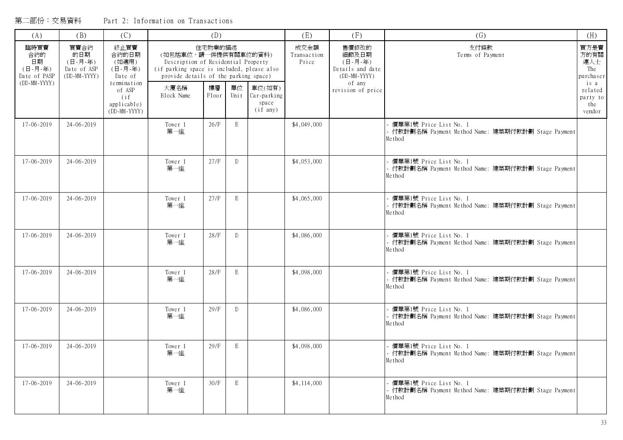|  |  | Part 2: Information on Transactions |  |  |
|--|--|-------------------------------------|--|--|
|--|--|-------------------------------------|--|--|

| (A)                                          | (B)                                                   | (C)                                                            |                                                                                                                                                    | (D)         |              |                                                 | (E)                          | (F)                                                           | (G)                                                                                       | (H)                                          |
|----------------------------------------------|-------------------------------------------------------|----------------------------------------------------------------|----------------------------------------------------------------------------------------------------------------------------------------------------|-------------|--------------|-------------------------------------------------|------------------------------|---------------------------------------------------------------|-------------------------------------------------------------------------------------------|----------------------------------------------|
| 臨時買賣<br>合約的<br>日期<br>(日-月-年)<br>Date of PASP | 買賣合約<br>的日期<br>(日-月-年)<br>Date of ASP<br>(DD-MM-YYYY) | 終止買賣<br>合約的日期<br>(如適用)<br>(日-月-年)<br>Date of                   | (如包括車位,請一併提供有關車位的資料)<br>Description of Residential Property<br>(if parking space is included, please also<br>provide details of the parking space) | 住宅物業的描述     |              |                                                 | 成交金額<br>Transaction<br>Price | 售價修改的<br>細節及日期<br>(日-月-年)<br>Details and date<br>(DD-MM-YYYY) | 支付條款<br>Terms of Payment                                                                  | 買方是賣<br>方的有關<br>連人士<br>The<br>purchaser      |
| (DD-MM-YYYY)                                 |                                                       | termination<br>of ASP<br>$(i$ f<br>applicable)<br>(DD-MM-YYYY) | 大廈名稱<br>Block Name                                                                                                                                 | 樓層<br>Floor | 單位<br>Unit   | 車位(如有)<br>Car-parking<br>space<br>$(i f \nany)$ |                              | of any<br>revision of price                                   |                                                                                           | is a<br>related<br>party to<br>the<br>vendor |
| 17-06-2019                                   | $24 - 06 - 2019$                                      |                                                                | Tower 1<br>第一座                                                                                                                                     | 26/F        | E            |                                                 | \$4,049,000                  |                                                               | 價單第1號 Price List No. 1<br>- 付款計劃名稱 Payment Method Name: 建築期付款計劃 Stage Payment<br>Method   |                                              |
| 17-06-2019                                   | 24-06-2019                                            |                                                                | Tower 1<br>第一座                                                                                                                                     | 27/F        | $\mathbb{D}$ |                                                 | \$4,053,000                  |                                                               | - 價單第1號 Price List No. 1<br>- 付款計劃名稱 Payment Method Name: 建築期付款計劃 Stage Payment<br>Method |                                              |
| 17-06-2019                                   | 24-06-2019                                            |                                                                | Tower 1<br>第一座                                                                                                                                     | 27/F        | E            |                                                 | \$4,065,000                  |                                                               | - 價單第1號 Price List No. 1<br>- 付款計劃名稱 Payment Method Name: 建築期付款計劃 Stage Payment<br>Method |                                              |
| 17-06-2019                                   | 24-06-2019                                            |                                                                | Tower 1<br>第一座                                                                                                                                     | 28/F        | $\mathbb{D}$ |                                                 | \$4,086,000                  |                                                               | - 價單第1號 Price List No. 1<br>- 付款計劃名稱 Payment Method Name: 建築期付款計劃 Stage Payment<br>Method |                                              |
| 17-06-2019                                   | $24 - 06 - 2019$                                      |                                                                | Tower 1<br>第一座                                                                                                                                     | 28/F        | E            |                                                 | \$4,098,000                  |                                                               | - 價單第1號 Price List No. 1<br>- 付款計劃名稱 Payment Method Name: 建築期付款計劃 Stage Payment<br>Method |                                              |
| 17-06-2019                                   | 24-06-2019                                            |                                                                | Tower 1<br>第一座                                                                                                                                     | 29/F        | D            |                                                 | \$4,086,000                  |                                                               | 價單第1號 Price List No. 1<br>- 付款計劃名稱 Payment Method Name: 建築期付款計劃 Stage Payment<br>Method   |                                              |
| 17-06-2019                                   | 24-06-2019                                            |                                                                | Tower 1<br>第一座                                                                                                                                     | 29/F        | $\mathbf E$  |                                                 | \$4,098,000                  |                                                               | - 價單第1號 Price List No. 1<br>- 付款計劃名稱 Payment Method Name: 建築期付款計劃 Stage Payment<br>Method |                                              |
| 17-06-2019                                   | 24-06-2019                                            |                                                                | Tower 1<br>第一座                                                                                                                                     | 30/F        | E            |                                                 | \$4,114,000                  |                                                               | 價單第1號 Price List No. 1<br>- 付款計劃名稱 Payment Method Name: 建築期付款計劃 Stage Payment<br>Method   |                                              |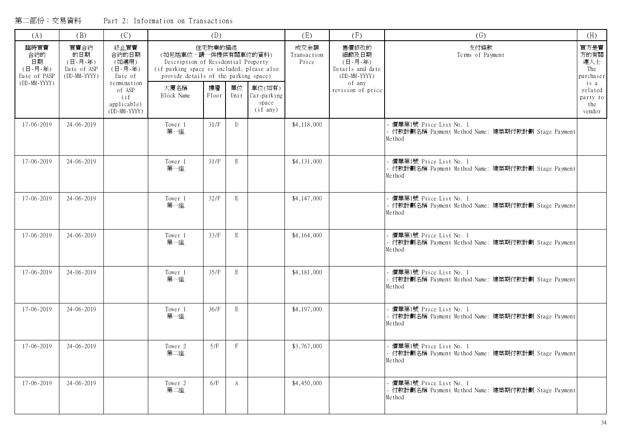| Part 2: Information on Transactions |  |  |  |  |  |  |  |
|-------------------------------------|--|--|--|--|--|--|--|
|-------------------------------------|--|--|--|--|--|--|--|

| (A)                                          | (B)                                                   | (C)                                                            |                                                                                                                                                    | (D)         |              |                                                 | (E)                          | (F)                                                           | (G)                                                                                       | (H)                                          |
|----------------------------------------------|-------------------------------------------------------|----------------------------------------------------------------|----------------------------------------------------------------------------------------------------------------------------------------------------|-------------|--------------|-------------------------------------------------|------------------------------|---------------------------------------------------------------|-------------------------------------------------------------------------------------------|----------------------------------------------|
| 臨時買賣<br>合約的<br>日期<br>(日-月-年)<br>Date of PASP | 買賣合約<br>的日期<br>(日-月-年)<br>Date of ASP<br>(DD-MM-YYYY) | 終止買賣<br>合約的日期<br>(如適用)<br>(日-月-年)<br>Date of                   | (如包括車位,請一併提供有關車位的資料)<br>Description of Residential Property<br>(if parking space is included, please also<br>provide details of the parking space) | 住宅物業的描述     |              |                                                 | 成交金額<br>Transaction<br>Price | 售價修改的<br>細節及日期<br>(日-月-年)<br>Details and date<br>(DD-MM-YYYY) | 支付條款<br>Terms of Payment                                                                  | 買方是賣<br>方的有關<br>連人士<br>The<br>purchaser      |
| (DD-MM-YYYY)                                 |                                                       | termination<br>of ASP<br>$(i$ f<br>applicable)<br>(DD-MM-YYYY) | 大廈名稱<br>Block Name                                                                                                                                 | 樓層<br>Floor | 單位<br>Unit   | 車位(如有)<br>Car-parking<br>space<br>$(i f \nany)$ |                              | of any<br>revision of price                                   |                                                                                           | is a<br>related<br>party to<br>the<br>vendor |
| 17-06-2019                                   | $24 - 06 - 2019$                                      |                                                                | Tower 1<br>第一座                                                                                                                                     | 31/F        | D            |                                                 | \$4,118,000                  |                                                               | 價單第1號 Price List No. 1<br>- 付款計劃名稱 Payment Method Name: 建築期付款計劃 Stage Payment<br>Method   |                                              |
| 17-06-2019                                   | 24-06-2019                                            |                                                                | Tower 1<br>第一座                                                                                                                                     | 31/F        | E            |                                                 | \$4,131,000                  |                                                               | - 價單第1號 Price List No. 1<br>- 付款計劃名稱 Payment Method Name: 建築期付款計劃 Stage Payment<br>Method |                                              |
| 17-06-2019                                   | 24-06-2019                                            |                                                                | Tower 1<br>第一座                                                                                                                                     | 32/F        | E            |                                                 | \$4,147,000                  |                                                               | - 價單第1號 Price List No. 1<br>- 付款計劃名稱 Payment Method Name: 建築期付款計劃 Stage Payment<br>Method |                                              |
| 17-06-2019                                   | 24-06-2019                                            |                                                                | Tower 1<br>第一座                                                                                                                                     | 33/F        | E            |                                                 | \$4,164,000                  |                                                               | - 價單第1號 Price List No. 1<br>- 付款計劃名稱 Payment Method Name: 建築期付款計劃 Stage Payment<br>Method |                                              |
| 17-06-2019                                   | $24 - 06 - 2019$                                      |                                                                | Tower 1<br>第一座                                                                                                                                     | 35/F        | E            |                                                 | \$4,181,000                  |                                                               | - 價單第1號 Price List No. 1<br>- 付款計劃名稱 Payment Method Name: 建築期付款計劃 Stage Payment<br>Method |                                              |
| 17-06-2019                                   | 24-06-2019                                            |                                                                | Tower 1<br>第一座                                                                                                                                     | 36/F        | E            |                                                 | \$4,197,000                  |                                                               | 價單第1號 Price List No. 1<br>- 付款計劃名稱 Payment Method Name: 建築期付款計劃 Stage Payment<br>Method   |                                              |
| 17-06-2019                                   | 24-06-2019                                            |                                                                | Tower 2<br>第二座                                                                                                                                     | 5/F         | F            |                                                 | \$3,767,000                  |                                                               | - 價單第1號 Price List No. 1<br>- 付款計劃名稱 Payment Method Name: 建築期付款計劃 Stage Payment<br>Method |                                              |
| 17-06-2019                                   | 24-06-2019                                            |                                                                | Tower 2<br>第二座                                                                                                                                     | 6/F         | $\mathbf{A}$ |                                                 | \$4,450,000                  |                                                               | 價單第1號 Price List No. 1<br>- 付款計劃名稱 Payment Method Name: 建築期付款計劃 Stage Payment<br>Method   |                                              |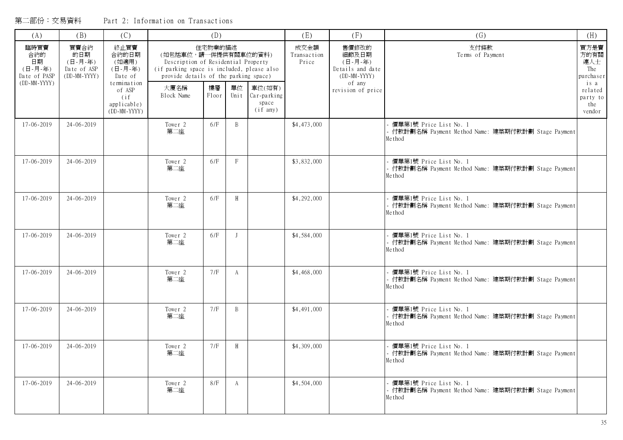| Part 2: Information on Transactions |  |  |  |  |  |  |  |
|-------------------------------------|--|--|--|--|--|--|--|
|-------------------------------------|--|--|--|--|--|--|--|

| (A)                                          | (B)                                                   | (C)                                                            |                                                                                                                                                    | (D)         |                |                                                 | (E)                          | (F)                                                           | (G)                                                                                       | (H)                                          |
|----------------------------------------------|-------------------------------------------------------|----------------------------------------------------------------|----------------------------------------------------------------------------------------------------------------------------------------------------|-------------|----------------|-------------------------------------------------|------------------------------|---------------------------------------------------------------|-------------------------------------------------------------------------------------------|----------------------------------------------|
| 臨時買賣<br>合約的<br>日期<br>(日-月-年)<br>Date of PASP | 買賣合約<br>的日期<br>(日-月-年)<br>Date of ASP<br>(DD-MM-YYYY) | 終止買賣<br>合約的日期<br>(如適用)<br>(日-月-年)<br>Date of                   | (如包括車位,請一併提供有關車位的資料)<br>Description of Residential Property<br>(if parking space is included, please also<br>provide details of the parking space) | 住宅物業的描述     |                |                                                 | 成交金額<br>Transaction<br>Price | 售價修改的<br>細節及日期<br>(日-月-年)<br>Details and date<br>(DD-MM-YYYY) | 支付條款<br>Terms of Payment                                                                  | 買方是賣<br>方的有關<br>連人士<br>The<br>purchaser      |
| (DD-MM-YYYY)                                 |                                                       | termination<br>of ASP<br>$(i$ f<br>applicable)<br>(DD-MM-YYYY) | 大廈名稱<br>Block Name                                                                                                                                 | 樓層<br>Floor | 單位<br>Unit     | 車位(如有)<br>Car-parking<br>space<br>$(i f \nany)$ |                              | of any<br>revision of price                                   |                                                                                           | is a<br>related<br>party to<br>the<br>vendor |
| 17-06-2019                                   | $24 - 06 - 2019$                                      |                                                                | Tower 2<br>第二座                                                                                                                                     | 6/F         | $\overline{B}$ |                                                 | \$4,473,000                  |                                                               | 價單第1號 Price List No. 1<br>- 付款計劃名稱 Payment Method Name: 建築期付款計劃 Stage Payment<br>Method   |                                              |
| 17-06-2019                                   | 24-06-2019                                            |                                                                | Tower 2<br>第二座                                                                                                                                     | 6/F         | F              |                                                 | \$3,832,000                  |                                                               | - 價單第1號 Price List No. 1<br>- 付款計劃名稱 Payment Method Name: 建築期付款計劃 Stage Payment<br>Method |                                              |
| 17-06-2019                                   | 24-06-2019                                            |                                                                | Tower 2<br>第二座                                                                                                                                     | 6/F         | H              |                                                 | \$4,292,000                  |                                                               | - 價單第1號 Price List No. 1<br>- 付款計劃名稱 Payment Method Name: 建築期付款計劃 Stage Payment<br>Method |                                              |
| 17-06-2019                                   | $24 - 06 - 2019$                                      |                                                                | Tower 2<br>第二座                                                                                                                                     | 6/F         | $\mathbf{J}$   |                                                 | \$4,584,000                  |                                                               | - 價單第1號 Price List No. 1<br>- 付款計劃名稱 Payment Method Name: 建築期付款計劃 Stage Payment<br>Method |                                              |
| 17-06-2019                                   | $24 - 06 - 2019$                                      |                                                                | Tower 2<br>第二座                                                                                                                                     | 7/F         | A              |                                                 | \$4,468,000                  |                                                               | - 價單第1號 Price List No. 1<br>- 付款計劃名稱 Payment Method Name: 建築期付款計劃 Stage Payment<br>Method |                                              |
| 17-06-2019                                   | 24-06-2019                                            |                                                                | Tower 2<br>第二座                                                                                                                                     | 7/F         | B              |                                                 | \$4,491,000                  |                                                               | 價單第1號 Price List No. 1<br>- 付款計劃名稱 Payment Method Name: 建築期付款計劃 Stage Payment<br>Method   |                                              |
| 17-06-2019                                   | 24-06-2019                                            |                                                                | Tower 2<br>第二座                                                                                                                                     | 7/F         | H              |                                                 | \$4,309,000                  |                                                               | - 價單第1號 Price List No. 1<br>- 付款計劃名稱 Payment Method Name: 建築期付款計劃 Stage Payment<br>Method |                                              |
| 17-06-2019                                   | 24-06-2019                                            |                                                                | Tower 2<br>第二座                                                                                                                                     | 8/F         | $\mathbf{A}$   |                                                 | \$4,504,000                  |                                                               | 價單第1號 Price List No. 1<br>- 付款計劃名稱 Payment Method Name: 建築期付款計劃 Stage Payment<br>Method   |                                              |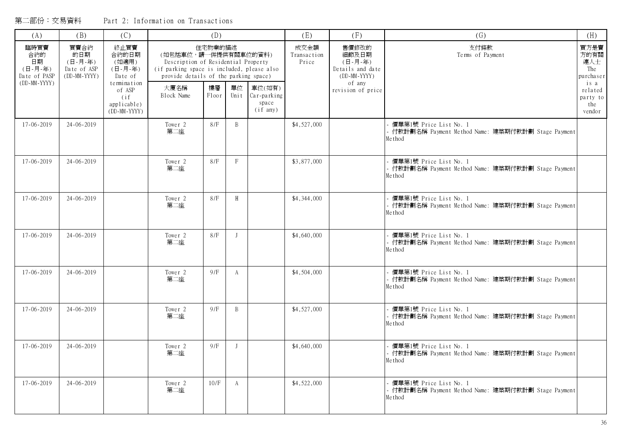| (A)                                                          | (B)                                                   | (C)                                                         |                                                                                                                                                    | (D)         |                |                                                 | (E)                          | (F)                                                           | (G)                                                                                       | (H)                                             |
|--------------------------------------------------------------|-------------------------------------------------------|-------------------------------------------------------------|----------------------------------------------------------------------------------------------------------------------------------------------------|-------------|----------------|-------------------------------------------------|------------------------------|---------------------------------------------------------------|-------------------------------------------------------------------------------------------|-------------------------------------------------|
| 臨時買賣<br>合約的<br>日期<br>(日-月-年)<br>Date of PASP<br>(DD-MM-YYYY) | 買賣合約<br>的日期<br>(日-月-年)<br>Date of ASP<br>(DD-MM-YYYY) | 終止買賣<br>合約的日期<br>(如適用)<br>(日-月-年)<br>Date of<br>termination | (如包括車位,請一併提供有關車位的資料)<br>Description of Residential Property<br>(if parking space is included, please also<br>provide details of the parking space) | 住宅物業的描述     |                |                                                 | 成交金額<br>Transaction<br>Price | 售價修改的<br>細節及日期<br>(日-月-年)<br>Details and date<br>(DD-MM-YYYY) | 支付條款<br>Terms of Payment                                                                  | 買方是賣<br>方的有關<br>連人士<br>The<br>purchaser<br>is a |
|                                                              |                                                       | of ASP<br>$(i$ f<br>applicable)<br>(DD-MM-YYYY)             | 大廈名稱<br>Block Name                                                                                                                                 | 樓層<br>Floor | 單位<br>Unit     | 車位(如有)<br>Car-parking<br>space<br>$(i f \nany)$ |                              | of any<br>revision of price                                   |                                                                                           | related<br>party to<br>the<br>vendor            |
| 17-06-2019                                                   | $24 - 06 - 2019$                                      |                                                             | Tower 2<br>第二座                                                                                                                                     | 8/F         | $\overline{B}$ |                                                 | \$4,527,000                  |                                                               | 價單第1號 Price List No. 1<br>- 付款計劃名稱 Payment Method Name: 建築期付款計劃 Stage Payment<br>Method   |                                                 |
| 17-06-2019                                                   | $24 - 06 - 2019$                                      |                                                             | Tower 2<br>第二座                                                                                                                                     | 8/F         | F              |                                                 | \$3,877,000                  |                                                               | · 價單第1號 Price List No. 1<br>- 付款計劃名稱 Payment Method Name: 建築期付款計劃 Stage Payment<br>Method |                                                 |
| 17-06-2019                                                   | $24 - 06 - 2019$                                      |                                                             | Tower <sub>2</sub><br>第二座                                                                                                                          | 8/F         | H              |                                                 | \$4,344,000                  |                                                               | 價單第1號 Price List No. 1<br>- 付款計劃名稱 Payment Method Name: 建築期付款計劃 Stage Payment<br>Method   |                                                 |
| 17-06-2019                                                   | 24-06-2019                                            |                                                             | Tower <sub>2</sub><br>第二座                                                                                                                          | 8/F         | $\mathbf{I}$   |                                                 | \$4,640,000                  |                                                               | 價單第1號 Price List No. 1<br>- 付款計劃名稱 Payment Method Name: 建築期付款計劃 Stage Payment<br>Method   |                                                 |
| 17-06-2019                                                   | 24-06-2019                                            |                                                             | Tower 2<br>第二座                                                                                                                                     | 9/F         | A              |                                                 | \$4,504,000                  |                                                               | 價單第1號 Price List No. 1<br>- 付款計劃名稱 Payment Method Name: 建築期付款計劃 Stage Payment<br>Method   |                                                 |
| 17-06-2019                                                   | 24-06-2019                                            |                                                             | Tower 2<br>第二座                                                                                                                                     | 9/F         | B              |                                                 | \$4,527,000                  |                                                               | 價單第1號 Price List No. 1<br>- 付款計劃名稱 Payment Method Name: 建築期付款計劃 Stage Payment<br>Method   |                                                 |
| 17-06-2019                                                   | $24 - 06 - 2019$                                      |                                                             | Tower 2<br>第二座                                                                                                                                     | 9/F         | $\mathbf{J}$   |                                                 | \$4,640,000                  |                                                               | 價單第1號 Price List No. 1<br>- 付款計劃名稱 Payment Method Name: 建築期付款計劃 Stage Payment<br>Method   |                                                 |
| 17-06-2019                                                   | $24 - 06 - 2019$                                      |                                                             | Tower <sub>2</sub><br>第二座                                                                                                                          | 10/F        | $\mathbf{A}$   |                                                 | \$4,522,000                  |                                                               | 價單第1號 Price List No. 1<br>- 付款計劃名稱 Payment Method Name: 建築期付款計劃 Stage Payment<br>Method   |                                                 |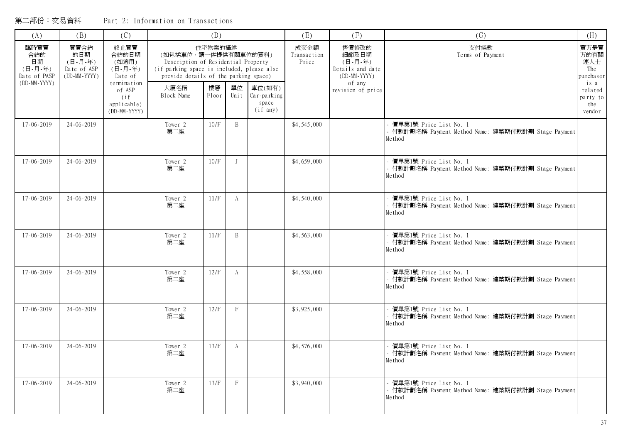| Part 2: Information on Transactions |  |  |  |  |  |  |  |
|-------------------------------------|--|--|--|--|--|--|--|
|-------------------------------------|--|--|--|--|--|--|--|

| (A)                                          | (B)                                                   | (C)                                                            | (D)                                                                                                                                                |             |                | (E)                                             | (F)                          | (G)                                                           | (H)                                                                                       |                                              |
|----------------------------------------------|-------------------------------------------------------|----------------------------------------------------------------|----------------------------------------------------------------------------------------------------------------------------------------------------|-------------|----------------|-------------------------------------------------|------------------------------|---------------------------------------------------------------|-------------------------------------------------------------------------------------------|----------------------------------------------|
| 臨時買賣<br>合約的<br>日期<br>(日-月-年)<br>Date of PASP | 買賣合約<br>的日期<br>(日-月-年)<br>Date of ASP<br>(DD-MM-YYYY) | 終止買賣<br>合約的日期<br>(如適用)<br>(日-月-年)<br>Date of                   | (如包括車位,請一併提供有關車位的資料)<br>Description of Residential Property<br>(if parking space is included, please also<br>provide details of the parking space) | 住宅物業的描述     |                |                                                 | 成交金額<br>Transaction<br>Price | 售價修改的<br>細節及日期<br>(日-月-年)<br>Details and date<br>(DD-MM-YYYY) | 支付條款<br>Terms of Payment                                                                  | 買方是賣<br>方的有關<br>連人士<br>The<br>purchaser      |
| (DD-MM-YYYY)                                 |                                                       | termination<br>of ASP<br>$(i$ f<br>applicable)<br>(DD-MM-YYYY) | 大廈名稱<br>Block Name                                                                                                                                 | 樓層<br>Floor | 單位<br>Unit     | 車位(如有)<br>Car-parking<br>space<br>$(i f \nany)$ |                              | of any<br>revision of price                                   |                                                                                           | is a<br>related<br>party to<br>the<br>vendor |
| 17-06-2019                                   | $24 - 06 - 2019$                                      |                                                                | Tower 2<br>第二座                                                                                                                                     | 10/F        | $\overline{B}$ |                                                 | \$4,545,000                  |                                                               | 價單第1號 Price List No. 1<br>- 付款計劃名稱 Payment Method Name: 建築期付款計劃 Stage Payment<br>Method   |                                              |
| 17-06-2019                                   | 24-06-2019                                            |                                                                | Tower 2<br>第二座                                                                                                                                     | 10/F        | $\mathbf{I}$   |                                                 | \$4,659,000                  |                                                               | - 價單第1號 Price List No. 1<br>- 付款計劃名稱 Payment Method Name: 建築期付款計劃 Stage Payment<br>Method |                                              |
| 17-06-2019                                   | 24-06-2019                                            |                                                                | Tower 2<br>第二座                                                                                                                                     | 11/F        | A              |                                                 | \$4,540,000                  |                                                               | - 價單第1號 Price List No. 1<br>- 付款計劃名稱 Payment Method Name: 建築期付款計劃 Stage Payment<br>Method |                                              |
| 17-06-2019                                   | $24 - 06 - 2019$                                      |                                                                | Tower 2<br>第二座                                                                                                                                     | 11/F        | B              |                                                 | \$4,563,000                  |                                                               | - 價單第1號 Price List No. 1<br>- 付款計劃名稱 Payment Method Name: 建築期付款計劃 Stage Payment<br>Method |                                              |
| 17-06-2019                                   | $24 - 06 - 2019$                                      |                                                                | Tower 2<br>第二座                                                                                                                                     | 12/F        | $\mathbf{A}$   |                                                 | \$4,558,000                  |                                                               | - 價單第1號 Price List No. 1<br>- 付款計劃名稱 Payment Method Name: 建築期付款計劃 Stage Payment<br>Method |                                              |
| 17-06-2019                                   | 24-06-2019                                            |                                                                | Tower 2<br>第二座                                                                                                                                     | 12/F        | F              |                                                 | \$3,925,000                  |                                                               | 價單第1號 Price List No. 1<br>- 付款計劃名稱 Payment Method Name: 建築期付款計劃 Stage Payment<br>Method   |                                              |
| 17-06-2019                                   | 24-06-2019                                            |                                                                | Tower 2<br>第二座                                                                                                                                     | 13/F        | $\mathbf{A}$   |                                                 | \$4,576,000                  |                                                               | - 價單第1號 Price List No. 1<br>- 付款計劃名稱 Payment Method Name: 建築期付款計劃 Stage Payment<br>Method |                                              |
| 17-06-2019                                   | 24-06-2019                                            |                                                                | Tower 2<br>第二座                                                                                                                                     | 13/F        | F              |                                                 | \$3,940,000                  |                                                               | 價單第1號 Price List No. 1<br>- 付款計劃名稱 Payment Method Name: 建築期付款計劃 Stage Payment<br>Method   |                                              |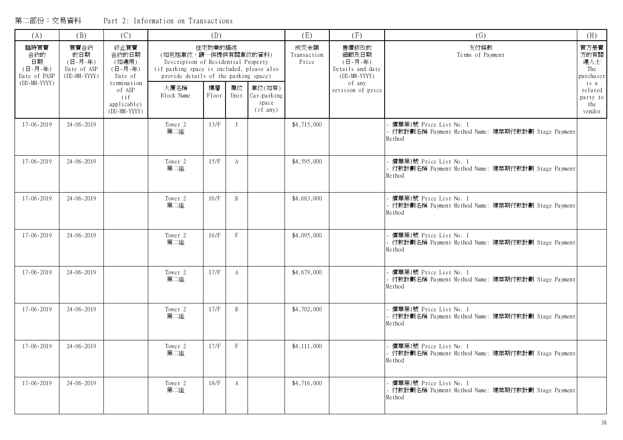| (A)                                                          | (B)                                                   | (C)                                                                                                                                                                                                                          | (D)                       |                              |                                                               | (E)                                             | (F)                                             | (G)                         | (H)                                                                                       |                                      |
|--------------------------------------------------------------|-------------------------------------------------------|------------------------------------------------------------------------------------------------------------------------------------------------------------------------------------------------------------------------------|---------------------------|------------------------------|---------------------------------------------------------------|-------------------------------------------------|-------------------------------------------------|-----------------------------|-------------------------------------------------------------------------------------------|--------------------------------------|
| 臨時買賣<br>合約的<br>日期<br>(日-月-年)<br>Date of PASP<br>(DD-MM-YYYY) | 買賣合約<br>的日期<br>(日-月-年)<br>Date of ASP<br>(DD-MM-YYYY) | 終止買賣<br>住宅物業的描述<br>合約的日期<br>(如包括車位,請一併提供有關車位的資料)<br>(如適用)<br>Description of Residential Property<br>(日-月-年)<br>(if parking space is included, please also<br>provide details of the parking space)<br>Date of<br>termination |                           | 成交金額<br>Transaction<br>Price | 售價修改的<br>細節及日期<br>(日-月-年)<br>Details and date<br>(DD-MM-YYYY) | 支付條款<br>Terms of Payment                        | 買方是賣<br>方的有關<br>連人士<br>The<br>purchaser<br>is a |                             |                                                                                           |                                      |
|                                                              |                                                       | of ASP<br>$(i$ f<br>applicable)<br>(DD-MM-YYYY)                                                                                                                                                                              | 大廈名稱<br>Block Name        | 樓層<br>Floor                  | 單位<br>Unit                                                    | 車位(如有)<br>Car-parking<br>space<br>$(i f \nany)$ |                                                 | of any<br>revision of price |                                                                                           | related<br>party to<br>the<br>vendor |
| 17-06-2019                                                   | 24-06-2019                                            |                                                                                                                                                                                                                              | Tower 2<br>第二座            | 13/F                         | $\mathbf{I}$                                                  |                                                 | \$4,715,000                                     |                             | 價單第1號 Price List No. 1<br>- 付款計劃名稱 Payment Method Name: 建築期付款計劃 Stage Payment<br>Method   |                                      |
| 17-06-2019                                                   | $24 - 06 - 2019$                                      |                                                                                                                                                                                                                              | Tower 2<br>第二座            | 15/F                         | A                                                             |                                                 | \$4,595,000                                     |                             | · 價單第1號 Price List No. 1<br>- 付款計劃名稱 Payment Method Name: 建築期付款計劃 Stage Payment<br>Method |                                      |
| 17-06-2019                                                   | $24 - 06 - 2019$                                      |                                                                                                                                                                                                                              | Tower <sub>2</sub><br>第二座 | 16/F                         | B                                                             |                                                 | \$4,683,000                                     |                             | 價單第1號 Price List No. 1<br>- 付款計劃名稱 Payment Method Name: 建築期付款計劃 Stage Payment<br>Method   |                                      |
| 17-06-2019                                                   | 24-06-2019                                            |                                                                                                                                                                                                                              | Tower <sub>2</sub><br>第二座 | 16/F                         | F                                                             |                                                 | \$4,095,000                                     |                             | 價單第1號 Price List No. 1<br>- 付款計劃名稱 Payment Method Name: 建築期付款計劃 Stage Payment<br>Method   |                                      |
| 17-06-2019                                                   | 24-06-2019                                            |                                                                                                                                                                                                                              | Tower 2<br>第二座            | 17/F                         | A                                                             |                                                 | \$4,679,000                                     |                             | 價單第1號 Price List No. 1<br>- 付款計劃名稱 Payment Method Name: 建築期付款計劃 Stage Payment<br>Method   |                                      |
| 17-06-2019                                                   | 24-06-2019                                            |                                                                                                                                                                                                                              | Tower 2<br>第二座            | 17/F                         | B                                                             |                                                 | \$4,702,000                                     |                             | 價單第1號 Price List No. 1<br>- 付款計劃名稱 Payment Method Name: 建築期付款計劃 Stage Payment<br>Method   |                                      |
| 17-06-2019                                                   | $24 - 06 - 2019$                                      |                                                                                                                                                                                                                              | Tower 2<br>第二座            | 17/F                         | F                                                             |                                                 | \$4,111,000                                     |                             | 價單第1號 Price List No. 1<br>- 付款計劃名稱 Payment Method Name: 建築期付款計劃 Stage Payment<br>Method   |                                      |
| 17-06-2019                                                   | $24 - 06 - 2019$                                      |                                                                                                                                                                                                                              | Tower <sub>2</sub><br>第二座 | 18/F                         | $\mathbf{A}$                                                  |                                                 | \$4,716,000                                     |                             | 價單第1號 Price List No. 1<br>- 付款計劃名稱 Payment Method Name: 建築期付款計劃 Stage Payment<br>Method   |                                      |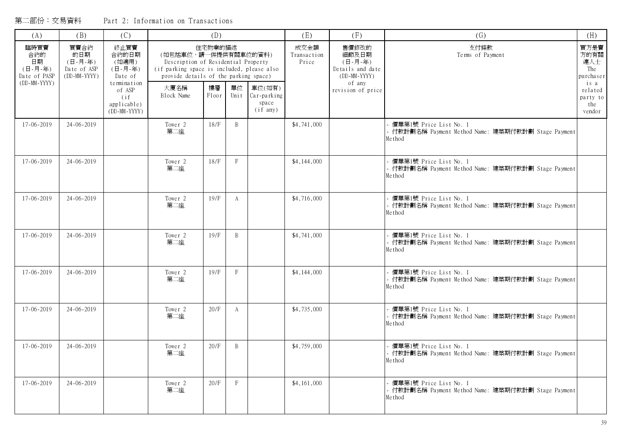| Part 2: Information on Transactions |  |  |  |  |  |  |  |
|-------------------------------------|--|--|--|--|--|--|--|
|-------------------------------------|--|--|--|--|--|--|--|

| (A)                                          | (B)                                                   | (C)                                                            | (D)                                                                                                                                                |             |                | (E)                                             | (F)                          | (G)                                                           | (H)                                                                                       |                                              |
|----------------------------------------------|-------------------------------------------------------|----------------------------------------------------------------|----------------------------------------------------------------------------------------------------------------------------------------------------|-------------|----------------|-------------------------------------------------|------------------------------|---------------------------------------------------------------|-------------------------------------------------------------------------------------------|----------------------------------------------|
| 臨時買賣<br>合約的<br>日期<br>(日-月-年)<br>Date of PASP | 買賣合約<br>的日期<br>(日-月-年)<br>Date of ASP<br>(DD-MM-YYYY) | 終止買賣<br>合約的日期<br>(如適用)<br>(日-月-年)<br>Date of                   | (如包括車位,請一併提供有關車位的資料)<br>Description of Residential Property<br>(if parking space is included, please also<br>provide details of the parking space) | 住宅物業的描述     |                |                                                 | 成交金額<br>Transaction<br>Price | 售價修改的<br>細節及日期<br>(日-月-年)<br>Details and date<br>(DD-MM-YYYY) | 支付條款<br>Terms of Payment                                                                  | 買方是賣<br>方的有關<br>連人士<br>The<br>purchaser      |
| (DD-MM-YYYY)                                 |                                                       | termination<br>of ASP<br>$(i$ f<br>applicable)<br>(DD-MM-YYYY) | 大廈名稱<br>Block Name                                                                                                                                 | 樓層<br>Floor | 單位<br>Unit     | 車位(如有)<br>Car-parking<br>space<br>$(i f \nany)$ |                              | of any<br>revision of price                                   |                                                                                           | is a<br>related<br>party to<br>the<br>vendor |
| 17-06-2019                                   | $24 - 06 - 2019$                                      |                                                                | Tower 2<br>第二座                                                                                                                                     | 18/F        | $\overline{B}$ |                                                 | \$4,741,000                  |                                                               | 價單第1號 Price List No. 1<br>- 付款計劃名稱 Payment Method Name: 建築期付款計劃 Stage Payment<br>Method   |                                              |
| 17-06-2019                                   | $24 - 06 - 2019$                                      |                                                                | Tower 2<br>第二座                                                                                                                                     | 18/F        | F              |                                                 | \$4,144,000                  |                                                               | - 價單第1號 Price List No. 1<br>- 付款計劃名稱 Payment Method Name: 建築期付款計劃 Stage Payment<br>Method |                                              |
| 17-06-2019                                   | 24-06-2019                                            |                                                                | Tower 2<br>第二座                                                                                                                                     | 19/F        | A              |                                                 | \$4,716,000                  |                                                               | - 價單第1號 Price List No. 1<br>- 付款計劃名稱 Payment Method Name: 建築期付款計劃 Stage Payment<br>Method |                                              |
| 17-06-2019                                   | $24 - 06 - 2019$                                      |                                                                | Tower 2<br>第二座                                                                                                                                     | 19/F        | B              |                                                 | \$4,741,000                  |                                                               | - 價單第1號 Price List No. 1<br>- 付款計劃名稱 Payment Method Name: 建築期付款計劃 Stage Payment<br>Method |                                              |
| 17-06-2019                                   | $24 - 06 - 2019$                                      |                                                                | Tower 2<br>第二座                                                                                                                                     | 19/F        | F              |                                                 | \$4,144,000                  |                                                               | - 價單第1號 Price List No. 1<br>- 付款計劃名稱 Payment Method Name: 建築期付款計劃 Stage Payment<br>Method |                                              |
| 17-06-2019                                   | 24-06-2019                                            |                                                                | Tower 2<br>第二座                                                                                                                                     | 20/F        | A              |                                                 | \$4,735,000                  |                                                               | 價單第1號 Price List No. 1<br>- 付款計劃名稱 Payment Method Name: 建築期付款計劃 Stage Payment<br>Method   |                                              |
| 17-06-2019                                   | $24 - 06 - 2019$                                      |                                                                | Tower 2<br>第二座                                                                                                                                     | 20/F        | $\overline{B}$ |                                                 | \$4,759,000                  |                                                               | - 價單第1號 Price List No. 1<br>- 付款計劃名稱 Payment Method Name: 建築期付款計劃 Stage Payment<br>Method |                                              |
| 17-06-2019                                   | 24-06-2019                                            |                                                                | Tower 2<br>第二座                                                                                                                                     | 20/F        | F              |                                                 | \$4,161,000                  |                                                               | 價單第1號 Price List No. 1<br>- 付款計劃名稱 Payment Method Name: 建築期付款計劃 Stage Payment<br>Method   |                                              |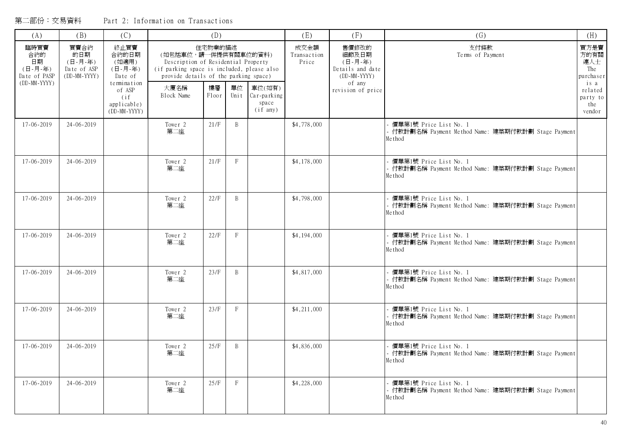| Part 2: Information on Transactions |  |  |  |  |  |  |  |
|-------------------------------------|--|--|--|--|--|--|--|
|-------------------------------------|--|--|--|--|--|--|--|

| (A)                                          | (B)                                                   | (C)                                                         | (D)                                                                                                                                                |             |                | (E)                                             | (F)                          | (G)                                                           | (H)                                                                                       |                                              |
|----------------------------------------------|-------------------------------------------------------|-------------------------------------------------------------|----------------------------------------------------------------------------------------------------------------------------------------------------|-------------|----------------|-------------------------------------------------|------------------------------|---------------------------------------------------------------|-------------------------------------------------------------------------------------------|----------------------------------------------|
| 臨時買賣<br>合約的<br>日期<br>(日-月-年)<br>Date of PASP | 買賣合約<br>的日期<br>(日-月-年)<br>Date of ASP<br>(DD-MM-YYYY) | 終止買賣<br>合約的日期<br>(如適用)<br>(日-月-年)<br>Date of<br>termination | (如包括車位,請一併提供有關車位的資料)<br>Description of Residential Property<br>(if parking space is included, please also<br>provide details of the parking space) | 住宅物業的描述     |                |                                                 | 成交金額<br>Transaction<br>Price | 售價修改的<br>細節及日期<br>(日-月-年)<br>Details and date<br>(DD-MM-YYYY) | 支付條款<br>Terms of Payment                                                                  | 買方是賣<br>方的有關<br>連人士<br>The<br>purchaser      |
| (DD-MM-YYYY)                                 |                                                       | of ASP<br>$(i$ f<br>applicable)<br>(DD-MM-YYYY)             | 大廈名稱<br>Block Name                                                                                                                                 | 樓層<br>Floor | 單位<br>Unit     | 車位(如有)<br>Car-parking<br>space<br>$(i f \nany)$ |                              | of any<br>revision of price                                   |                                                                                           | is a<br>related<br>party to<br>the<br>vendor |
| 17-06-2019                                   | 24-06-2019                                            |                                                             | Tower 2<br>第二座                                                                                                                                     | 21/F        | B              |                                                 | \$4,778,000                  |                                                               | 價單第1號 Price List No. 1<br>- 付款計劃名稱 Payment Method Name: 建築期付款計劃 Stage Payment<br>Method   |                                              |
| 17-06-2019                                   | 24-06-2019                                            |                                                             | Tower 2<br>第二座                                                                                                                                     | 21/F        | F              |                                                 | \$4,178,000                  |                                                               | - 價單第1號 Price List No. 1<br>- 付款計劃名稱 Payment Method Name: 建築期付款計劃 Stage Payment<br>Method |                                              |
| 17-06-2019                                   | $24 - 06 - 2019$                                      |                                                             | Tower <sub>2</sub><br>第二座                                                                                                                          | 22/F        | B              |                                                 | \$4,798,000                  |                                                               | - 價單第1號 Price List No. 1<br>- 付款計劃名稱 Payment Method Name: 建築期付款計劃 Stage Payment<br>Method |                                              |
| 17-06-2019                                   | $24 - 06 - 2019$                                      |                                                             | Tower 2<br>第二座                                                                                                                                     | 22/F        | F              |                                                 | \$4,194,000                  |                                                               | - 價單第1號 Price List No. 1<br>- 付款計劃名稱 Payment Method Name: 建築期付款計劃 Stage Payment<br>Method |                                              |
| 17-06-2019                                   | $24 - 06 - 2019$                                      |                                                             | Tower 2<br>第二座                                                                                                                                     | 23/F        | $\overline{B}$ |                                                 | \$4,817,000                  |                                                               | - 價單第1號 Price List No. 1<br>- 付款計劃名稱 Payment Method Name: 建築期付款計劃 Stage Payment<br>Method |                                              |
| $17 - 06 - 2019$                             | $24 - 06 - 2019$                                      |                                                             | Tower 2<br>第二座                                                                                                                                     | 23/F        | F              |                                                 | \$4,211,000                  |                                                               | 價單第1號 Price List No. 1<br>- 付款計劃名稱 Payment Method Name: 建築期付款計劃 Stage Payment<br>Method   |                                              |
| 17-06-2019                                   | $24 - 06 - 2019$                                      |                                                             | Tower 2<br>第二座                                                                                                                                     | 25/F        | $\overline{B}$ |                                                 | \$4,836,000                  |                                                               | - 價單第1號 Price List No. 1<br>- 付款計劃名稱 Payment Method Name: 建築期付款計劃 Stage Payment<br>Method |                                              |
| 17-06-2019                                   | 24-06-2019                                            |                                                             | Tower 2<br>第二座                                                                                                                                     | 25/F        | F              |                                                 | \$4,228,000                  |                                                               | 價單第1號 Price List No. 1<br>- 付款計劃名稱 Payment Method Name: 建築期付款計劃 Stage Payment<br>Method   |                                              |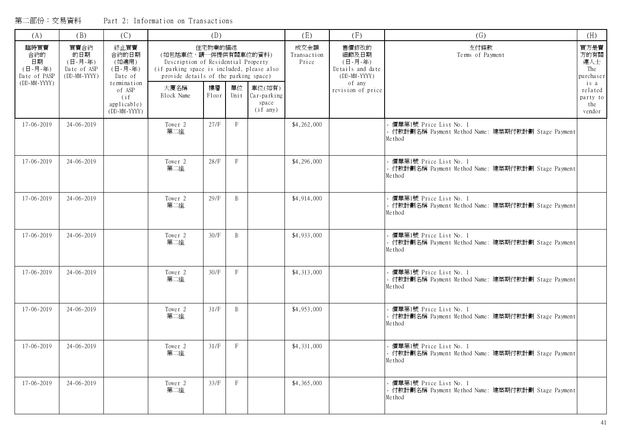| (A)                                                          | (B)                                                   | (C)                                                            | (D)                                                                                                                                                           |             |                              | (E)                                                           | (F)                      | (G)                                     | (H)                                                                                       |                                              |
|--------------------------------------------------------------|-------------------------------------------------------|----------------------------------------------------------------|---------------------------------------------------------------------------------------------------------------------------------------------------------------|-------------|------------------------------|---------------------------------------------------------------|--------------------------|-----------------------------------------|-------------------------------------------------------------------------------------------|----------------------------------------------|
| 臨時買賣<br>合約的<br>日期<br>(日-月-年)<br>Date of PASP<br>(DD-MM-YYYY) | 買賣合約<br>的日期<br>(日-月-年)<br>Date of ASP<br>(DD-MM-YYYY) | 終止買賣<br>合約的日期<br>(如適用)<br>(日-月-年)<br>Date of                   | 住宅物業的描述<br>(如包括車位,請一併提供有關車位的資料)<br>Description of Residential Property<br>(if parking space is included, please also<br>provide details of the parking space) |             | 成交金額<br>Transaction<br>Price | 售價修改的<br>細節及日期<br>(日-月-年)<br>Details and date<br>(DD-MM-YYYY) | 支付條款<br>Terms of Payment | 買方是賣<br>方的有關<br>連人士<br>The<br>purchaser |                                                                                           |                                              |
|                                                              |                                                       | termination<br>of ASP<br>$(i$ f<br>applicable)<br>(DD-MM-YYYY) | 大廈名稱<br>Block Name                                                                                                                                            | 樓層<br>Floor | 單位<br>Unit                   | 車位(如有)<br>Car-parking<br>space<br>(i f any)                   |                          | of any<br>revision of price             |                                                                                           | is a<br>related<br>party to<br>the<br>vendor |
| 17-06-2019                                                   | $24 - 06 - 2019$                                      |                                                                | Tower 2<br>第二座                                                                                                                                                | 27/F        | F                            |                                                               | \$4,262,000              |                                         | - 價單第1號 Price List No. 1<br>- 付款計劃名稱 Payment Method Name: 建築期付款計劃 Stage Payment<br>Method |                                              |
| 17-06-2019                                                   | $24 - 06 - 2019$                                      |                                                                | Tower 2<br>第二座                                                                                                                                                | 28/F        | F                            |                                                               | \$4,296,000              |                                         | - 價單第1號 Price List No. 1<br>- 付款計劃名稱 Payment Method Name: 建築期付款計劃 Stage Payment<br>Method |                                              |
| 17-06-2019                                                   | $24 - 06 - 2019$                                      |                                                                | Tower 2<br>第二座                                                                                                                                                | 29/F        | $\mathbf{B}$                 |                                                               | \$4,914,000              |                                         | 價單第1號 Price List No. 1<br>- 付款計劃名稱 Payment Method Name: 建築期付款計劃 Stage Payment<br>Method   |                                              |
| 17-06-2019                                                   | 24-06-2019                                            |                                                                | Tower <sub>2</sub><br>第二座                                                                                                                                     | 30/F        | $\overline{B}$               |                                                               | \$4,933,000              |                                         | - 價單第1號 Price List No. 1<br>- 付款計劃名稱 Payment Method Name: 建築期付款計劃 Stage Payment<br>Method |                                              |
| 17-06-2019                                                   | 24-06-2019                                            |                                                                | Tower <sub>2</sub><br>第二座                                                                                                                                     | 30/F        | F                            |                                                               | \$4,313,000              |                                         | - 價單第1號 Price List No. 1<br>- 付款計劃名稱 Payment Method Name: 建築期付款計劃 Stage Payment<br>Method |                                              |
| 17-06-2019                                                   | 24-06-2019                                            |                                                                | Tower 2<br>第二座                                                                                                                                                | 31/F        | $\mathbf{B}$                 |                                                               | \$4,953,000              |                                         | - 價單第1號 Price List No. 1<br>- 付款計劃名稱 Payment Method Name: 建築期付款計劃 Stage Payment<br>Method |                                              |
| 17-06-2019                                                   | $24 - 06 - 2019$                                      |                                                                | Tower 2<br>第二座                                                                                                                                                | 31/F        | F                            |                                                               | \$4,331,000              |                                         | - 價單第1號 Price List No. 1<br>- 付款計劃名稱 Payment Method Name: 建築期付款計劃 Stage Payment<br>Method |                                              |
| 17-06-2019                                                   | 24-06-2019                                            |                                                                | Tower 2<br>第二座                                                                                                                                                | 33/F        | F                            |                                                               | \$4,365,000              |                                         | 價單第1號 Price List No. 1<br>- 付款計劃名稱 Payment Method Name: 建築期付款計劃 Stage Payment<br>Method   |                                              |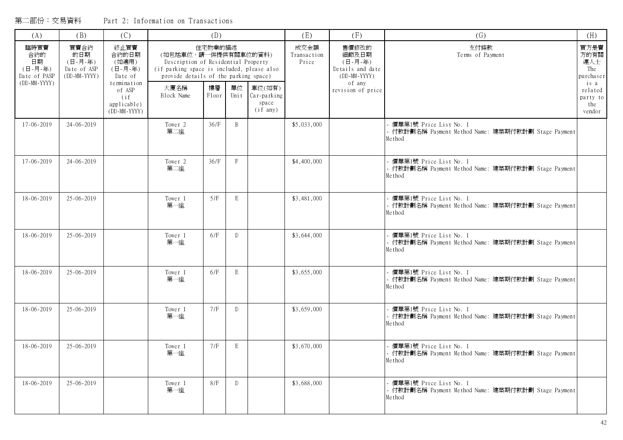| (A)                                          | (B)                                                   | (C)                                                                                                                                                                                                           | (D)                       |                              |                                                                 | (E)                                             | (F)                                     | (G)                         | (H)                                                                                       |                                              |
|----------------------------------------------|-------------------------------------------------------|---------------------------------------------------------------------------------------------------------------------------------------------------------------------------------------------------------------|---------------------------|------------------------------|-----------------------------------------------------------------|-------------------------------------------------|-----------------------------------------|-----------------------------|-------------------------------------------------------------------------------------------|----------------------------------------------|
| 臨時買賣<br>合約的<br>日期<br>(日-月-年)<br>Date of PASP | 買賣合約<br>的日期<br>(日-月-年)<br>Date of ASP<br>(DD-MM-YYYY) | 終止買賣<br>住宅物業的描述<br>合約的日期<br>(如包括車位,請一併提供有關車位的資料)<br>(如適用)<br>Description of Residential Property<br>(日-月-年)<br>(if parking space is included, please also<br>provide details of the parking space)<br>Date of |                           | 成交金額<br>Transaction<br>Price | 售價修改的<br>細節及日期<br>(日-月-年)<br>Details and date<br>$(DD-MM-YYYY)$ | 支付條款<br>Terms of Payment                        | 買方是賣<br>方的有關<br>連人士<br>The<br>purchaser |                             |                                                                                           |                                              |
| (DD-MM-YYYY)                                 |                                                       | termination<br>of ASP<br>$(i$ f<br>applicable)<br>(DD-MM-YYYY)                                                                                                                                                | 大廈名稱<br>Block Name        | 樓層<br>Floor                  | 單位<br>Unit                                                      | 車位(如有)<br>Car-parking<br>space<br>$(i f \nany)$ |                                         | of any<br>revision of price |                                                                                           | is a<br>related<br>party to<br>the<br>vendor |
| 17-06-2019                                   | $24 - 06 - 2019$                                      |                                                                                                                                                                                                               | Tower <sub>2</sub><br>第二座 | 36/F                         | $\overline{B}$                                                  |                                                 | \$5,033,000                             |                             | 價單第1號 Price List No. 1<br>- 付款計劃名稱 Payment Method Name: 建築期付款計劃 Stage Payment<br>Method   |                                              |
| 17-06-2019                                   | $24 - 06 - 2019$                                      |                                                                                                                                                                                                               | Tower <sub>2</sub><br>第二座 | 36/F                         | F                                                               |                                                 | \$4,400,000                             |                             | - 價單第1號 Price List No. 1<br>- 付款計劃名稱 Payment Method Name: 建築期付款計劃 Stage Payment<br>Method |                                              |
| 18-06-2019                                   | $25 - 06 - 2019$                                      |                                                                                                                                                                                                               | Tower 1<br>第一座            | 5/F                          | E                                                               |                                                 | \$3,481,000                             |                             | 價單第1號 Price List No. 1<br>- 付款計劃名稱 Payment Method Name: 建築期付款計劃 Stage Payment<br>Method   |                                              |
| 18-06-2019                                   | $25 - 06 - 2019$                                      |                                                                                                                                                                                                               | Tower 1<br>第一座            | 6/F                          | D                                                               |                                                 | \$3,644,000                             |                             | - 價單第1號 Price List No. 1<br>- 付款計劃名稱 Payment Method Name: 建築期付款計劃 Stage Payment<br>Method |                                              |
| 18-06-2019                                   | $25 - 06 - 2019$                                      |                                                                                                                                                                                                               | Tower 1<br>第一座            | 6/F                          | E                                                               |                                                 | \$3,655,000                             |                             | - 價單第1號 Price List No. 1<br>- 付款計劃名稱 Payment Method Name: 建築期付款計劃 Stage Payment<br>Method |                                              |
| 18-06-2019                                   | $25 - 06 - 2019$                                      |                                                                                                                                                                                                               | Tower 1<br>第一座            | 7/F                          | D                                                               |                                                 | \$3,659,000                             |                             | 價單第1號 Price List No. 1<br>- 付款計劃名稱 Payment Method Name: 建築期付款計劃 Stage Payment<br>Method   |                                              |
| 18-06-2019                                   | $25 - 06 - 2019$                                      |                                                                                                                                                                                                               | Tower 1<br>第一座            | 7/F                          | $\mathbf E$                                                     |                                                 | \$3,670,000                             |                             | - 價單第1號 Price List No. 1<br>- 付款計劃名稱 Payment Method Name: 建築期付款計劃 Stage Payment<br>Method |                                              |
| 18-06-2019                                   | $25 - 06 - 2019$                                      |                                                                                                                                                                                                               | Tower 1<br>第一座            | 8/F                          | D                                                               |                                                 | \$3,688,000                             |                             | 價單第1號 Price List No. 1<br>- 付款計劃名稱 Payment Method Name: 建築期付款計劃 Stage Payment<br>Method   |                                              |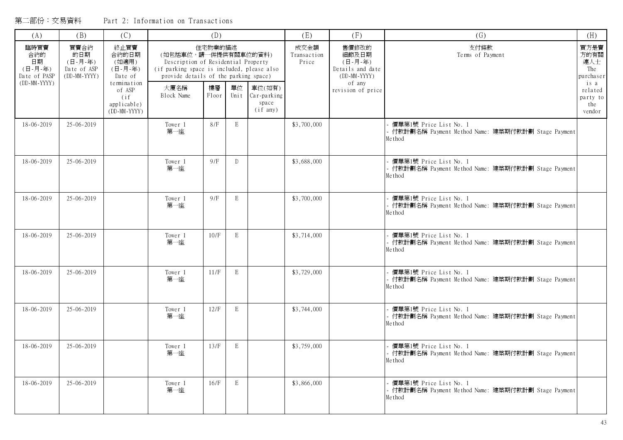| Part 2: Information on Transactions |
|-------------------------------------|
|-------------------------------------|

| (A)                                          | (B)                                                   | (C)                                                         |                                                                                                                                                    | (D)         |              |                                                       | (E)                          | (F)                                                             | (G)                                                                                       | (H)                                          |
|----------------------------------------------|-------------------------------------------------------|-------------------------------------------------------------|----------------------------------------------------------------------------------------------------------------------------------------------------|-------------|--------------|-------------------------------------------------------|------------------------------|-----------------------------------------------------------------|-------------------------------------------------------------------------------------------|----------------------------------------------|
| 臨時買賣<br>合約的<br>日期<br>(日-月-年)<br>Date of PASP | 買賣合約<br>的日期<br>(日-月-年)<br>Date of ASP<br>(DD-MM-YYYY) | 終止買賣<br>合約的日期<br>(如適用)<br>(日-月-年)<br>Date of                | (如包括車位,請一併提供有關車位的資料)<br>Description of Residential Property<br>(if parking space is included, please also<br>provide details of the parking space) | 住宅物業的描述     |              |                                                       | 成交金額<br>Transaction<br>Price | 售價修改的<br>細節及日期<br>(日-月-年)<br>Details and date<br>$(DD-MM-YYYY)$ | 支付條款<br>Terms of Payment                                                                  | 買方是賣<br>方的有關<br>連人士<br>The<br>purchaser      |
| (DD-MM-YYYY)                                 |                                                       | termination<br>of ASP<br>(i)<br>applicable)<br>(DD-MM-YYYY) | 大廈名稱<br>Block Name                                                                                                                                 | 樓層<br>Floor | 單位<br>Unit   | 車位(如有)<br>Car-parking<br>space<br>$(i f \text{ any})$ |                              | of any<br>revision of price                                     |                                                                                           | is a<br>related<br>party to<br>the<br>vendor |
| 18-06-2019                                   | $25 - 06 - 2019$                                      |                                                             | Tower 1<br>第一座                                                                                                                                     | 8/F         | $\,$ E       |                                                       | \$3,700,000                  |                                                                 | 價單第1號 Price List No. 1<br>- 付款計劃名稱 Payment Method Name: 建築期付款計劃 Stage Payment<br>Method   |                                              |
| 18-06-2019                                   | $25 - 06 - 2019$                                      |                                                             | Tower 1<br>第一座                                                                                                                                     | 9/F         | $\mathbb{D}$ |                                                       | \$3,688,000                  |                                                                 | - 價單第1號 Price List No. 1<br>- 付款計劃名稱 Payment Method Name: 建築期付款計劃 Stage Payment<br>Method |                                              |
| $18 - 06 - 2019$                             | $25 - 06 - 2019$                                      |                                                             | Tower 1<br>第一座                                                                                                                                     | 9/F         | E            |                                                       | \$3,700,000                  |                                                                 | - 價單第1號 Price List No. 1<br>- 付款計劃名稱 Payment Method Name: 建築期付款計劃 Stage Payment<br>Method |                                              |
| 18-06-2019                                   | $25 - 06 - 2019$                                      |                                                             | Tower 1<br>第一座                                                                                                                                     | 10/F        | E            |                                                       | \$3,714,000                  |                                                                 | - 價單第1號 Price List No. 1<br>- 付款計劃名稱 Payment Method Name: 建築期付款計劃 Stage Payment<br>Method |                                              |
| 18-06-2019                                   | $25 - 06 - 2019$                                      |                                                             | Tower 1<br>第一座                                                                                                                                     | 11/F        | E            |                                                       | \$3,729,000                  |                                                                 | - 價單第1號 Price List No. 1<br>- 付款計劃名稱 Payment Method Name: 建築期付款計劃 Stage Payment<br>Method |                                              |
| $18 - 06 - 2019$                             | $25 - 06 - 2019$                                      |                                                             | Tower 1<br>第一座                                                                                                                                     | 12/F        | E            |                                                       | \$3,744,000                  |                                                                 | - 價單第1號 Price List No. 1<br>- 付款計劃名稱 Payment Method Name: 建築期付款計劃 Stage Payment<br>Method |                                              |
| 18-06-2019                                   | $25 - 06 - 2019$                                      |                                                             | Tower 1<br>第一座                                                                                                                                     | 13/F        | E            |                                                       | \$3,759,000                  |                                                                 | - 價單第1號 Price List No. 1<br>- 付款計劃名稱 Payment Method Name: 建築期付款計劃 Stage Payment<br>Method |                                              |
| 18-06-2019                                   | $25 - 06 - 2019$                                      |                                                             | Tower 1<br>第一座                                                                                                                                     | 16/F        | E            |                                                       | \$3,866,000                  |                                                                 | 價單第1號 Price List No. 1<br>- 付款計劃名稱 Payment Method Name: 建築期付款計劃 Stage Payment<br>Method   |                                              |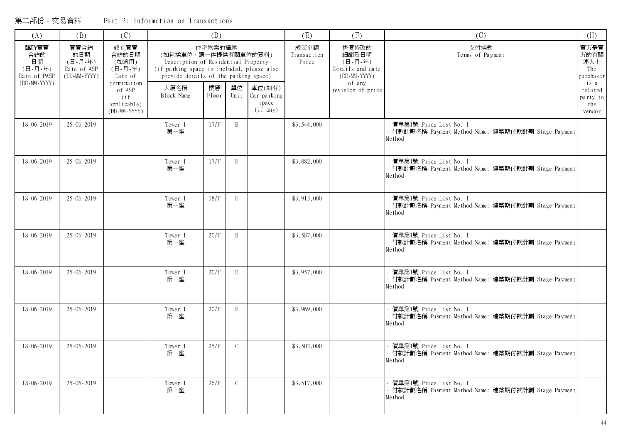| Part 2: Information on Transactions |
|-------------------------------------|
|-------------------------------------|

| (A)                                                          | (B)                                                   | (C)                                                            |                                                                                                                                                    | (D)         |                |                                                 | (E)                          | (F)                                                              | (G)                                                                                     | (H)                                          |
|--------------------------------------------------------------|-------------------------------------------------------|----------------------------------------------------------------|----------------------------------------------------------------------------------------------------------------------------------------------------|-------------|----------------|-------------------------------------------------|------------------------------|------------------------------------------------------------------|-----------------------------------------------------------------------------------------|----------------------------------------------|
| 臨時買賣<br>合約的<br>日期<br>(日-月-年)<br>Date of PASP<br>(DD-MM-YYYY) | 買賣合約<br>的日期<br>(日-月-年)<br>Date of ASP<br>(DD-MM-YYYY) | 終止買賣<br>合約的日期<br>(如適用)<br>(日-月-年)<br>Date of                   | (如包括車位,請一併提供有關車位的資料)<br>Description of Residential Property<br>(if parking space is included, please also<br>provide details of the parking space) | 住宅物業的描述     |                |                                                 | 成交金額<br>Transaction<br>Price | 售價修改的<br>細節及日期<br>(日-月-年)<br>Details and date<br>$(DD-MM-YYYYY)$ | 支付條款<br>Terms of Payment                                                                | 買方是賣<br>方的有關<br>連人士<br>The<br>purchaser      |
|                                                              |                                                       | termination<br>of ASP<br>$(i$ f<br>applicable)<br>(DD-MM-YYYY) | 大廈名稱<br>Block Name                                                                                                                                 | 樓層<br>Floor | 單位<br>Unit     | 車位(如有)<br>Car-parking<br>space<br>$(i f \nany)$ |                              | of any<br>revision of price                                      |                                                                                         | is a<br>related<br>party to<br>the<br>vendor |
| $18 - 06 - 2019$                                             | $25 - 06 - 2019$                                      |                                                                | Tower 1<br>第一座                                                                                                                                     | 17/F        | $\overline{B}$ |                                                 | \$3,544,000                  |                                                                  | 價單第1號 Price List No. 1<br>- 付款計劃名稱 Payment Method Name: 建築期付款計劃 Stage Payment<br>Method |                                              |
| 18-06-2019                                                   | $25 - 06 - 2019$                                      |                                                                | Tower 1<br>第一座                                                                                                                                     | 17/F        | E              |                                                 | \$3,882,000                  |                                                                  | 價單第1號 Price List No. 1<br>- 付款計劃名稱 Payment Method Name: 建築期付款計劃 Stage Payment<br>Method |                                              |
| 18-06-2019                                                   | $25 - 06 - 2019$                                      |                                                                | Tower 1<br>第一座                                                                                                                                     | 18/F        | E              |                                                 | \$3,913,000                  |                                                                  | 價單第1號 Price List No. 1<br>- 付款計劃名稱 Payment Method Name: 建築期付款計劃 Stage Payment<br>Method |                                              |
| $18 - 06 - 2019$                                             | $25 - 06 - 2019$                                      |                                                                | Tower 1<br>第一座                                                                                                                                     | 20/F        | $\overline{B}$ |                                                 | \$3,587,000                  |                                                                  | 價單第1號 Price List No. 1<br>- 付款計劃名稱 Payment Method Name: 建築期付款計劃 Stage Payment<br>Method |                                              |
| 18-06-2019                                                   | $25 - 06 - 2019$                                      |                                                                | Tower 1<br>第一座                                                                                                                                     | 20/F        | D              |                                                 | \$3,957,000                  |                                                                  | 價單第1號 Price List No. 1<br>- 付款計劃名稱 Payment Method Name: 建築期付款計劃 Stage Payment<br>Method |                                              |
| $18 - 06 - 2019$                                             | $25 - 06 - 2019$                                      |                                                                | Tower 1<br>第一座                                                                                                                                     | 20/F        | E              |                                                 | \$3,969,000                  |                                                                  | 價單第1號 Price List No. 1<br>- 付款計劃名稱 Payment Method Name: 建築期付款計劃 Stage Payment<br>Method |                                              |
| 18-06-2019                                                   | $25 - 06 - 2019$                                      |                                                                | Tower 1<br>第一座                                                                                                                                     | 25/F        | $\mathcal{C}$  |                                                 | \$3,502,000                  |                                                                  | 價單第1號 Price List No. 1<br>- 付款計劃名稱 Payment Method Name: 建築期付款計劃 Stage Payment<br>Method |                                              |
| 18-06-2019                                                   | $25 - 06 - 2019$                                      |                                                                | Tower 1<br>第一座                                                                                                                                     | 26/F        | $\mathcal{C}$  |                                                 | \$3,517,000                  |                                                                  | 價單第1號 Price List No. 1<br>- 付款計劃名稱 Payment Method Name: 建築期付款計劃 Stage Payment<br>Method |                                              |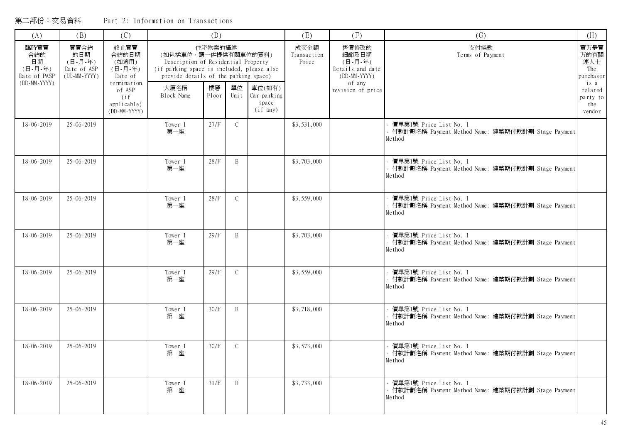|  |  | Part 2: Information on Transactions |  |  |
|--|--|-------------------------------------|--|--|
|--|--|-------------------------------------|--|--|

| (A)                                          | (B)                                                   | (C)                                                            |                                                                                                                                                    | (D)         |                |                                                 | (E)                          | (F)                                                           | (G)                                                                                       | (H)                                          |
|----------------------------------------------|-------------------------------------------------------|----------------------------------------------------------------|----------------------------------------------------------------------------------------------------------------------------------------------------|-------------|----------------|-------------------------------------------------|------------------------------|---------------------------------------------------------------|-------------------------------------------------------------------------------------------|----------------------------------------------|
| 臨時買賣<br>合約的<br>日期<br>(日-月-年)<br>Date of PASP | 買賣合約<br>的日期<br>(日-月-年)<br>Date of ASP<br>(DD-MM-YYYY) | 終止買賣<br>合約的日期<br>(如適用)<br>(日-月-年)<br>Date of                   | (如包括車位,請一併提供有關車位的資料)<br>Description of Residential Property<br>(if parking space is included, please also<br>provide details of the parking space) | 住宅物業的描述     |                |                                                 | 成交金額<br>Transaction<br>Price | 售價修改的<br>細節及日期<br>(日-月-年)<br>Details and date<br>(DD-MM-YYYY) | 支付條款<br>Terms of Payment                                                                  | 買方是賣<br>方的有關<br>連人士<br>The<br>purchaser      |
| (DD-MM-YYYY)                                 |                                                       | termination<br>of ASP<br>$(i$ f<br>applicable)<br>(DD-MM-YYYY) | 大廈名稱<br>Block Name                                                                                                                                 | 樓層<br>Floor | 單位<br>Unit     | 車位(如有)<br>Car-parking<br>space<br>$(i f \nany)$ |                              | of any<br>revision of price                                   |                                                                                           | is a<br>related<br>party to<br>the<br>vendor |
| $18 - 06 - 2019$                             | $25 - 06 - 2019$                                      |                                                                | Tower 1<br>第一座                                                                                                                                     | 27/F        | $\mathcal{C}$  |                                                 | \$3,531,000                  |                                                               | 價單第1號 Price List No. 1<br>- 付款計劃名稱 Payment Method Name: 建築期付款計劃 Stage Payment<br>Method   |                                              |
| 18-06-2019                                   | $25 - 06 - 2019$                                      |                                                                | Tower 1<br>第一座                                                                                                                                     | 28/F        | $\overline{B}$ |                                                 | \$3,703,000                  |                                                               | - 價單第1號 Price List No. 1<br>- 付款計劃名稱 Payment Method Name: 建築期付款計劃 Stage Payment<br>Method |                                              |
| 18-06-2019                                   | $25 - 06 - 2019$                                      |                                                                | Tower 1<br>第一座                                                                                                                                     | 28/F        | $\mathcal{C}$  |                                                 | \$3,559,000                  |                                                               | - 價單第1號 Price List No. 1<br>- 付款計劃名稱 Payment Method Name: 建築期付款計劃 Stage Payment<br>Method |                                              |
| 18-06-2019                                   | $25 - 06 - 2019$                                      |                                                                | Tower 1<br>第一座                                                                                                                                     | 29/F        | B              |                                                 | \$3,703,000                  |                                                               | - 價單第1號 Price List No. 1<br>- 付款計劃名稱 Payment Method Name: 建築期付款計劃 Stage Payment<br>Method |                                              |
| 18-06-2019                                   | $25 - 06 - 2019$                                      |                                                                | Tower 1<br>第一座                                                                                                                                     | 29/F        | $\mathcal{C}$  |                                                 | \$3,559,000                  |                                                               | - 價單第1號 Price List No. 1<br>- 付款計劃名稱 Payment Method Name: 建築期付款計劃 Stage Payment<br>Method |                                              |
| 18-06-2019                                   | $25 - 06 - 2019$                                      |                                                                | Tower 1<br>第一座                                                                                                                                     | 30/F        | B              |                                                 | \$3,718,000                  |                                                               | 價單第1號 Price List No. 1<br>- 付款計劃名稱 Payment Method Name: 建築期付款計劃 Stage Payment<br>Method   |                                              |
| 18-06-2019                                   | $25 - 06 - 2019$                                      |                                                                | Tower 1<br>第一座                                                                                                                                     | 30/F        | $\mathcal{C}$  |                                                 | \$3,573,000                  |                                                               | - 價單第1號 Price List No. 1<br>- 付款計劃名稱 Payment Method Name: 建築期付款計劃 Stage Payment<br>Method |                                              |
| 18-06-2019                                   | $25 - 06 - 2019$                                      |                                                                | Tower 1<br>第一座                                                                                                                                     | 31/F        | $\overline{B}$ |                                                 | \$3,733,000                  |                                                               | 價單第1號 Price List No. 1<br>- 付款計劃名稱 Payment Method Name: 建築期付款計劃 Stage Payment<br>Method   |                                              |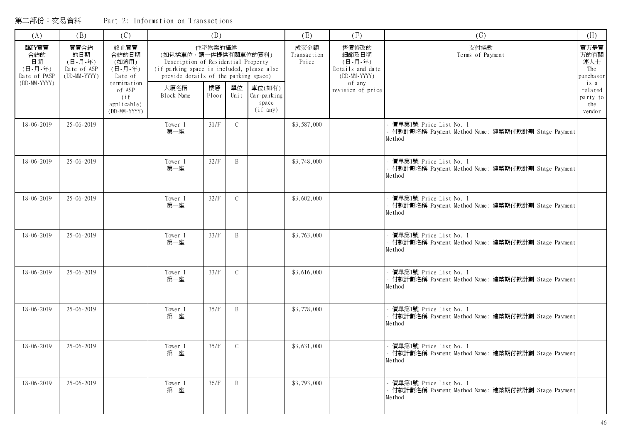| Part 2: Information on Transactions |
|-------------------------------------|
|-------------------------------------|

| (A)                                          | (B)                                                   | (C)                                                         |                                                                                                                                                    | (D)         |                |                                                 | (E)                          | (F)                                                           | (G)                                                                                       | (H)                                          |
|----------------------------------------------|-------------------------------------------------------|-------------------------------------------------------------|----------------------------------------------------------------------------------------------------------------------------------------------------|-------------|----------------|-------------------------------------------------|------------------------------|---------------------------------------------------------------|-------------------------------------------------------------------------------------------|----------------------------------------------|
| 臨時買賣<br>合約的<br>日期<br>(日-月-年)<br>Date of PASP | 買賣合約<br>的日期<br>(日-月-年)<br>Date of ASP<br>(DD-MM-YYYY) | 終止買賣<br>合約的日期<br>(如適用)<br>(日-月-年)<br>Date of<br>termination | (如包括車位,請一併提供有關車位的資料)<br>Description of Residential Property<br>(if parking space is included, please also<br>provide details of the parking space) | 住宅物業的描述     |                |                                                 | 成交金額<br>Transaction<br>Price | 售價修改的<br>細節及日期<br>(日-月-年)<br>Details and date<br>(DD-MM-YYYY) | 支付條款<br>Terms of Payment                                                                  | 買方是賣<br>方的有關<br>連人士<br>The<br>purchaser      |
| (DD-MM-YYYY)                                 |                                                       | of ASP<br>$(i$ f<br>applicable)<br>(DD-MM-YYYY)             | 大廈名稱<br>Block Name                                                                                                                                 | 樓層<br>Floor | 單位<br>Unit     | 車位(如有)<br>Car-parking<br>space<br>$(i f \nany)$ |                              | of any<br>revision of price                                   |                                                                                           | is a<br>related<br>party to<br>the<br>vendor |
| 18-06-2019                                   | $25 - 06 - 2019$                                      |                                                             | Tower 1<br>第一座                                                                                                                                     | 31/F        | $\mathcal{C}$  |                                                 | \$3,587,000                  |                                                               | 價單第1號 Price List No. 1<br>- 付款計劃名稱 Payment Method Name: 建築期付款計劃 Stage Payment<br>Method   |                                              |
| 18-06-2019                                   | $25 - 06 - 2019$                                      |                                                             | Tower 1<br>第一座                                                                                                                                     | 32/F        | $\overline{B}$ |                                                 | \$3,748,000                  |                                                               | - 價單第1號 Price List No. 1<br>- 付款計劃名稱 Payment Method Name: 建築期付款計劃 Stage Payment<br>Method |                                              |
| 18-06-2019                                   | $25 - 06 - 2019$                                      |                                                             | Tower 1<br>第一座                                                                                                                                     | 32/F        | $\mathcal{C}$  |                                                 | \$3,602,000                  |                                                               | - 價單第1號 Price List No. 1<br>- 付款計劃名稱 Payment Method Name: 建築期付款計劃 Stage Payment<br>Method |                                              |
| 18-06-2019                                   | $25 - 06 - 2019$                                      |                                                             | Tower 1<br>第一座                                                                                                                                     | 33/F        | $\overline{B}$ |                                                 | \$3,763,000                  |                                                               | - 價單第1號 Price List No. 1<br>- 付款計劃名稱 Payment Method Name: 建築期付款計劃 Stage Payment<br>Method |                                              |
| 18-06-2019                                   | $25 - 06 - 2019$                                      |                                                             | Tower 1<br>第一座                                                                                                                                     | 33/F        | $\mathcal{C}$  |                                                 | \$3,616,000                  |                                                               | - 價單第1號 Price List No. 1<br>- 付款計劃名稱 Payment Method Name: 建築期付款計劃 Stage Payment<br>Method |                                              |
| 18-06-2019                                   | $25 - 06 - 2019$                                      |                                                             | Tower 1<br>第一座                                                                                                                                     | 35/F        | $\overline{B}$ |                                                 | \$3,778,000                  |                                                               | 價單第1號 Price List No. 1<br>- 付款計劃名稱 Payment Method Name: 建築期付款計劃 Stage Payment<br>Method   |                                              |
| 18-06-2019                                   | $25 - 06 - 2019$                                      |                                                             | Tower 1<br>第一座                                                                                                                                     | 35/F        | $\mathcal{C}$  |                                                 | \$3,631,000                  |                                                               | - 價單第1號 Price List No. 1<br>- 付款計劃名稱 Payment Method Name: 建築期付款計劃 Stage Payment<br>Method |                                              |
| 18-06-2019                                   | $25 - 06 - 2019$                                      |                                                             | Tower 1<br>第一座                                                                                                                                     | 36/F        | $\overline{B}$ |                                                 | \$3,793,000                  |                                                               | 價單第1號 Price List No. 1<br>- 付款計劃名稱 Payment Method Name: 建築期付款計劃 Stage Payment<br>Method   |                                              |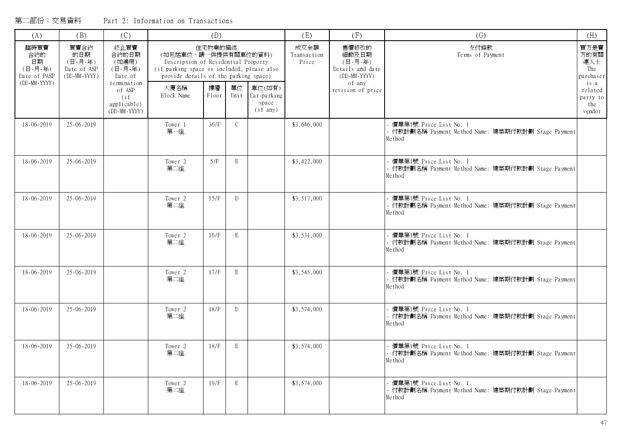|  |  | Part 2: Information on Transactions |  |  |
|--|--|-------------------------------------|--|--|
|--|--|-------------------------------------|--|--|

| (A)                                          | (B)                                                   | (C)                                                         |                                                                                                                                                    | (D)         |             |                                                 | (E)                          | (F)                                                           | (G)                                                                                       | (H)                                          |
|----------------------------------------------|-------------------------------------------------------|-------------------------------------------------------------|----------------------------------------------------------------------------------------------------------------------------------------------------|-------------|-------------|-------------------------------------------------|------------------------------|---------------------------------------------------------------|-------------------------------------------------------------------------------------------|----------------------------------------------|
| 臨時買賣<br>合約的<br>日期<br>(日-月-年)<br>Date of PASP | 買賣合約<br>的日期<br>(日-月-年)<br>Date of ASP<br>(DD-MM-YYYY) | 終止買賣<br>合約的日期<br>(如適用)<br>(日-月-年)<br>Date of<br>termination | (如包括車位,請一併提供有關車位的資料)<br>Description of Residential Property<br>(if parking space is included, please also<br>provide details of the parking space) | 住宅物業的描述     |             |                                                 | 成交金額<br>Transaction<br>Price | 售價修改的<br>細節及日期<br>(日-月-年)<br>Details and date<br>(DD-MM-YYYY) | 支付條款<br>Terms of Payment                                                                  | 買方是賣<br>方的有關<br>連人士<br>The<br>purchaser      |
| (DD-MM-YYYY)                                 |                                                       | of ASP<br>$(i$ f<br>applicable)<br>(DD-MM-YYYY)             | 大廈名稱<br>Block Name                                                                                                                                 | 樓層<br>Floor | 單位<br>Unit  | 車位(如有)<br>Car-parking<br>space<br>$(i f \nany)$ |                              | of any<br>revision of price                                   |                                                                                           | is a<br>related<br>party to<br>the<br>vendor |
| 18-06-2019                                   | $25 - 06 - 2019$                                      |                                                             | Tower 1<br>第一座                                                                                                                                     | 36/F        | C           |                                                 | \$3,646,000                  |                                                               | 價單第1號 Price List No. 1<br>- 付款計劃名稱 Payment Method Name: 建築期付款計劃 Stage Payment<br>Method   |                                              |
| 18-06-2019                                   | $25 - 06 - 2019$                                      |                                                             | Tower 2<br>第二座                                                                                                                                     | 5/F         | $\mathbf E$ |                                                 | \$3,422,000                  |                                                               | - 價單第1號 Price List No. 1<br>- 付款計劃名稱 Payment Method Name: 建築期付款計劃 Stage Payment<br>Method |                                              |
| 18-06-2019                                   | $25 - 06 - 2019$                                      |                                                             | Tower <sub>2</sub><br>第二座                                                                                                                          | 15/F        | D           |                                                 | \$3,517,000                  |                                                               | - 價單第1號 Price List No. 1<br>- 付款計劃名稱 Payment Method Name: 建築期付款計劃 Stage Payment<br>Method |                                              |
| 18-06-2019                                   | $25 - 06 - 2019$                                      |                                                             | Tower 2<br>第二座                                                                                                                                     | 16/F        | E           |                                                 | \$3,531,000                  |                                                               | - 價單第1號 Price List No. 1<br>- 付款計劃名稱 Payment Method Name: 建築期付款計劃 Stage Payment<br>Method |                                              |
| 18-06-2019                                   | $25 - 06 - 2019$                                      |                                                             | Tower 2<br>第二座                                                                                                                                     | 17/F        | E           |                                                 | \$3,545,000                  |                                                               | - 價單第1號 Price List No. 1<br>- 付款計劃名稱 Payment Method Name: 建築期付款計劃 Stage Payment<br>Method |                                              |
| $18 - 06 - 2019$                             | $25 - 06 - 2019$                                      |                                                             | Tower 2<br>第二座                                                                                                                                     | 18/F        | D           |                                                 | \$3,574,000                  |                                                               | 價單第1號 Price List No. 1<br>- 付款計劃名稱 Payment Method Name: 建築期付款計劃 Stage Payment<br>Method   |                                              |
| 18-06-2019                                   | $25 - 06 - 2019$                                      |                                                             | Tower 2<br>第二座                                                                                                                                     | 18/F        | E           |                                                 | \$3,574,000                  |                                                               | - 價單第1號 Price List No. 1<br>- 付款計劃名稱 Payment Method Name: 建築期付款計劃 Stage Payment<br>Method |                                              |
| 18-06-2019                                   | $25 - 06 - 2019$                                      |                                                             | Tower 2<br>第二座                                                                                                                                     | 19/F        | E           |                                                 | \$3,574,000                  |                                                               | 價單第1號 Price List No. 1<br>- 付款計劃名稱 Payment Method Name: 建築期付款計劃 Stage Payment<br>Method   |                                              |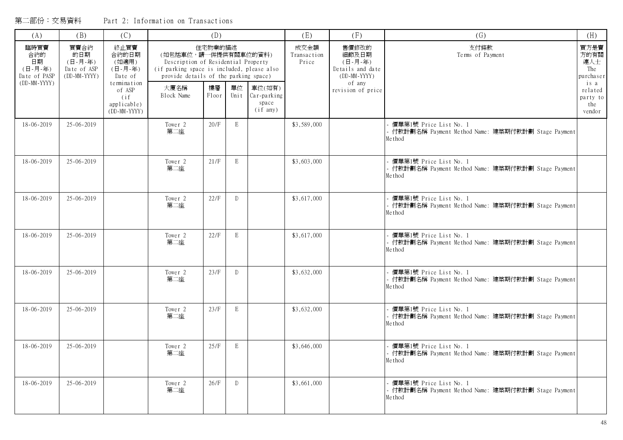| Part 2: Information on Transactions |  |  |  |  |  |  |  |
|-------------------------------------|--|--|--|--|--|--|--|
|-------------------------------------|--|--|--|--|--|--|--|

| (A)                                          | (B)                                                   | (C)                                                         |                                                                                                                                                    | (D)         |              |                                                 | (E)                          | (F)                                                           | (G)                                                                                       | (H)                                          |
|----------------------------------------------|-------------------------------------------------------|-------------------------------------------------------------|----------------------------------------------------------------------------------------------------------------------------------------------------|-------------|--------------|-------------------------------------------------|------------------------------|---------------------------------------------------------------|-------------------------------------------------------------------------------------------|----------------------------------------------|
| 臨時買賣<br>合約的<br>日期<br>(日-月-年)<br>Date of PASP | 買賣合約<br>的日期<br>(日-月-年)<br>Date of ASP<br>(DD-MM-YYYY) | 終止買賣<br>合約的日期<br>(如適用)<br>(日-月-年)<br>Date of<br>termination | (如包括車位,請一併提供有關車位的資料)<br>Description of Residential Property<br>(if parking space is included, please also<br>provide details of the parking space) | 住宅物業的描述     |              |                                                 | 成交金額<br>Transaction<br>Price | 售價修改的<br>細節及日期<br>(日-月-年)<br>Details and date<br>(DD-MM-YYYY) | 支付條款<br>Terms of Payment                                                                  | 買方是賣<br>方的有關<br>連人士<br>The<br>purchaser      |
| (DD-MM-YYYY)                                 |                                                       | of ASP<br>$(i$ f<br>applicable)<br>(DD-MM-YYYY)             | 大廈名稱<br>Block Name                                                                                                                                 | 樓層<br>Floor | 單位<br>Unit   | 車位(如有)<br>Car-parking<br>space<br>$(i f \nany)$ |                              | of any<br>revision of price                                   |                                                                                           | is a<br>related<br>party to<br>the<br>vendor |
| 18-06-2019                                   | $25 - 06 - 2019$                                      |                                                             | Tower 2<br>第二座                                                                                                                                     | 20/F        | E            |                                                 | \$3,589,000                  |                                                               | 價單第1號 Price List No. 1<br>- 付款計劃名稱 Payment Method Name: 建築期付款計劃 Stage Payment<br>Method   |                                              |
| 18-06-2019                                   | $25 - 06 - 2019$                                      |                                                             | Tower 2<br>第二座                                                                                                                                     | 21/F        | $\mathbf E$  |                                                 | \$3,603,000                  |                                                               | - 價單第1號 Price List No. 1<br>- 付款計劃名稱 Payment Method Name: 建築期付款計劃 Stage Payment<br>Method |                                              |
| 18-06-2019                                   | $25 - 06 - 2019$                                      |                                                             | Tower <sub>2</sub><br>第二座                                                                                                                          | 22/F        | D            |                                                 | \$3,617,000                  |                                                               | - 價單第1號 Price List No. 1<br>- 付款計劃名稱 Payment Method Name: 建築期付款計劃 Stage Payment<br>Method |                                              |
| 18-06-2019                                   | $25 - 06 - 2019$                                      |                                                             | Tower 2<br>第二座                                                                                                                                     | 22/F        | E            |                                                 | \$3,617,000                  |                                                               | - 價單第1號 Price List No. 1<br>- 付款計劃名稱 Payment Method Name: 建築期付款計劃 Stage Payment<br>Method |                                              |
| 18-06-2019                                   | $25 - 06 - 2019$                                      |                                                             | Tower 2<br>第二座                                                                                                                                     | 23/F        | D            |                                                 | \$3,632,000                  |                                                               | - 價單第1號 Price List No. 1<br>- 付款計劃名稱 Payment Method Name: 建築期付款計劃 Stage Payment<br>Method |                                              |
| $18 - 06 - 2019$                             | $25 - 06 - 2019$                                      |                                                             | Tower 2<br>第二座                                                                                                                                     | 23/F        | $\mathbf E$  |                                                 | \$3,632,000                  |                                                               | 價單第1號 Price List No. 1<br>- 付款計劃名稱 Payment Method Name: 建築期付款計劃 Stage Payment<br>Method   |                                              |
| 18-06-2019                                   | $25 - 06 - 2019$                                      |                                                             | Tower 2<br>第二座                                                                                                                                     | 25/F        | E            |                                                 | \$3,646,000                  |                                                               | - 價單第1號 Price List No. 1<br>- 付款計劃名稱 Payment Method Name: 建築期付款計劃 Stage Payment<br>Method |                                              |
| 18-06-2019                                   | $25 - 06 - 2019$                                      |                                                             | Tower 2<br>第二座                                                                                                                                     | 26/F        | $\mathbb{D}$ |                                                 | \$3,661,000                  |                                                               | 價單第1號 Price List No. 1<br>- 付款計劃名稱 Payment Method Name: 建築期付款計劃 Stage Payment<br>Method   |                                              |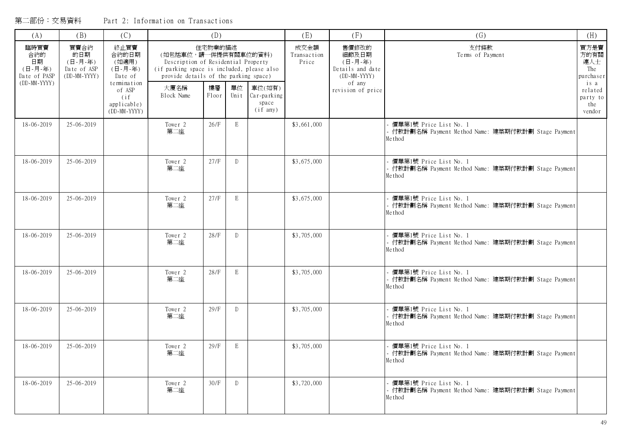| Part 2: Information on Transactions |  |  |  |  |  |  |  |
|-------------------------------------|--|--|--|--|--|--|--|
|-------------------------------------|--|--|--|--|--|--|--|

| (A)                                          | (B)                                                   | (C)                                                            |                                                                                                                                                    | (D)         |              |                                                 | (E)                          | (F)                                                           | (G)                                                                                       | (H)                                          |
|----------------------------------------------|-------------------------------------------------------|----------------------------------------------------------------|----------------------------------------------------------------------------------------------------------------------------------------------------|-------------|--------------|-------------------------------------------------|------------------------------|---------------------------------------------------------------|-------------------------------------------------------------------------------------------|----------------------------------------------|
| 臨時買賣<br>合約的<br>日期<br>(日-月-年)<br>Date of PASP | 買賣合約<br>的日期<br>(日-月-年)<br>Date of ASP<br>(DD-MM-YYYY) | 終止買賣<br>合約的日期<br>(如適用)<br>(日-月-年)<br>Date of                   | (如包括車位,請一併提供有關車位的資料)<br>Description of Residential Property<br>(if parking space is included, please also<br>provide details of the parking space) | 住宅物業的描述     |              |                                                 | 成交金額<br>Transaction<br>Price | 售價修改的<br>細節及日期<br>(日-月-年)<br>Details and date<br>(DD-MM-YYYY) | 支付條款<br>Terms of Payment                                                                  | 買方是賣<br>方的有關<br>連人士<br>The<br>purchaser      |
| (DD-MM-YYYY)                                 |                                                       | termination<br>of ASP<br>$(i$ f<br>applicable)<br>(DD-MM-YYYY) | 大廈名稱<br>Block Name                                                                                                                                 | 樓層<br>Floor | 單位<br>Unit   | 車位(如有)<br>Car-parking<br>space<br>$(i f \nany)$ |                              | of any<br>revision of price                                   |                                                                                           | is a<br>related<br>party to<br>the<br>vendor |
| $18 - 06 - 2019$                             | $25 - 06 - 2019$                                      |                                                                | Tower 2<br>第二座                                                                                                                                     | 26/F        | E            |                                                 | \$3,661,000                  |                                                               | 價單第1號 Price List No. 1<br>- 付款計劃名稱 Payment Method Name: 建築期付款計劃 Stage Payment<br>Method   |                                              |
| 18-06-2019                                   | $25 - 06 - 2019$                                      |                                                                | Tower 2<br>第二座                                                                                                                                     | 27/F        | $\mathbb{D}$ |                                                 | \$3,675,000                  |                                                               | - 價單第1號 Price List No. 1<br>- 付款計劃名稱 Payment Method Name: 建築期付款計劃 Stage Payment<br>Method |                                              |
| 18-06-2019                                   | $25 - 06 - 2019$                                      |                                                                | Tower 2<br>第二座                                                                                                                                     | 27/F        | E            |                                                 | \$3,675,000                  |                                                               | - 價單第1號 Price List No. 1<br>- 付款計劃名稱 Payment Method Name: 建築期付款計劃 Stage Payment<br>Method |                                              |
| 18-06-2019                                   | $25 - 06 - 2019$                                      |                                                                | Tower 2<br>第二座                                                                                                                                     | 28/F        | $\mathbb{D}$ |                                                 | \$3,705,000                  |                                                               | - 價單第1號 Price List No. 1<br>- 付款計劃名稱 Payment Method Name: 建築期付款計劃 Stage Payment<br>Method |                                              |
| 18-06-2019                                   | $25 - 06 - 2019$                                      |                                                                | Tower <sub>2</sub><br>第二座                                                                                                                          | 28/F        | E            |                                                 | \$3,705,000                  |                                                               | - 價單第1號 Price List No. 1<br>- 付款計劃名稱 Payment Method Name: 建築期付款計劃 Stage Payment<br>Method |                                              |
| 18-06-2019                                   | $25 - 06 - 2019$                                      |                                                                | Tower 2<br>第二座                                                                                                                                     | 29/F        | D            |                                                 | \$3,705,000                  |                                                               | 價單第1號 Price List No. 1<br>- 付款計劃名稱 Payment Method Name: 建築期付款計劃 Stage Payment<br>Method   |                                              |
| 18-06-2019                                   | $25 - 06 - 2019$                                      |                                                                | Tower 2<br>第二座                                                                                                                                     | 29/F        | $\mathbf E$  |                                                 | \$3,705,000                  |                                                               | - 價單第1號 Price List No. 1<br>- 付款計劃名稱 Payment Method Name: 建築期付款計劃 Stage Payment<br>Method |                                              |
| 18-06-2019                                   | $25 - 06 - 2019$                                      |                                                                | Tower 2<br>第二座                                                                                                                                     | 30/F        | $\mathbb{D}$ |                                                 | \$3,720,000                  |                                                               | 價單第1號 Price List No. 1<br>- 付款計劃名稱 Payment Method Name: 建築期付款計劃 Stage Payment<br>Method   |                                              |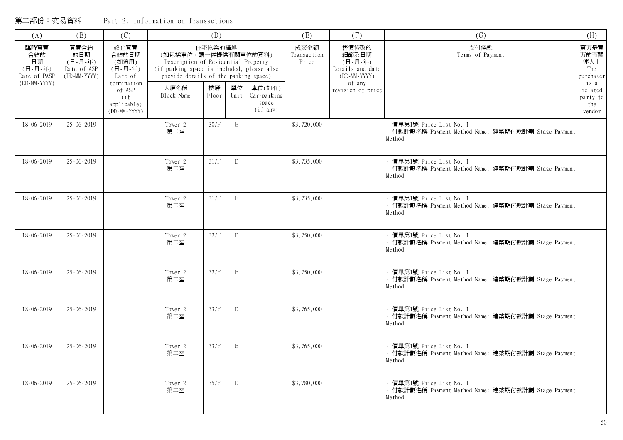| Part 2: Information on Transactions |  |  |  |  |  |  |  |
|-------------------------------------|--|--|--|--|--|--|--|
|-------------------------------------|--|--|--|--|--|--|--|

| (A)                                          | (B)                                                   | (C)                                                            |                                                                                                                                                    | (D)         |              |                                                 | (E)                          | (F)                                                           | (G)                                                                                       | (H)                                          |
|----------------------------------------------|-------------------------------------------------------|----------------------------------------------------------------|----------------------------------------------------------------------------------------------------------------------------------------------------|-------------|--------------|-------------------------------------------------|------------------------------|---------------------------------------------------------------|-------------------------------------------------------------------------------------------|----------------------------------------------|
| 臨時買賣<br>合約的<br>日期<br>(日-月-年)<br>Date of PASP | 買賣合約<br>的日期<br>(日-月-年)<br>Date of ASP<br>(DD-MM-YYYY) | 終止買賣<br>合約的日期<br>(如適用)<br>(日-月-年)<br>Date of                   | (如包括車位,請一併提供有關車位的資料)<br>Description of Residential Property<br>(if parking space is included, please also<br>provide details of the parking space) | 住宅物業的描述     |              |                                                 | 成交金額<br>Transaction<br>Price | 售價修改的<br>細節及日期<br>(日-月-年)<br>Details and date<br>(DD-MM-YYYY) | 支付條款<br>Terms of Payment                                                                  | 買方是賣<br>方的有關<br>連人士<br>The<br>purchaser      |
| (DD-MM-YYYY)                                 |                                                       | termination<br>of ASP<br>$(i$ f<br>applicable)<br>(DD-MM-YYYY) | 大廈名稱<br>Block Name                                                                                                                                 | 樓層<br>Floor | 單位<br>Unit   | 車位(如有)<br>Car-parking<br>space<br>$(i f \nany)$ |                              | of any<br>revision of price                                   |                                                                                           | is a<br>related<br>party to<br>the<br>vendor |
| $18 - 06 - 2019$                             | $25 - 06 - 2019$                                      |                                                                | Tower 2<br>第二座                                                                                                                                     | 30/F        | E            |                                                 | \$3,720,000                  |                                                               | 價單第1號 Price List No. 1<br>- 付款計劃名稱 Payment Method Name: 建築期付款計劃 Stage Payment<br>Method   |                                              |
| 18-06-2019                                   | $25 - 06 - 2019$                                      |                                                                | Tower 2<br>第二座                                                                                                                                     | 31/F        | $\mathbb{D}$ |                                                 | \$3,735,000                  |                                                               | - 價單第1號 Price List No. 1<br>- 付款計劃名稱 Payment Method Name: 建築期付款計劃 Stage Payment<br>Method |                                              |
| 18-06-2019                                   | $25 - 06 - 2019$                                      |                                                                | Tower 2<br>第二座                                                                                                                                     | 31/F        | E            |                                                 | \$3,735,000                  |                                                               | - 價單第1號 Price List No. 1<br>- 付款計劃名稱 Payment Method Name: 建築期付款計劃 Stage Payment<br>Method |                                              |
| 18-06-2019                                   | $25 - 06 - 2019$                                      |                                                                | Tower 2<br>第二座                                                                                                                                     | 32/F        | $\mathbb{D}$ |                                                 | \$3,750,000                  |                                                               | - 價單第1號 Price List No. 1<br>- 付款計劃名稱 Payment Method Name: 建築期付款計劃 Stage Payment<br>Method |                                              |
| 18-06-2019                                   | $25 - 06 - 2019$                                      |                                                                | Tower <sub>2</sub><br>第二座                                                                                                                          | 32/F        | E            |                                                 | \$3,750,000                  |                                                               | - 價單第1號 Price List No. 1<br>- 付款計劃名稱 Payment Method Name: 建築期付款計劃 Stage Payment<br>Method |                                              |
| 18-06-2019                                   | $25 - 06 - 2019$                                      |                                                                | Tower 2<br>第二座                                                                                                                                     | 33/F        | D            |                                                 | \$3,765,000                  |                                                               | 價單第1號 Price List No. 1<br>- 付款計劃名稱 Payment Method Name: 建築期付款計劃 Stage Payment<br>Method   |                                              |
| 18-06-2019                                   | $25 - 06 - 2019$                                      |                                                                | Tower 2<br>第二座                                                                                                                                     | 33/F        | $\mathbf E$  |                                                 | \$3,765,000                  |                                                               | - 價單第1號 Price List No. 1<br>- 付款計劃名稱 Payment Method Name: 建築期付款計劃 Stage Payment<br>Method |                                              |
| 18-06-2019                                   | $25 - 06 - 2019$                                      |                                                                | Tower 2<br>第二座                                                                                                                                     | 35/F        | $\mathbb{D}$ |                                                 | \$3,780,000                  |                                                               | 價單第1號 Price List No. 1<br>- 付款計劃名稱 Payment Method Name: 建築期付款計劃 Stage Payment<br>Method   |                                              |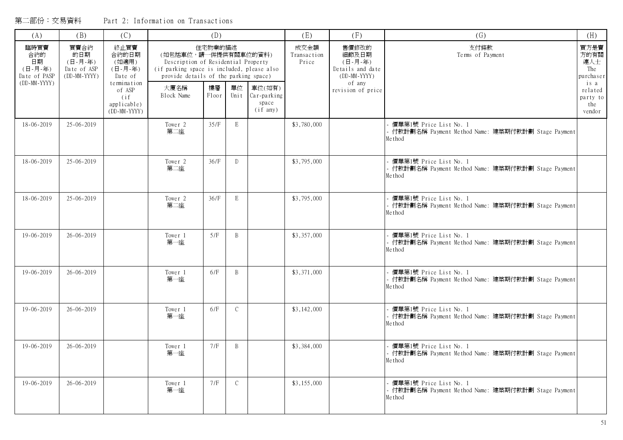| (A)                                          | (B)                                                   | (C)                                                            |                                                                                                                                                    | (D)         |               |                                                 | (E)                          | (F)                                                             | (G)                                                                                       | (H)                                          |
|----------------------------------------------|-------------------------------------------------------|----------------------------------------------------------------|----------------------------------------------------------------------------------------------------------------------------------------------------|-------------|---------------|-------------------------------------------------|------------------------------|-----------------------------------------------------------------|-------------------------------------------------------------------------------------------|----------------------------------------------|
| 臨時買賣<br>合約的<br>日期<br>(日-月-年)<br>Date of PASP | 買賣合約<br>的日期<br>(日-月-年)<br>Date of ASP<br>(DD-MM-YYYY) | 終止買賣<br>合約的日期<br>(如適用)<br>(日-月-年)<br>Date of                   | (如包括車位,請一併提供有關車位的資料)<br>Description of Residential Property<br>(if parking space is included, please also<br>provide details of the parking space) | 住宅物業的描述     |               |                                                 | 成交金額<br>Transaction<br>Price | 售價修改的<br>細節及日期<br>(日-月-年)<br>Details and date<br>$(DD-MM-YYYY)$ | 支付條款<br>Terms of Payment                                                                  | 買方是賣<br>方的有關<br>連人士<br>The<br>purchaser      |
| (DD-MM-YYYY)                                 |                                                       | termination<br>of ASP<br>$(i$ f<br>applicable)<br>(DD-MM-YYYY) | 大廈名稱<br>Block Name                                                                                                                                 | 樓層<br>Floor | 單位<br>Unit    | 車位(如有)<br>Car-parking<br>space<br>$(i f \nany)$ |                              | of any<br>revision of price                                     |                                                                                           | is a<br>related<br>party to<br>the<br>vendor |
| 18-06-2019                                   | $25 - 06 - 2019$                                      |                                                                | Tower <sub>2</sub><br>第二座                                                                                                                          | 35/F        | E             |                                                 | \$3,780,000                  |                                                                 | 價單第1號 Price List No. 1<br>- 付款計劃名稱 Payment Method Name: 建築期付款計劃 Stage Payment<br>Method   |                                              |
| 18-06-2019                                   | $25 - 06 - 2019$                                      |                                                                | Tower <sub>2</sub><br>第二座                                                                                                                          | 36/F        | D             |                                                 | \$3,795,000                  |                                                                 | - 價單第1號 Price List No. 1<br>- 付款計劃名稱 Payment Method Name: 建築期付款計劃 Stage Payment<br>Method |                                              |
| 18-06-2019                                   | $25 - 06 - 2019$                                      |                                                                | Tower <sub>2</sub><br>第二座                                                                                                                          | 36/F        | E             |                                                 | \$3,795,000                  |                                                                 | 價單第1號 Price List No. 1<br>- 付款計劃名稱 Payment Method Name: 建築期付款計劃 Stage Payment<br>Method   |                                              |
| 19-06-2019                                   | $26 - 06 - 2019$                                      |                                                                | Tower 1<br>第一座                                                                                                                                     | 5/F         | $\mathbf{B}$  |                                                 | \$3,357,000                  |                                                                 | - 價單第1號 Price List No. 1<br>- 付款計劃名稱 Payment Method Name: 建築期付款計劃 Stage Payment<br>Method |                                              |
| 19-06-2019                                   | $26 - 06 - 2019$                                      |                                                                | Tower 1<br>第一座                                                                                                                                     | 6/F         | B             |                                                 | \$3,371,000                  |                                                                 | - 價單第1號 Price List No. 1<br>- 付款計劃名稱 Payment Method Name: 建築期付款計劃 Stage Payment<br>Method |                                              |
| 19-06-2019                                   | $26 - 06 - 2019$                                      |                                                                | Tower 1<br>第一座                                                                                                                                     | 6/F         | $\mathcal{C}$ |                                                 | \$3,142,000                  |                                                                 | 價單第1號 Price List No. 1<br>- 付款計劃名稱 Payment Method Name: 建築期付款計劃 Stage Payment<br>Method   |                                              |
| 19-06-2019                                   | $26 - 06 - 2019$                                      |                                                                | Tower 1<br>第一座                                                                                                                                     | 7/F         | $\mathbf{B}$  |                                                 | \$3,384,000                  |                                                                 | - 價單第1號 Price List No. 1<br>- 付款計劃名稱 Payment Method Name: 建築期付款計劃 Stage Payment<br>Method |                                              |
| 19-06-2019                                   | $26 - 06 - 2019$                                      |                                                                | Tower 1<br>第一座                                                                                                                                     | 7/F         | $\mathcal{C}$ |                                                 | \$3,155,000                  |                                                                 | 價單第1號 Price List No. 1<br>- 付款計劃名稱 Payment Method Name: 建築期付款計劃 Stage Payment<br>Method   |                                              |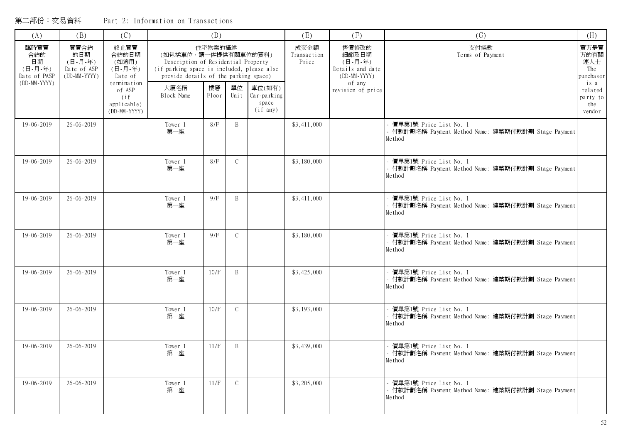|  |  | Part 2: Information on Transactions |  |  |
|--|--|-------------------------------------|--|--|
|--|--|-------------------------------------|--|--|

| (A)                                          | (B)                                                   | (C)                                                            |                                                                                                                                                    | (D)         |                |                                                 | (E)                          | (F)                                                           | (G)                                                                                       | (H)                                          |
|----------------------------------------------|-------------------------------------------------------|----------------------------------------------------------------|----------------------------------------------------------------------------------------------------------------------------------------------------|-------------|----------------|-------------------------------------------------|------------------------------|---------------------------------------------------------------|-------------------------------------------------------------------------------------------|----------------------------------------------|
| 臨時買賣<br>合約的<br>日期<br>(日-月-年)<br>Date of PASP | 買賣合約<br>的日期<br>(日-月-年)<br>Date of ASP<br>(DD-MM-YYYY) | 終止買賣<br>合約的日期<br>(如適用)<br>(日-月-年)<br>Date of                   | (如包括車位,請一併提供有關車位的資料)<br>Description of Residential Property<br>(if parking space is included, please also<br>provide details of the parking space) | 住宅物業的描述     |                |                                                 | 成交金額<br>Transaction<br>Price | 售價修改的<br>細節及日期<br>(日-月-年)<br>Details and date<br>(DD-MM-YYYY) | 支付條款<br>Terms of Payment                                                                  | 買方是賣<br>方的有關<br>連人士<br>The<br>purchaser      |
| (DD-MM-YYYY)                                 |                                                       | termination<br>of ASP<br>$(i$ f<br>applicable)<br>(DD-MM-YYYY) | 大廈名稱<br>Block Name                                                                                                                                 | 樓層<br>Floor | 單位<br>Unit     | 車位(如有)<br>Car-parking<br>space<br>$(i f \nany)$ |                              | of any<br>revision of price                                   |                                                                                           | is a<br>related<br>party to<br>the<br>vendor |
| 19-06-2019                                   | $26 - 06 - 2019$                                      |                                                                | Tower 1<br>第一座                                                                                                                                     | 8/F         | $\overline{B}$ |                                                 | \$3,411,000                  |                                                               | 價單第1號 Price List No. 1<br>- 付款計劃名稱 Payment Method Name: 建築期付款計劃 Stage Payment<br>Method   |                                              |
| 19-06-2019                                   | $26 - 06 - 2019$                                      |                                                                | Tower 1<br>第一座                                                                                                                                     | 8/F         | $\mathcal{C}$  |                                                 | \$3,180,000                  |                                                               | - 價單第1號 Price List No. 1<br>- 付款計劃名稱 Payment Method Name: 建築期付款計劃 Stage Payment<br>Method |                                              |
| 19-06-2019                                   | $26 - 06 - 2019$                                      |                                                                | Tower 1<br>第一座                                                                                                                                     | 9/F         | $\overline{B}$ |                                                 | \$3,411,000                  |                                                               | - 價單第1號 Price List No. 1<br>- 付款計劃名稱 Payment Method Name: 建築期付款計劃 Stage Payment<br>Method |                                              |
| 19-06-2019                                   | $26 - 06 - 2019$                                      |                                                                | Tower 1<br>第一座                                                                                                                                     | 9/F         | $\mathcal{C}$  |                                                 | \$3,180,000                  |                                                               | - 價單第1號 Price List No. 1<br>- 付款計劃名稱 Payment Method Name: 建築期付款計劃 Stage Payment<br>Method |                                              |
| 19-06-2019                                   | $26 - 06 - 2019$                                      |                                                                | Tower 1<br>第一座                                                                                                                                     | 10/F        | $\mathbf{B}$   |                                                 | \$3,425,000                  |                                                               | - 價單第1號 Price List No. 1<br>- 付款計劃名稱 Payment Method Name: 建築期付款計劃 Stage Payment<br>Method |                                              |
| 19-06-2019                                   | $26 - 06 - 2019$                                      |                                                                | Tower 1<br>第一座                                                                                                                                     | 10/F        | $\mathcal{C}$  |                                                 | \$3,193,000                  |                                                               | 價單第1號 Price List No. 1<br>- 付款計劃名稱 Payment Method Name: 建築期付款計劃 Stage Payment<br>Method   |                                              |
| 19-06-2019                                   | $26 - 06 - 2019$                                      |                                                                | Tower 1<br>第一座                                                                                                                                     | 11/F        | $\overline{B}$ |                                                 | \$3,439,000                  |                                                               | - 價單第1號 Price List No. 1<br>- 付款計劃名稱 Payment Method Name: 建築期付款計劃 Stage Payment<br>Method |                                              |
| 19-06-2019                                   | $26 - 06 - 2019$                                      |                                                                | Tower 1<br>第一座                                                                                                                                     | 11/F        | $\mathcal{C}$  |                                                 | \$3,205,000                  |                                                               | 價單第1號 Price List No. 1<br>- 付款計劃名稱 Payment Method Name: 建築期付款計劃 Stage Payment<br>Method   |                                              |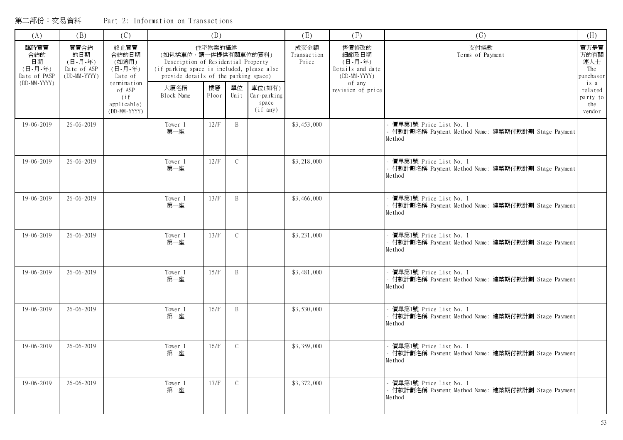|  |  | Part 2: Information on Transactions |  |  |
|--|--|-------------------------------------|--|--|
|--|--|-------------------------------------|--|--|

| (A)                                          | (B)                                                   | (C)                                                            |                                                                                                                                                    | (D)         |                |                                                 | (E)                          | (F)                                                           | (G)                                                                                       | (H)                                          |
|----------------------------------------------|-------------------------------------------------------|----------------------------------------------------------------|----------------------------------------------------------------------------------------------------------------------------------------------------|-------------|----------------|-------------------------------------------------|------------------------------|---------------------------------------------------------------|-------------------------------------------------------------------------------------------|----------------------------------------------|
| 臨時買賣<br>合約的<br>日期<br>(日-月-年)<br>Date of PASP | 買賣合約<br>的日期<br>(日-月-年)<br>Date of ASP<br>(DD-MM-YYYY) | 終止買賣<br>合約的日期<br>(如適用)<br>(日-月-年)<br>Date of                   | (如包括車位,請一併提供有關車位的資料)<br>Description of Residential Property<br>(if parking space is included, please also<br>provide details of the parking space) | 住宅物業的描述     |                |                                                 | 成交金額<br>Transaction<br>Price | 售價修改的<br>細節及日期<br>(日-月-年)<br>Details and date<br>(DD-MM-YYYY) | 支付條款<br>Terms of Payment                                                                  | 買方是賣<br>方的有關<br>連人士<br>The<br>purchaser      |
| (DD-MM-YYYY)                                 |                                                       | termination<br>of ASP<br>$(i$ f<br>applicable)<br>(DD-MM-YYYY) | 大廈名稱<br>Block Name                                                                                                                                 | 樓層<br>Floor | 單位<br>Unit     | 車位(如有)<br>Car-parking<br>space<br>$(i f \nany)$ |                              | of any<br>revision of price                                   |                                                                                           | is a<br>related<br>party to<br>the<br>vendor |
| 19-06-2019                                   | $26 - 06 - 2019$                                      |                                                                | Tower 1<br>第一座                                                                                                                                     | 12/F        | $\overline{B}$ |                                                 | \$3,453,000                  |                                                               | 價單第1號 Price List No. 1<br>- 付款計劃名稱 Payment Method Name: 建築期付款計劃 Stage Payment<br>Method   |                                              |
| 19-06-2019                                   | $26 - 06 - 2019$                                      |                                                                | Tower 1<br>第一座                                                                                                                                     | 12/F        | $\mathcal{C}$  |                                                 | \$3,218,000                  |                                                               | - 價單第1號 Price List No. 1<br>- 付款計劃名稱 Payment Method Name: 建築期付款計劃 Stage Payment<br>Method |                                              |
| 19-06-2019                                   | $26 - 06 - 2019$                                      |                                                                | Tower 1<br>第一座                                                                                                                                     | 13/F        | $\overline{B}$ |                                                 | \$3,466,000                  |                                                               | - 價單第1號 Price List No. 1<br>- 付款計劃名稱 Payment Method Name: 建築期付款計劃 Stage Payment<br>Method |                                              |
| 19-06-2019                                   | $26 - 06 - 2019$                                      |                                                                | Tower 1<br>第一座                                                                                                                                     | 13/F        | $\mathcal{C}$  |                                                 | \$3,231,000                  |                                                               | - 價單第1號 Price List No. 1<br>- 付款計劃名稱 Payment Method Name: 建築期付款計劃 Stage Payment<br>Method |                                              |
| 19-06-2019                                   | $26 - 06 - 2019$                                      |                                                                | Tower 1<br>第一座                                                                                                                                     | 15/F        | $\overline{B}$ |                                                 | \$3,481,000                  |                                                               | - 價單第1號 Price List No. 1<br>- 付款計劃名稱 Payment Method Name: 建築期付款計劃 Stage Payment<br>Method |                                              |
| 19-06-2019                                   | $26 - 06 - 2019$                                      |                                                                | Tower 1<br>第一座                                                                                                                                     | 16/F        | B              |                                                 | \$3,530,000                  |                                                               | 價單第1號 Price List No. 1<br>- 付款計劃名稱 Payment Method Name: 建築期付款計劃 Stage Payment<br>Method   |                                              |
| 19-06-2019                                   | $26 - 06 - 2019$                                      |                                                                | Tower 1<br>第一座                                                                                                                                     | 16/F        | $\mathcal{C}$  |                                                 | \$3,359,000                  |                                                               | - 價單第1號 Price List No. 1<br>- 付款計劃名稱 Payment Method Name: 建築期付款計劃 Stage Payment<br>Method |                                              |
| 19-06-2019                                   | $26 - 06 - 2019$                                      |                                                                | Tower 1<br>第一座                                                                                                                                     | 17/F        | $\mathcal{C}$  |                                                 | \$3,372,000                  |                                                               | 價單第1號 Price List No. 1<br>- 付款計劃名稱 Payment Method Name: 建築期付款計劃 Stage Payment<br>Method   |                                              |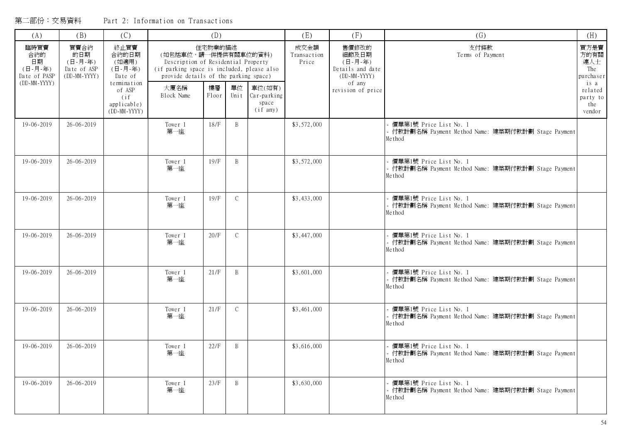|  |  | Part 2: Information on Transactions |  |  |
|--|--|-------------------------------------|--|--|
|--|--|-------------------------------------|--|--|

| (A)                                          | (B)                                                   | (C)                                                            |                                                                                                                                                    | (D)         |                |                                                 | (E)                          | (F)                                                           | (G)                                                                                       | (H)                                          |
|----------------------------------------------|-------------------------------------------------------|----------------------------------------------------------------|----------------------------------------------------------------------------------------------------------------------------------------------------|-------------|----------------|-------------------------------------------------|------------------------------|---------------------------------------------------------------|-------------------------------------------------------------------------------------------|----------------------------------------------|
| 臨時買賣<br>合約的<br>日期<br>(日-月-年)<br>Date of PASP | 買賣合約<br>的日期<br>(日-月-年)<br>Date of ASP<br>(DD-MM-YYYY) | 終止買賣<br>合約的日期<br>(如適用)<br>(日-月-年)<br>Date of                   | (如包括車位,請一併提供有關車位的資料)<br>Description of Residential Property<br>(if parking space is included, please also<br>provide details of the parking space) | 住宅物業的描述     |                |                                                 | 成交金額<br>Transaction<br>Price | 售價修改的<br>細節及日期<br>(日-月-年)<br>Details and date<br>(DD-MM-YYYY) | 支付條款<br>Terms of Payment                                                                  | 買方是賣<br>方的有關<br>連人士<br>The<br>purchaser      |
| (DD-MM-YYYY)                                 |                                                       | termination<br>of ASP<br>$(i$ f<br>applicable)<br>(DD-MM-YYYY) | 大廈名稱<br>Block Name                                                                                                                                 | 樓層<br>Floor | 單位<br>Unit     | 車位(如有)<br>Car-parking<br>space<br>$(i f \nany)$ |                              | of any<br>revision of price                                   |                                                                                           | is a<br>related<br>party to<br>the<br>vendor |
| 19-06-2019                                   | $26 - 06 - 2019$                                      |                                                                | Tower 1<br>第一座                                                                                                                                     | 18/F        | $\overline{B}$ |                                                 | \$3,572,000                  |                                                               | 價單第1號 Price List No. 1<br>- 付款計劃名稱 Payment Method Name: 建築期付款計劃 Stage Payment<br>Method   |                                              |
| 19-06-2019                                   | $26 - 06 - 2019$                                      |                                                                | Tower 1<br>第一座                                                                                                                                     | 19/F        | $\overline{B}$ |                                                 | \$3,572,000                  |                                                               | - 價單第1號 Price List No. 1<br>- 付款計劃名稱 Payment Method Name: 建築期付款計劃 Stage Payment<br>Method |                                              |
| 19-06-2019                                   | $26 - 06 - 2019$                                      |                                                                | Tower 1<br>第一座                                                                                                                                     | 19/F        | $\mathcal{C}$  |                                                 | \$3,433,000                  |                                                               | - 價單第1號 Price List No. 1<br>- 付款計劃名稱 Payment Method Name: 建築期付款計劃 Stage Payment<br>Method |                                              |
| 19-06-2019                                   | $26 - 06 - 2019$                                      |                                                                | Tower 1<br>第一座                                                                                                                                     | 20/F        | $\mathcal{C}$  |                                                 | \$3,447,000                  |                                                               | - 價單第1號 Price List No. 1<br>- 付款計劃名稱 Payment Method Name: 建築期付款計劃 Stage Payment<br>Method |                                              |
| 19-06-2019                                   | $26 - 06 - 2019$                                      |                                                                | Tower 1<br>第一座                                                                                                                                     | 21/F        | $\overline{B}$ |                                                 | \$3,601,000                  |                                                               | - 價單第1號 Price List No. 1<br>- 付款計劃名稱 Payment Method Name: 建築期付款計劃 Stage Payment<br>Method |                                              |
| 19-06-2019                                   | $26 - 06 - 2019$                                      |                                                                | Tower 1<br>第一座                                                                                                                                     | 21/F        | $\mathcal{C}$  |                                                 | \$3,461,000                  |                                                               | 價單第1號 Price List No. 1<br>- 付款計劃名稱 Payment Method Name: 建築期付款計劃 Stage Payment<br>Method   |                                              |
| 19-06-2019                                   | $26 - 06 - 2019$                                      |                                                                | Tower 1<br>第一座                                                                                                                                     | 22/F        | $\overline{B}$ |                                                 | \$3,616,000                  |                                                               | - 價單第1號 Price List No. 1<br>- 付款計劃名稱 Payment Method Name: 建築期付款計劃 Stage Payment<br>Method |                                              |
| 19-06-2019                                   | $26 - 06 - 2019$                                      |                                                                | Tower 1<br>第一座                                                                                                                                     | 23/F        | $\overline{B}$ |                                                 | \$3,630,000                  |                                                               | 價單第1號 Price List No. 1<br>- 付款計劃名稱 Payment Method Name: 建築期付款計劃 Stage Payment<br>Method   |                                              |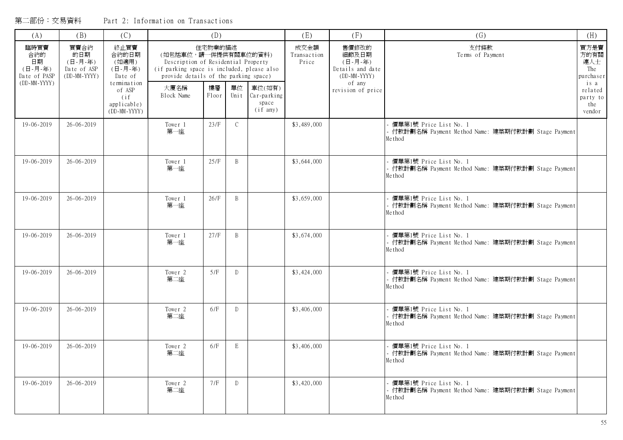|  |  | Part 2: Information on Transactions |  |  |
|--|--|-------------------------------------|--|--|
|--|--|-------------------------------------|--|--|

| (A)                                          | (B)                                                   | (C)                                                            |                                                                                                                                                               | (D)         |                |                                                 | (E)                                                           | (F)                         | (G)                                                                                       | (H)                                          |
|----------------------------------------------|-------------------------------------------------------|----------------------------------------------------------------|---------------------------------------------------------------------------------------------------------------------------------------------------------------|-------------|----------------|-------------------------------------------------|---------------------------------------------------------------|-----------------------------|-------------------------------------------------------------------------------------------|----------------------------------------------|
| 臨時買賣<br>合約的<br>日期<br>(日-月-年)<br>Date of PASP | 買賣合約<br>的日期<br>(日-月-年)<br>Date of ASP<br>(DD-MM-YYYY) | 終止買賣<br>合約的日期<br>(如適用)<br>(日-月-年)<br>Date of                   | 住宅物業的描述<br>(如包括車位,請一併提供有關車位的資料)<br>Description of Residential Property<br>(if parking space is included, please also<br>provide details of the parking space) |             |                | 成交金額<br>Transaction<br>Price                    | 售價修改的<br>細節及日期<br>(日-月-年)<br>Details and date<br>(DD-MM-YYYY) | 支付條款<br>Terms of Payment    | 買方是賣<br>方的有關<br>連人士<br>The<br>purchaser                                                   |                                              |
| (DD-MM-YYYY)                                 |                                                       | termination<br>of ASP<br>$(i$ f<br>applicable)<br>(DD-MM-YYYY) | 大廈名稱<br>Block Name                                                                                                                                            | 樓層<br>Floor | 單位<br>Unit     | 車位(如有)<br>Car-parking<br>space<br>$(i f \nany)$ |                                                               | of any<br>revision of price |                                                                                           | is a<br>related<br>party to<br>the<br>vendor |
| 19-06-2019                                   | $26 - 06 - 2019$                                      |                                                                | Tower 1<br>第一座                                                                                                                                                | 23/F        | $\mathcal{C}$  |                                                 | \$3,489,000                                                   |                             | 價單第1號 Price List No. 1<br>- 付款計劃名稱 Payment Method Name: 建築期付款計劃 Stage Payment<br>Method   |                                              |
| 19-06-2019                                   | $26 - 06 - 2019$                                      |                                                                | Tower 1<br>第一座                                                                                                                                                | 25/F        | $\overline{B}$ |                                                 | \$3,644,000                                                   |                             | - 價單第1號 Price List No. 1<br>- 付款計劃名稱 Payment Method Name: 建築期付款計劃 Stage Payment<br>Method |                                              |
| 19-06-2019                                   | $26 - 06 - 2019$                                      |                                                                | Tower 1<br>第一座                                                                                                                                                | 26/F        | $\overline{B}$ |                                                 | \$3,659,000                                                   |                             | - 價單第1號 Price List No. 1<br>- 付款計劃名稱 Payment Method Name: 建築期付款計劃 Stage Payment<br>Method |                                              |
| 19-06-2019                                   | $26 - 06 - 2019$                                      |                                                                | Tower 1<br>第一座                                                                                                                                                | 27/F        | B              |                                                 | \$3,674,000                                                   |                             | - 價單第1號 Price List No. 1<br>- 付款計劃名稱 Payment Method Name: 建築期付款計劃 Stage Payment<br>Method |                                              |
| 19-06-2019                                   | $26 - 06 - 2019$                                      |                                                                | Tower <sub>2</sub><br>第二座                                                                                                                                     | 5/F         | D              |                                                 | \$3,424,000                                                   |                             | - 價單第1號 Price List No. 1<br>- 付款計劃名稱 Payment Method Name: 建築期付款計劃 Stage Payment<br>Method |                                              |
| 19-06-2019                                   | $26 - 06 - 2019$                                      |                                                                | Tower 2<br>第二座                                                                                                                                                | 6/F         | D              |                                                 | \$3,406,000                                                   |                             | 價單第1號 Price List No. 1<br>- 付款計劃名稱 Payment Method Name: 建築期付款計劃 Stage Payment<br>Method   |                                              |
| 19-06-2019                                   | $26 - 06 - 2019$                                      |                                                                | Tower 2<br>第二座                                                                                                                                                | 6/F         | $\mathbf E$    |                                                 | \$3,406,000                                                   |                             | - 價單第1號 Price List No. 1<br>- 付款計劃名稱 Payment Method Name: 建築期付款計劃 Stage Payment<br>Method |                                              |
| 19-06-2019                                   | $26 - 06 - 2019$                                      |                                                                | Tower 2<br>第二座                                                                                                                                                | 7/F         | $\mathbb{D}$   |                                                 | \$3,420,000                                                   |                             | 價單第1號 Price List No. 1<br>- 付款計劃名稱 Payment Method Name: 建築期付款計劃 Stage Payment<br>Method   |                                              |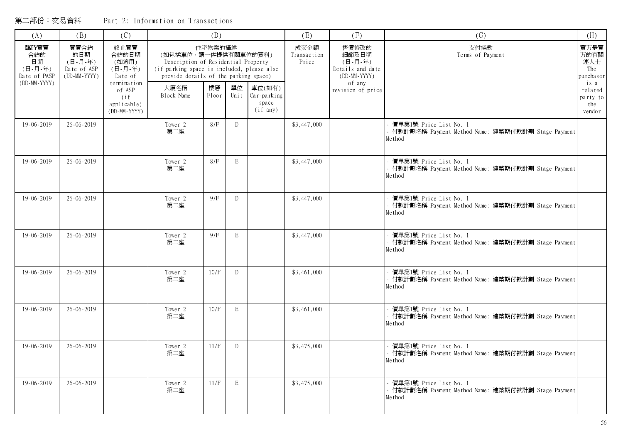| Part 2: Information on Transactions |  |  |  |  |  |  |  |
|-------------------------------------|--|--|--|--|--|--|--|
|-------------------------------------|--|--|--|--|--|--|--|

| (A)                                          | (B)                                                   | (C)                                                            |                                                                                                                                                               | (D)         |              |                                                 | (E)                                                           | (F)                         | (G)                                                                                       | (H)                                          |
|----------------------------------------------|-------------------------------------------------------|----------------------------------------------------------------|---------------------------------------------------------------------------------------------------------------------------------------------------------------|-------------|--------------|-------------------------------------------------|---------------------------------------------------------------|-----------------------------|-------------------------------------------------------------------------------------------|----------------------------------------------|
| 臨時買賣<br>合約的<br>日期<br>(日-月-年)<br>Date of PASP | 買賣合約<br>的日期<br>(日-月-年)<br>Date of ASP<br>(DD-MM-YYYY) | 終止買賣<br>合約的日期<br>(如適用)<br>(日-月-年)<br>Date of                   | 住宅物業的描述<br>(如包括車位,請一併提供有關車位的資料)<br>Description of Residential Property<br>(if parking space is included, please also<br>provide details of the parking space) |             |              | 成交金額<br>Transaction<br>Price                    | 售價修改的<br>細節及日期<br>(日-月-年)<br>Details and date<br>(DD-MM-YYYY) | 支付條款<br>Terms of Payment    | 買方是賣<br>方的有關<br>連人士<br>The<br>purchaser                                                   |                                              |
| (DD-MM-YYYY)                                 |                                                       | termination<br>of ASP<br>$(i$ f<br>applicable)<br>(DD-MM-YYYY) | 大廈名稱<br>Block Name                                                                                                                                            | 樓層<br>Floor | 單位<br>Unit   | 車位(如有)<br>Car-parking<br>space<br>$(i f \nany)$ |                                                               | of any<br>revision of price |                                                                                           | is a<br>related<br>party to<br>the<br>vendor |
| 19-06-2019                                   | $26 - 06 - 2019$                                      |                                                                | Tower 2<br>第二座                                                                                                                                                | 8/F         | D            |                                                 | \$3,447,000                                                   |                             | 價單第1號 Price List No. 1<br>- 付款計劃名稱 Payment Method Name: 建築期付款計劃 Stage Payment<br>Method   |                                              |
| 19-06-2019                                   | $26 - 06 - 2019$                                      |                                                                | Tower 2<br>第二座                                                                                                                                                | 8/F         | E            |                                                 | \$3,447,000                                                   |                             | - 價單第1號 Price List No. 1<br>- 付款計劃名稱 Payment Method Name: 建築期付款計劃 Stage Payment<br>Method |                                              |
| 19-06-2019                                   | $26 - 06 - 2019$                                      |                                                                | Tower 2<br>第二座                                                                                                                                                | 9/F         | $\mathbb{D}$ |                                                 | \$3,447,000                                                   |                             | - 價單第1號 Price List No. 1<br>- 付款計劃名稱 Payment Method Name: 建築期付款計劃 Stage Payment<br>Method |                                              |
| 19-06-2019                                   | $26 - 06 - 2019$                                      |                                                                | Tower 2<br>第二座                                                                                                                                                | 9/F         | E            |                                                 | \$3,447,000                                                   |                             | - 價單第1號 Price List No. 1<br>- 付款計劃名稱 Payment Method Name: 建築期付款計劃 Stage Payment<br>Method |                                              |
| 19-06-2019                                   | $26 - 06 - 2019$                                      |                                                                | Tower <sub>2</sub><br>第二座                                                                                                                                     | 10/F        | D            |                                                 | \$3,461,000                                                   |                             | - 價單第1號 Price List No. 1<br>- 付款計劃名稱 Payment Method Name: 建築期付款計劃 Stage Payment<br>Method |                                              |
| 19-06-2019                                   | $26 - 06 - 2019$                                      |                                                                | Tower 2<br>第二座                                                                                                                                                | 10/F        | E            |                                                 | \$3,461,000                                                   |                             | 價單第1號 Price List No. 1<br>- 付款計劃名稱 Payment Method Name: 建築期付款計劃 Stage Payment<br>Method   |                                              |
| 19-06-2019                                   | $26 - 06 - 2019$                                      |                                                                | Tower 2<br>第二座                                                                                                                                                | 11/F        | $\mathbb{D}$ |                                                 | \$3,475,000                                                   |                             | - 價單第1號 Price List No. 1<br>- 付款計劃名稱 Payment Method Name: 建築期付款計劃 Stage Payment<br>Method |                                              |
| 19-06-2019                                   | $26 - 06 - 2019$                                      |                                                                | Tower 2<br>第二座                                                                                                                                                | 11/F        | E            |                                                 | \$3,475,000                                                   |                             | 價單第1號 Price List No. 1<br>- 付款計劃名稱 Payment Method Name: 建築期付款計劃 Stage Payment<br>Method   |                                              |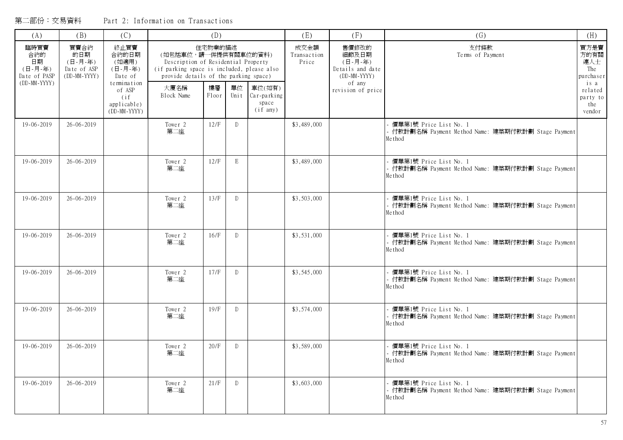| Part 2: Information on Transactions |  |  |  |  |  |  |  |
|-------------------------------------|--|--|--|--|--|--|--|
|-------------------------------------|--|--|--|--|--|--|--|

| (A)                                          | (B)                                                   | (C)                                                            |                                                                                                                                                               | (D)         |              |                                                 | (E)                                                           | (F)                         | (G)                                                                                       | (H)                                          |
|----------------------------------------------|-------------------------------------------------------|----------------------------------------------------------------|---------------------------------------------------------------------------------------------------------------------------------------------------------------|-------------|--------------|-------------------------------------------------|---------------------------------------------------------------|-----------------------------|-------------------------------------------------------------------------------------------|----------------------------------------------|
| 臨時買賣<br>合約的<br>日期<br>(日-月-年)<br>Date of PASP | 買賣合約<br>的日期<br>(日-月-年)<br>Date of ASP<br>(DD-MM-YYYY) | 終止買賣<br>合約的日期<br>(如適用)<br>(日-月-年)<br>Date of                   | 住宅物業的描述<br>(如包括車位,請一併提供有關車位的資料)<br>Description of Residential Property<br>(if parking space is included, please also<br>provide details of the parking space) |             |              | 成交金額<br>Transaction<br>Price                    | 售價修改的<br>細節及日期<br>(日-月-年)<br>Details and date<br>(DD-MM-YYYY) | 支付條款<br>Terms of Payment    | 買方是賣<br>方的有關<br>連人士<br>The<br>purchaser                                                   |                                              |
| (DD-MM-YYYY)                                 |                                                       | termination<br>of ASP<br>$(i$ f<br>applicable)<br>(DD-MM-YYYY) | 大廈名稱<br>Block Name                                                                                                                                            | 樓層<br>Floor | 單位<br>Unit   | 車位(如有)<br>Car-parking<br>space<br>$(i f \nany)$ |                                                               | of any<br>revision of price |                                                                                           | is a<br>related<br>party to<br>the<br>vendor |
| 19-06-2019                                   | $26 - 06 - 2019$                                      |                                                                | Tower 2<br>第二座                                                                                                                                                | 12/F        | D            |                                                 | \$3,489,000                                                   |                             | 價單第1號 Price List No. 1<br>- 付款計劃名稱 Payment Method Name: 建築期付款計劃 Stage Payment<br>Method   |                                              |
| 19-06-2019                                   | $26 - 06 - 2019$                                      |                                                                | Tower 2<br>第二座                                                                                                                                                | 12/F        | E            |                                                 | \$3,489,000                                                   |                             | - 價單第1號 Price List No. 1<br>- 付款計劃名稱 Payment Method Name: 建築期付款計劃 Stage Payment<br>Method |                                              |
| 19-06-2019                                   | $26 - 06 - 2019$                                      |                                                                | Tower 2<br>第二座                                                                                                                                                | 13/F        | $\mathbb{D}$ |                                                 | \$3,503,000                                                   |                             | - 價單第1號 Price List No. 1<br>- 付款計劃名稱 Payment Method Name: 建築期付款計劃 Stage Payment<br>Method |                                              |
| 19-06-2019                                   | $26 - 06 - 2019$                                      |                                                                | Tower 2<br>第二座                                                                                                                                                | 16/F        | $\mathbb{D}$ |                                                 | \$3,531,000                                                   |                             | - 價單第1號 Price List No. 1<br>- 付款計劃名稱 Payment Method Name: 建築期付款計劃 Stage Payment<br>Method |                                              |
| 19-06-2019                                   | $26 - 06 - 2019$                                      |                                                                | Tower <sub>2</sub><br>第二座                                                                                                                                     | 17/F        | D            |                                                 | \$3,545,000                                                   |                             | - 價單第1號 Price List No. 1<br>- 付款計劃名稱 Payment Method Name: 建築期付款計劃 Stage Payment<br>Method |                                              |
| 19-06-2019                                   | $26 - 06 - 2019$                                      |                                                                | Tower 2<br>第二座                                                                                                                                                | 19/F        | D            |                                                 | \$3,574,000                                                   |                             | 價單第1號 Price List No. 1<br>- 付款計劃名稱 Payment Method Name: 建築期付款計劃 Stage Payment<br>Method   |                                              |
| 19-06-2019                                   | $26 - 06 - 2019$                                      |                                                                | Tower 2<br>第二座                                                                                                                                                | 20/F        | $\mathbb{D}$ |                                                 | \$3,589,000                                                   |                             | - 價單第1號 Price List No. 1<br>- 付款計劃名稱 Payment Method Name: 建築期付款計劃 Stage Payment<br>Method |                                              |
| 19-06-2019                                   | $26 - 06 - 2019$                                      |                                                                | Tower 2<br>第二座                                                                                                                                                | 21/F        | $\mathbb{D}$ |                                                 | \$3,603,000                                                   |                             | 價單第1號 Price List No. 1<br>- 付款計劃名稱 Payment Method Name: 建築期付款計劃 Stage Payment<br>Method   |                                              |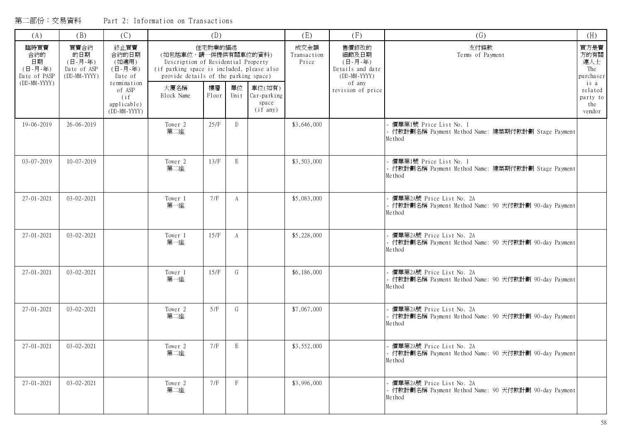| Part 2: Information on Transactions |
|-------------------------------------|
|-------------------------------------|

| (A)                                                          | (B)                                                   | (C)                                                         |                                                                                                                                                               | (D)         |               |                                                 | (E)                          | (F)                                                                     | (G)                                                                                           | (H)                                             |
|--------------------------------------------------------------|-------------------------------------------------------|-------------------------------------------------------------|---------------------------------------------------------------------------------------------------------------------------------------------------------------|-------------|---------------|-------------------------------------------------|------------------------------|-------------------------------------------------------------------------|-----------------------------------------------------------------------------------------------|-------------------------------------------------|
| 臨時買賣<br>合約的<br>日期<br>(日-月-年)<br>Date of PASP<br>(DD-MM-YYYY) | 買賣合約<br>的日期<br>(日-月-年)<br>Date of ASP<br>(DD-MM-YYYY) | 終止買賣<br>合約的日期<br>(如適用)<br>(日-月-年)<br>Date of<br>termination | 住宅物業的描述<br>(如包括車位,請一併提供有關車位的資料)<br>Description of Residential Property<br>(if parking space is included, please also<br>provide details of the parking space) |             |               |                                                 | 成交金額<br>Transaction<br>Price | 售價修改的<br>細節及日期<br>(日-月-年)<br>Details and date<br>(DD-MM-YYYY)<br>of any | 支付條款<br>Terms of Payment                                                                      | 買方是賣<br>方的有關<br>連人士<br>The<br>purchaser<br>is a |
|                                                              |                                                       | of ASP<br>(i f)<br>applicable)<br>(DD-MM-YYYY)              | 大廈名稱<br>Block Name                                                                                                                                            | 樓層<br>Floor | 單位<br>Unit    | 車位(如有)<br>Car-parking<br>space<br>$(i f \nany)$ |                              | revision of price                                                       |                                                                                               | related<br>party to<br>the<br>vendor            |
| 19-06-2019                                                   | $26 - 06 - 2019$                                      |                                                             | Tower 2<br>第二座                                                                                                                                                | 25/F        | D             |                                                 | \$3,646,000                  |                                                                         | 價單第1號 Price List No. 1<br>- 付款計劃名稱 Payment Method Name: 建築期付款計劃 Stage Payment<br>Method       |                                                 |
| $03 - 07 - 2019$                                             | $10 - 07 - 2019$                                      |                                                             | Tower 2<br>第二座                                                                                                                                                | 13/F        | E             |                                                 | \$3,503,000                  |                                                                         | - 價單第1號 Price List No. 1<br>- 付款計劃名稱 Payment Method Name: 建築期付款計劃 Stage Payment<br>Method     |                                                 |
| $27 - 01 - 2021$                                             | $03 - 02 - 2021$                                      |                                                             | Tower 1<br>第一座                                                                                                                                                | 7/F         | $\mathbf{A}$  |                                                 | \$5,083,000                  |                                                                         | 價單第2A號 Price List No. 2A<br>- 付款計劃名稱 Payment Method Name: 90 天付款計劃 90-day Payment<br>Method   |                                                 |
| $27 - 01 - 2021$                                             | $03 - 02 - 2021$                                      |                                                             | Tower 1<br>第一座                                                                                                                                                | 15/F        | A             |                                                 | \$5,228,000                  |                                                                         | - 價單第2A號 Price List No. 2A<br>- 付款計劃名稱 Payment Method Name: 90 天付款計劃 90-day Payment<br>Method |                                                 |
| $27 - 01 - 2021$                                             | $03 - 02 - 2021$                                      |                                                             | Tower 1<br>第一座                                                                                                                                                | 15/F        | $\mathcal G$  |                                                 | \$6,186,000                  |                                                                         | - 價單第2A號 Price List No. 2A<br>- 付款計劃名稱 Payment Method Name: 90 天付款計劃 90-day Payment<br>Method |                                                 |
| $27 - 01 - 2021$                                             | $03 - 02 - 2021$                                      |                                                             | Tower 2<br>第二座                                                                                                                                                | 5/F         | $\mathcal{G}$ |                                                 | \$7,067,000                  |                                                                         | 便單第2A號 Price List No. 2A<br>- 付款計劃名稱 Payment Method Name: 90 天付款計劃 90-day Payment<br>Method   |                                                 |
| $27 - 01 - 2021$                                             | $03 - 02 - 2021$                                      |                                                             | Tower 2<br>第二座                                                                                                                                                | 7/F         | $\mathbf E$   |                                                 | \$3,552,000                  |                                                                         | - 價單第2A號 Price List No. 2A<br>- 付款計劃名稱 Payment Method Name: 90 天付款計劃 90-day Payment<br>Method |                                                 |
| $27 - 01 - 2021$                                             | $03 - 02 - 2021$                                      |                                                             | Tower <sub>2</sub><br>第二座                                                                                                                                     | 7/F         | F             |                                                 | \$3,996,000                  |                                                                         | 價單第2A號 Price List No. 2A<br>- 付款計劃名稱 Payment Method Name: 90 天付款計劃 90-day Payment<br>Method   |                                                 |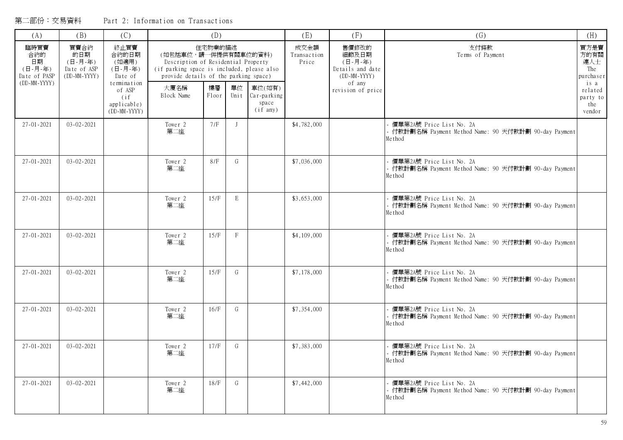| Part 2: Information on Transactions |
|-------------------------------------|
|-------------------------------------|

| (A)                                                          | (B)                                                     | (C)                                                                                                                                                                                                           |                           | (D)         |               |                                                 | (E)                          | (F)                                                             | (G)                                                                                           | (H)                                          |
|--------------------------------------------------------------|---------------------------------------------------------|---------------------------------------------------------------------------------------------------------------------------------------------------------------------------------------------------------------|---------------------------|-------------|---------------|-------------------------------------------------|------------------------------|-----------------------------------------------------------------|-----------------------------------------------------------------------------------------------|----------------------------------------------|
| 臨時買賣<br>合約的<br>日期<br>(日-月-年)<br>Date of PASP<br>(DD-MM-YYYY) | 買賣合約<br>的日期<br>(日-月-年)<br>Date of ASP<br>$(DD-MM-YYYY)$ | 住宅物業的描述<br>終止買賣<br>合約的日期<br>(如包括車位,請一併提供有關車位的資料)<br>(如適用)<br>Description of Residential Property<br>(日-月-年)<br>(if parking space is included, please also<br>provide details of the parking space)<br>Date of |                           |             |               |                                                 | 成交金額<br>Transaction<br>Price | 售價修改的<br>細節及日期<br>(日-月-年)<br>Details and date<br>$(DD-MM-YYYY)$ | 支付條款<br>Terms of Payment                                                                      | 買方是賣<br>方的有關<br>連人士<br>The<br>purchaser      |
|                                                              |                                                         | termination<br>of ASP<br>$(i$ f<br>applicable)<br>(DD-MM-YYYY)                                                                                                                                                | 大廈名稱<br>Block Name        | 樓層<br>Floor | 單位<br>Unit    | 車位(如有)<br>Car-parking<br>space<br>$(i f \nany)$ |                              | of any<br>revision of price                                     |                                                                                               | is a<br>related<br>party to<br>the<br>vendor |
| $27 - 01 - 2021$                                             | $03 - 02 - 2021$                                        |                                                                                                                                                                                                               | Tower 2<br>第二座            | 7/F         | $\mathbf{J}$  |                                                 | \$4,782,000                  |                                                                 | 價單第2A號 Price List No. 2A<br>- 付款計劃名稱 Payment Method Name: 90 天付款計劃 90-day Payment<br>Method   |                                              |
| $27 - 01 - 2021$                                             | $03 - 02 - 2021$                                        |                                                                                                                                                                                                               | Tower 2<br>第二座            | 8/F         | $\mathcal{G}$ |                                                 | \$7,036,000                  |                                                                 | - 價單第2A號 Price List No. 2A<br>- 付款計劃名稱 Payment Method Name: 90 天付款計劃 90-day Payment<br>Method |                                              |
| $27 - 01 - 2021$                                             | $03 - 02 - 2021$                                        |                                                                                                                                                                                                               | Tower <sub>2</sub><br>第二座 | 15/F        | E             |                                                 | \$3,653,000                  |                                                                 | 價單第2A號 Price List No. 2A<br>- 付款計劃名稱 Payment Method Name: 90 天付款計劃 90-day Payment<br>Method   |                                              |
| $27 - 01 - 2021$                                             | $03 - 02 - 2021$                                        |                                                                                                                                                                                                               | Tower <sub>2</sub><br>第二座 | 15/F        | F             |                                                 | \$4,109,000                  |                                                                 | - 價單第2A號 Price List No. 2A<br>- 付款計劃名稱 Payment Method Name: 90 天付款計劃 90-day Payment<br>Method |                                              |
| $27 - 01 - 2021$                                             | $03 - 02 - 2021$                                        |                                                                                                                                                                                                               | Tower <sub>2</sub><br>第二座 | 15/F        | G.            |                                                 | \$7,178,000                  |                                                                 | - 價單第2A號 Price List No. 2A<br>- 付款計劃名稱 Payment Method Name: 90 天付款計劃 90-day Payment<br>Method |                                              |
| $27 - 01 - 2021$                                             | $03 - 02 - 2021$                                        |                                                                                                                                                                                                               | Tower 2<br>第二座            | 16/F        | $\mathcal{G}$ |                                                 | \$7,354,000                  |                                                                 | 價單第2A號 Price List No. 2A<br>- 付款計劃名稱 Payment Method Name: 90 天付款計劃 90-day Payment<br>Method   |                                              |
| $27 - 01 - 2021$                                             | $03 - 02 - 2021$                                        |                                                                                                                                                                                                               | Tower 2<br>第二座            | 17/F        | $\mathcal{G}$ |                                                 | \$7,383,000                  |                                                                 | - 價單第2A號 Price List No. 2A<br>- 付款計劃名稱 Payment Method Name: 90 天付款計劃 90-day Payment<br>Method |                                              |
| $27 - 01 - 2021$                                             | $03 - 02 - 2021$                                        |                                                                                                                                                                                                               | Tower 2<br>第二座            | 18/F        | $\mathcal{G}$ |                                                 | \$7,442,000                  |                                                                 | 價單第2A號 Price List No. 2A<br>- 付款計劃名稱 Payment Method Name: 90 天付款計劃 90-day Payment<br>Method   |                                              |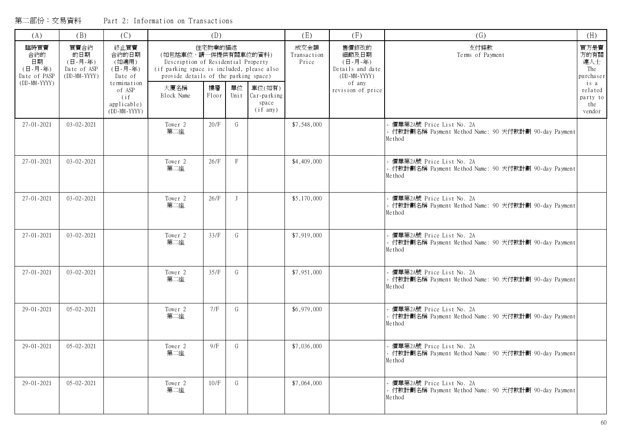| Part 2: Information on Transactions |
|-------------------------------------|
|-------------------------------------|

| (A)                                          | (B)                                                   | (C)                                                            |                                                                                                                                                               | (D)         |               |                                                 | (E)                          | (F)                                                           | (G)                                                                                           | (H)                                          |
|----------------------------------------------|-------------------------------------------------------|----------------------------------------------------------------|---------------------------------------------------------------------------------------------------------------------------------------------------------------|-------------|---------------|-------------------------------------------------|------------------------------|---------------------------------------------------------------|-----------------------------------------------------------------------------------------------|----------------------------------------------|
| 臨時買賣<br>合約的<br>日期<br>(日-月-年)<br>Date of PASP | 買賣合約<br>的日期<br>(日-月-年)<br>Date of ASP<br>(DD-MM-YYYY) | 終止買賣<br>合約的日期<br>(如適用)<br>(日-月-年)<br>Date of                   | 住宅物業的描述<br>(如包括車位,請一併提供有關車位的資料)<br>Description of Residential Property<br>(if parking space is included, please also<br>provide details of the parking space) |             |               |                                                 | 成交金額<br>Transaction<br>Price | 售價修改的<br>細節及日期<br>(日-月-年)<br>Details and date<br>(DD-MM-YYYY) | 支付條款<br>Terms of Payment                                                                      | 買方是賣<br>方的有關<br>連人士<br>The<br>purchaser      |
| (DD-MM-YYYY)                                 |                                                       | termination<br>of ASP<br>$(i$ f<br>applicable)<br>(DD-MM-YYYY) | 大廈名稱<br>Block Name                                                                                                                                            | 樓層<br>Floor | 單位<br>Unit    | 車位(如有)<br>Car-parking<br>space<br>$(i f \nany)$ |                              | of any<br>revision of price                                   |                                                                                               | is a<br>related<br>party to<br>the<br>vendor |
| $27 - 01 - 2021$                             | $03 - 02 - 2021$                                      |                                                                | Tower 2<br>第二座                                                                                                                                                | 20/F        | $\mathcal{G}$ |                                                 | \$7,548,000                  |                                                               | 價單第2A號 Price List No. 2A<br>- 付款計劃名稱 Payment Method Name: 90 天付款計劃 90-day Payment<br>Method   |                                              |
| $27 - 01 - 2021$                             | $03 - 02 - 2021$                                      |                                                                | Tower 2<br>第二座                                                                                                                                                | 26/F        | F             |                                                 | \$4,409,000                  |                                                               | - 價單第2A號 Price List No. 2A<br>- 付款計劃名稱 Payment Method Name: 90 天付款計劃 90-day Payment<br>Method |                                              |
| $27 - 01 - 2021$                             | $03 - 02 - 2021$                                      |                                                                | Tower 2<br>第二座                                                                                                                                                | 26/F        | $\mathsf{L}$  |                                                 | \$5,170,000                  |                                                               | 價單第2A號 Price List No. 2A<br>- 付款計劃名稱 Payment Method Name: 90 天付款計劃 90-day Payment<br>Method   |                                              |
| $27 - 01 - 2021$                             | $03 - 02 - 2021$                                      |                                                                | Tower 2<br>第二座                                                                                                                                                | 33/F        | $\mathcal{G}$ |                                                 | \$7,919,000                  |                                                               | - 價單第2A號 Price List No. 2A<br>- 付款計劃名稱 Payment Method Name: 90 天付款計劃 90-day Payment<br>Method |                                              |
| $27 - 01 - 2021$                             | $03 - 02 - 2021$                                      |                                                                | Tower 2<br>第二座                                                                                                                                                | 35/F        | $\mathcal{G}$ |                                                 | \$7,951,000                  |                                                               | 價單第2A號 Price List No. 2A<br>- 付款計劃名稱 Payment Method Name: 90 天付款計劃 90-day Payment<br>Method   |                                              |
| $29 - 01 - 2021$                             | $05 - 02 - 2021$                                      |                                                                | Tower 2<br>第二座                                                                                                                                                | 7/F         | G             |                                                 | \$6,979,000                  |                                                               | - 價單第2A號 Price List No. 2A<br>- 付款計劃名稱 Payment Method Name: 90 天付款計劃 90-day Payment<br>Method |                                              |
| $29 - 01 - 2021$                             | $05 - 02 - 2021$                                      |                                                                | Tower 2<br>第二座                                                                                                                                                | 9/F         | $\mathcal{G}$ |                                                 | \$7,036,000                  |                                                               | - 價單第2A號 Price List No. 2A<br>- 付款計劃名稱 Payment Method Name: 90 天付款計劃 90-day Payment<br>Method |                                              |
| $29 - 01 - 2021$                             | $05 - 02 - 2021$                                      |                                                                | Tower 2<br>第二座                                                                                                                                                | 10/F        | $\mathcal{G}$ |                                                 | \$7,064,000                  |                                                               | 價單第2A號 Price List No. 2A<br>- 付款計劃名稱 Payment Method Name: 90 天付款計劃 90-day Payment<br>Method   |                                              |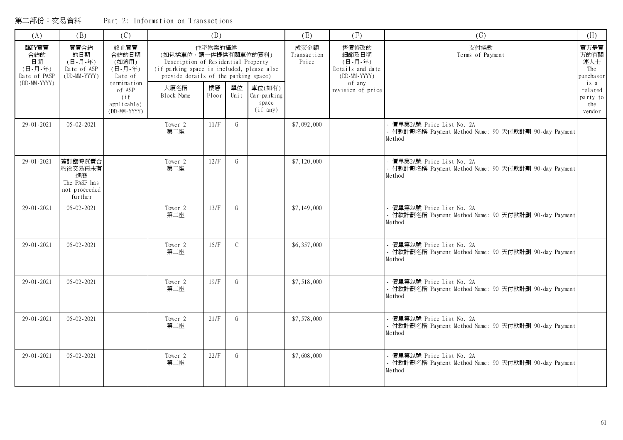| Part 2: Information on Transactions |
|-------------------------------------|
|-------------------------------------|

| (A)                                                          | (B)                                                                  | (C)                                                                                                           | (D)                                                                                                                                                           |             |               |                                                 | (E)                                                             | (F)                         | (G)                                                                                           | (H)                                          |
|--------------------------------------------------------------|----------------------------------------------------------------------|---------------------------------------------------------------------------------------------------------------|---------------------------------------------------------------------------------------------------------------------------------------------------------------|-------------|---------------|-------------------------------------------------|-----------------------------------------------------------------|-----------------------------|-----------------------------------------------------------------------------------------------|----------------------------------------------|
| 臨時買賣<br>合約的<br>日期<br>(日-月-年)<br>Date of PASP<br>(DD-MM-YYYY) | 買賣合約<br>的日期<br>(日-月-年)<br>Date of ASP<br>(DD-MM-YYYY)                | 終止買賣<br>合約的日期<br>(如適用)<br>(日-月-年)<br>Date of<br>termination<br>of ASP<br>(i f)<br>applicable)<br>(DD-MM-YYYY) | 住宅物業的描述<br>(如包括車位,請一併提供有關車位的資料)<br>Description of Residential Property<br>(if parking space is included, please also<br>provide details of the parking space) |             |               | 成交金額<br>Transaction<br>Price                    | 售價修改的<br>細節及日期<br>(日-月-年)<br>Details and date<br>$(DD-MM-YYYY)$ | 支付條款<br>Terms of Payment    | 買方是賣<br>方的有關<br>連人士<br>The<br>purchaser                                                       |                                              |
|                                                              |                                                                      |                                                                                                               | 大廈名稱<br>Block Name                                                                                                                                            | 樓層<br>Floor | 單位<br>Unit    | 車位(如有)<br>Car-parking<br>space<br>$(i f \nany)$ |                                                                 | of any<br>revision of price |                                                                                               | is a<br>related<br>party to<br>the<br>vendor |
| $29 - 01 - 2021$                                             | $05 - 02 - 2021$                                                     |                                                                                                               | Tower <sub>2</sub><br>第二座                                                                                                                                     | 11/F        | G             |                                                 | \$7,092,000                                                     |                             | 價單第2A號 Price List No. 2A<br>- 付款計劃名稱 Payment Method Name: 90 天付款計劃 90-day Payment<br>Method   |                                              |
| $29 - 01 - 2021$                                             | 簽訂臨時買賣合<br>約後交易再未有<br>進展<br>The PASP has<br>not proceeded<br>further |                                                                                                               | Tower 2<br>第二座                                                                                                                                                | 12/F        | $\mathcal{G}$ |                                                 | \$7,120,000                                                     |                             | - 價單第2A號 Price List No. 2A<br>- 付款計劃名稱 Payment Method Name: 90 天付款計劃 90-day Payment<br>Method |                                              |
| 29-01-2021                                                   | $05 - 02 - 2021$                                                     |                                                                                                               | Tower 2<br>第二座                                                                                                                                                | 13/F        | $\mathcal{G}$ |                                                 | \$7,149,000                                                     |                             | 價單第2A號 Price List No. 2A<br>- 付款計劃名稱 Payment Method Name: 90 天付款計劃 90-day Payment<br>Method   |                                              |
| $29 - 01 - 2021$                                             | $05 - 02 - 2021$                                                     |                                                                                                               | Tower 2<br>第二座                                                                                                                                                | 15/F        | $\mathcal{C}$ |                                                 | \$6,357,000                                                     |                             | - 價單第2A號 Price List No. 2A<br>- 付款計劃名稱 Payment Method Name: 90 天付款計劃 90-day Payment<br>Method |                                              |
| $29 - 01 - 2021$                                             | $05 - 02 - 2021$                                                     |                                                                                                               | Tower 2<br>第二座                                                                                                                                                | 19/F        | $\mathcal{G}$ |                                                 | \$7,518,000                                                     |                             | 價單第2A號 Price List No. 2A<br>- 付款計劃名稱 Payment Method Name: 90 天付款計劃 90-day Payment<br>Method   |                                              |
| $29 - 01 - 2021$                                             | $05 - 02 - 2021$                                                     |                                                                                                               | Tower 2<br>第二座                                                                                                                                                | 21/F        | $\mathcal{G}$ |                                                 | \$7,578,000                                                     |                             | - 價單第2A號 Price List No. 2A<br>- 付款計劃名稱 Payment Method Name: 90 天付款計劃 90-day Payment<br>Method |                                              |
| $29 - 01 - 2021$                                             | $05 - 02 - 2021$                                                     |                                                                                                               | Tower 2<br>第二座                                                                                                                                                | 22/F        | G             |                                                 | \$7,608,000                                                     |                             | 價單第2A號 Price List No. 2A<br>- 付款計劃名稱 Payment Method Name: 90 天付款計劃 90-day Payment<br>Method   |                                              |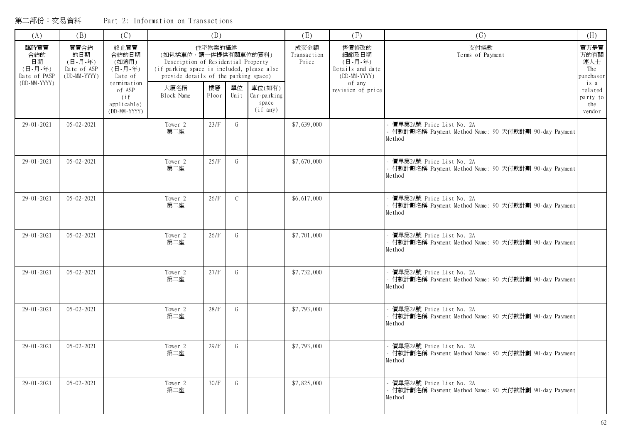| Part 2: Information on Transactions |
|-------------------------------------|
|-------------------------------------|

| (A)                                          | (B)                                                   | (C)                                                            | (D)                                                                                                                                                |             |               |                                                 | (E)                          | (F)                                                           | (G)                                                                                           | (H)                                          |
|----------------------------------------------|-------------------------------------------------------|----------------------------------------------------------------|----------------------------------------------------------------------------------------------------------------------------------------------------|-------------|---------------|-------------------------------------------------|------------------------------|---------------------------------------------------------------|-----------------------------------------------------------------------------------------------|----------------------------------------------|
| 臨時買賣<br>合約的<br>日期<br>(日-月-年)<br>Date of PASP | 買賣合約<br>的日期<br>(日-月-年)<br>Date of ASP<br>(DD-MM-YYYY) | 終止買賣<br>合約的日期<br>(如適用)<br>(日-月-年)<br>Date of                   | (如包括車位,請一併提供有關車位的資料)<br>Description of Residential Property<br>(if parking space is included, please also<br>provide details of the parking space) | 住宅物業的描述     |               |                                                 | 成交金額<br>Transaction<br>Price | 售價修改的<br>細節及日期<br>(日-月-年)<br>Details and date<br>(DD-MM-YYYY) | 支付條款<br>Terms of Payment                                                                      | 買方是賣<br>方的有關<br>連人士<br>The<br>purchaser      |
| (DD-MM-YYYY)                                 |                                                       | termination<br>of ASP<br>$(i$ f<br>applicable)<br>(DD-MM-YYYY) | 大廈名稱<br>Block Name                                                                                                                                 | 樓層<br>Floor | 單位<br>Unit    | 車位(如有)<br>Car-parking<br>space<br>$(i f \nany)$ |                              | of any<br>revision of price                                   |                                                                                               | is a<br>related<br>party to<br>the<br>vendor |
| $29 - 01 - 2021$                             | $05 - 02 - 2021$                                      |                                                                | Tower 2<br>第二座                                                                                                                                     | 23/F        | $\mathcal{G}$ |                                                 | \$7,639,000                  |                                                               | 價單第2A號 Price List No. 2A<br>- 付款計劃名稱 Payment Method Name: 90 天付款計劃 90-day Payment<br>Method   |                                              |
| $29 - 01 - 2021$                             | $05 - 02 - 2021$                                      |                                                                | Tower 2<br>第二座                                                                                                                                     | 25/F        | $\mathcal{G}$ |                                                 | \$7,670,000                  |                                                               | - 價單第2A號 Price List No. 2A<br>- 付款計劃名稱 Payment Method Name: 90 天付款計劃 90-day Payment<br>Method |                                              |
| 29-01-2021                                   | $05 - 02 - 2021$                                      |                                                                | Tower 2<br>第二座                                                                                                                                     | 26/F        | $\mathcal{C}$ |                                                 | \$6,617,000                  |                                                               | 價單第2A號 Price List No. 2A<br>- 付款計劃名稱 Payment Method Name: 90 天付款計劃 90-day Payment<br>Method   |                                              |
| $29 - 01 - 2021$                             | $05 - 02 - 2021$                                      |                                                                | Tower 2<br>第二座                                                                                                                                     | 26/F        | $\mathcal{G}$ |                                                 | \$7,701,000                  |                                                               | - 價單第2A號 Price List No. 2A<br>- 付款計劃名稱 Payment Method Name: 90 天付款計劃 90-day Payment<br>Method |                                              |
| 29-01-2021                                   | $05 - 02 - 2021$                                      |                                                                | Tower 2<br>第二座                                                                                                                                     | 27/F        | $\mathcal{G}$ |                                                 | \$7,732,000                  |                                                               | 價單第2A號 Price List No. 2A<br>- 付款計劃名稱 Payment Method Name: 90 天付款計劃 90-day Payment<br>Method   |                                              |
| $29 - 01 - 2021$                             | $05 - 02 - 2021$                                      |                                                                | Tower 2<br>第二座                                                                                                                                     | 28/F        | $\mathcal{G}$ |                                                 | \$7,793,000                  |                                                               | - 價單第2A號 Price List No. 2A<br>- 付款計劃名稱 Payment Method Name: 90 天付款計劃 90-day Payment<br>Method |                                              |
| $29 - 01 - 2021$                             | $05 - 02 - 2021$                                      |                                                                | Tower 2<br>第二座                                                                                                                                     | 29/F        | $\mathcal{G}$ |                                                 | \$7,793,000                  |                                                               | - 價單第2A號 Price List No. 2A<br>- 付款計劃名稱 Payment Method Name: 90 天付款計劃 90-day Payment<br>Method |                                              |
| $29 - 01 - 2021$                             | $05 - 02 - 2021$                                      |                                                                | Tower 2<br>第二座                                                                                                                                     | 30/F        | $\mathcal{G}$ |                                                 | \$7,825,000                  |                                                               | 價單第2A號 Price List No. 2A<br>- 付款計劃名稱 Payment Method Name: 90 天付款計劃 90-day Payment<br>Method   |                                              |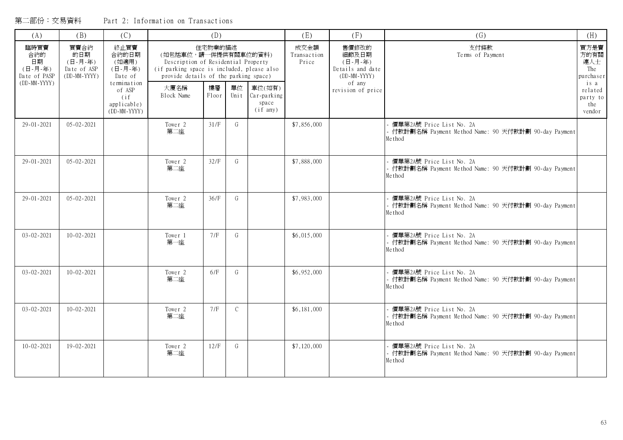|  | Part 2: Information on Transactions |  |
|--|-------------------------------------|--|
|  |                                     |  |

| (A)                                          | (B)                                                   | (C)                                                            | (D)                       |             |                                                                                                                                                    |                                            | (E)                          | (F)                                                           | (G)                                                                                           | (H)                                          |
|----------------------------------------------|-------------------------------------------------------|----------------------------------------------------------------|---------------------------|-------------|----------------------------------------------------------------------------------------------------------------------------------------------------|--------------------------------------------|------------------------------|---------------------------------------------------------------|-----------------------------------------------------------------------------------------------|----------------------------------------------|
| 臨時買賣<br>合約的<br>日期<br>(日-月-年)<br>Date of PASP | 買賣合約<br>的日期<br>(日-月-年)<br>Date of ASP<br>(DD-MM-YYYY) | 終止買賣<br>合約的日期<br>(如適用)<br>(日-月-年)<br>Date of                   |                           | 住宅物業的描述     | (如包括車位,請一併提供有關車位的資料)<br>Description of Residential Property<br>(if parking space is included, please also<br>provide details of the parking space) |                                            | 成交金額<br>Transaction<br>Price | 售價修改的<br>細節及日期<br>(日-月-年)<br>Details and date<br>(DD-MM-YYYY) | 支付條款<br>Terms of Payment                                                                      | 買方是賣<br>方的有關<br>連人士<br>The<br>purchaser      |
| (DD-MM-YYYY)                                 |                                                       | termination<br>of ASP<br>$(i$ f<br>applicable)<br>(DD-MM-YYYY) | 大廈名稱<br>Block Name        | 樓層<br>Floor | 單位<br>Unit                                                                                                                                         | 車位(如有)<br>Car-parking<br>space<br>(if any) |                              | of any<br>revision of price                                   |                                                                                               | is a<br>related<br>party to<br>the<br>vendor |
| $29 - 01 - 2021$                             | $05 - 02 - 2021$                                      |                                                                | Tower 2<br>第二座            | 31/F        | $\mathcal{G}$                                                                                                                                      |                                            | \$7,856,000                  |                                                               | 價單第2A號 Price List No. 2A<br>- 付款計劃名稱 Payment Method Name: 90 天付款計劃 90-day Payment<br>Method   |                                              |
| $29 - 01 - 2021$                             | $05 - 02 - 2021$                                      |                                                                | Tower 2<br>第二座            | 32/F        | $\mathcal{G}$                                                                                                                                      |                                            | \$7,888,000                  |                                                               | 價單第2A號 Price List No. 2A<br>- 付款計劃名稱 Payment Method Name: 90 天付款計劃 90-day Payment<br>Method   |                                              |
| $29 - 01 - 2021$                             | $05 - 02 - 2021$                                      |                                                                | Tower <sub>2</sub><br>第二座 | 36/F        | G                                                                                                                                                  |                                            | \$7,983,000                  |                                                               | 價單第2A號 Price List No. 2A<br>- 付款計劃名稱 Payment Method Name: 90 天付款計劃 90-day Payment<br>Method   |                                              |
| $03 - 02 - 2021$                             | $10 - 02 - 2021$                                      |                                                                | Tower 1<br>第一座            | 7/F         | G                                                                                                                                                  |                                            | \$6,015,000                  |                                                               | 價單第2A號 Price List No. 2A<br>- 付款計劃名稱 Payment Method Name: 90 天付款計劃 90-day Payment<br>Method   |                                              |
| $03 - 02 - 2021$                             | $10 - 02 - 2021$                                      |                                                                | Tower 2<br>第二座            | 6/F         | G                                                                                                                                                  |                                            | \$6,952,000                  |                                                               | - 價單第2A號 Price List No. 2A<br>- 付款計劃名稱 Payment Method Name: 90 天付款計劃 90-day Payment<br>Method |                                              |
| $03 - 02 - 2021$                             | $10 - 02 - 2021$                                      |                                                                | Tower <sub>2</sub><br>第二座 | 7/F         | $\mathcal{C}$                                                                                                                                      |                                            | \$6,181,000                  |                                                               | - 價單第2A號 Price List No. 2A<br>- 付款計劃名稱 Payment Method Name: 90 天付款計劃 90-day Payment<br>Method |                                              |
| $10 - 02 - 2021$                             | $19 - 02 - 2021$                                      |                                                                | Tower <sub>2</sub><br>第二座 | 12/F        | $\mathcal{G}$                                                                                                                                      |                                            | \$7,120,000                  |                                                               | - 價單第2A號 Price List No. 2A<br>- 付款計劃名稱 Payment Method Name: 90 天付款計劃 90-day Payment<br>Method |                                              |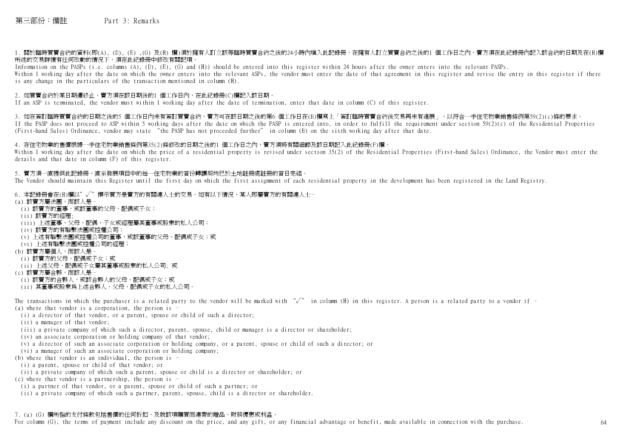1. 關於臨時買賣合約的資料(即(A), (D), (E) ,(G) 及(H) 欄)須於擁有人訂立該等臨時買賣合約之後的24小時內塡入此記錄冊。在擁有人訂立買賣合約之後的1 個工作日之內,賣方須在此紀錄冊內記入該合約的日期及在(H)欄 所述的交易詳情有任何改動的情況下,須在此紀錄冊中修改有關記項。

 Information on the PASPs (i.e. columns (A), (D), (E), (G) and (H)) should be entered into this register within 24 hours after the owner enters into the relevant PASPs. Within 1 working day after the date on which the owner enters into the relevant ASPs, the vendor must enter the date of that agreement in this register and revise the entry in this register if thereis any change in the particulars of the transaction mentioned in column (H).

#### 2. 如買賣合約於某日期遭終止,賣方須在該日期後的1 個工作日內,在此紀錄冊(C)欄記入該日期。

If an ASP is terminated, the vendor must within 1 working day after the date of termination, enter that date in column (C) of this register.

3. 如在簽訂臨時買賣合約的日期之後的5 個工作日內未有簽訂買賣合約,賣方可在該日期之後的第6 個工作日在(B)欄寫上「簽訂臨時買賣合約後交易再未有進展」,以符合一手住宅物業銷售條例第59(2)(c)條的要求。 If the PASP does not proceed to ASP within 5 working days after the date on which the PASP is entered into, in order to fulfill the requirement under section 59(2)(c) of the Residential Properties(First-hand Sales) Ordinance, vendor may state "the PASP has not proceeded further" in column (B) on the sixth working day after that date.

#### 4. 在住宅物業的售價根據一手住宅物業銷售條例第35(2)條修改的日期之後的1 個工作日之內,賣方須將有關細節及該日期記入此紀錄冊(F)欄。

 Within 1 working day after the date on which the price of a residential property is revised under section 35(2) of the Residential Properties (First-hand Sales) Ordinance, the Vendor must enter thedetails and that date in column (F) of this register.

#### 5. 賣方須一直提供此記錄冊,直至發展項目中的每一住宅物業的首份轉讓契均已於土地註冊處註冊的首日完結。

The Vendor should maintain this Register until the first day on which the first assignment of each residential property in the development has been registered in the Land Registry.

#### 6. 本記錄冊會在(H)欄以"√"標示買方是賣方的有關連人士的交易。如有以下情況,某人即屬賣方的有關連人士–

- (a) 該賣方屬法團,而該人是–(i) 該賣方的董事,或該董事的父母、配偶或子女;
- (ii) 該賣方的經理;
- (iii) 上述董事、父母、配偶、子女或經理屬其董事或股東的私人公司;
- (iv) 該賣方的有聯繫法團或控權公司;
- (v) 上述有聯繫法團或控權公司的董事,或該董事的父母、配偶或子女;或
- (vi) 上述有聯繫法團或控權公司的經理;
- (b) 該賣方屬個人,而該人是–
- (i) 該賣方的父母、配偶或子女;或
- (ii) 上述父母、配偶或子女屬其董事或股東的私人公司; 或
- (c) 該賣方屬合夥,而該人是–
- (i) 該賣方的合夥人,或該合夥人的父母、配偶或子女;或
- (ii) 其董事或股東為上述合夥人、父母、配偶或子女的私人公司。

The transactions in which the purchaser is a related party to the vendor will be marked with " $\sqrt{ }$ " in column (H) in this register. A person is a related party to a vendor if – (a) where that vendor is a corporation, the person is –

- (i) a director of that vendor, or a parent, spouse or child of such a director;
- (ii) a manager of that vendor;
- (iii) a private company of which such a director, parent, spouse, child or manager is a director or shareholder;
- (iv) an associate corporation or holding company of that vendor;
- (v) a director of such an associate corporation or holding company, or a parent, spouse or child of such a director; or
- (vi) a manager of such an associate corporation or holding company;
- (b) where that vendor is an individual, the person is –
- (i) a parent, spouse or child of that vendor; or
- (ii) a private company of which such a parent, spouse or child is a director or shareholder; or
- (c) where that vendor is a partnership, the person is –
- (i) a partner of that vendor, or a parent, spouse or child of such a partner; or
- (ii) a private company of which such a partner, parent, spouse, child is a director or shareholder.

## 7. (a) (G) 欄所指的支付條款包括售價的任何折扣,及就該項購買而連帶的贈品、財務優惠或利益。

For column (G), the terms of payment include any discount on the price, and any gift, or any financial advantage or benefit, made available in connection with the purchase.